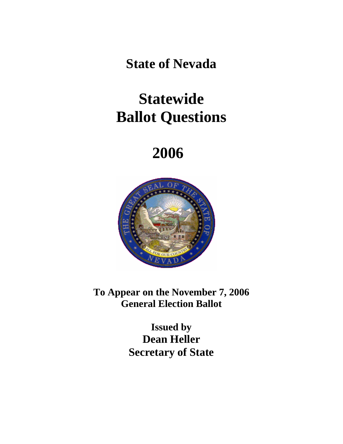**State of Nevada** 

# **Statewide Ballot Questions**

# **2006**



**To Appear on the November 7, 2006 General Election Ballot** 

> **Issued by Dean Heller Secretary of State**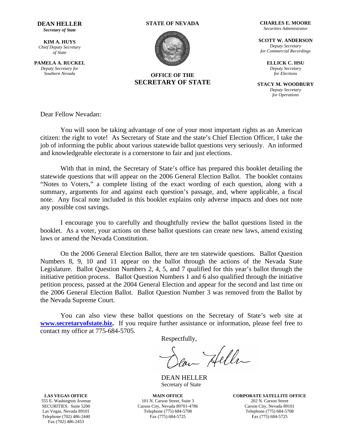**DEAN HELLER** 

*Secretary of State* 

**KIM A. HUYS**  *Chief Deputy Secretary of State* 

**PAMELA A. RUCKEL**  *Deputy Secretary for Southern Nevada*





**OFFICE OF THE SECRETARY OF STATE**  **CHARLES E. MOORE**  *Securities Administrator* 

**SCOTT W. ANDERSON**  *Deputy Secretary for Commercial Recordings*

> **ELLICK C. HSU**  *Deputy Secretary for Elections*

**STACY M. WOODBURY**  *Deputy Secretary for Operations* 

Dear Fellow Nevadan:

 You will soon be taking advantage of one of your most important rights as an American citizen: the right to vote! As Secretary of State and the state's Chief Election Officer, I take the job of informing the public about various statewide ballot questions very seriously. An informed and knowledgeable electorate is a cornerstone to fair and just elections.

 With that in mind, the Secretary of State's office has prepared this booklet detailing the statewide questions that will appear on the 2006 General Election Ballot. The booklet contains "Notes to Voters," a complete listing of the exact wording of each question, along with a summary, arguments for and against each question's passage, and, where applicable, a fiscal note. Any fiscal note included in this booklet explains only adverse impacts and does not note any possible cost savings.

I encourage you to carefully and thoughtfully review the ballot questions listed in the booklet. As a voter, your actions on these ballot questions can create new laws, amend existing laws or amend the Nevada Constitution.

On the 2006 General Election Ballot, there are ten statewide questions. Ballot Question Numbers 8, 9, 10 and 11 appear on the ballot through the actions of the Nevada State Legislature. Ballot Question Numbers 2, 4, 5, and 7 qualified for this year's ballot through the initiative petition process. Ballot Question Numbers 1 and 6 also qualified through the initiative petition process, passed at the 2004 General Election and appear for the second and last time on the 2006 General Election Ballot. Ballot Question Number 3 was removed from the Ballot by the Nevada Supreme Court.

You can also view these ballot questions on the Secretary of State's web site at **www.secretaryofstate.biz.** If you require further assistance or information, please feel free to contact my office at 775-684-5705.

Respectfully,

Hellen

 DEAN HELLER Secretary of State

**LAS VEGAS OFFICE**  555 E. Washington Avenue SECURITIES: Suite 5200 Las Vegas, Nevada 89101 Telephone (702) 486-2440 Fax (702) 486-2453

**MAIN OFFICE**  101 N. Carson Street, Suite 3 Carson City, Nevada 89701-4786 Telephone (775) 684-5708 Fax (775) 684-5725

**CORPORATE SATELLITE OFFICE**  202 N. Carson Street Carson City, Nevada 89101 Telephone (775) 684-5708 Fax (775) 684-5725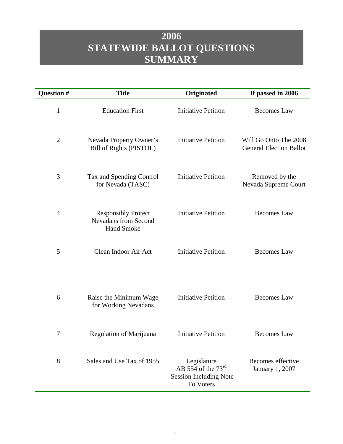# **2006 STATEWIDE BALLOT QUESTIONS SUMMARY**

| Question #     | <b>Title</b>                                                                   | Originated                                                                                  | If passed in 2006                                       |
|----------------|--------------------------------------------------------------------------------|---------------------------------------------------------------------------------------------|---------------------------------------------------------|
| $\mathbf{1}$   | <b>Education First</b>                                                         | <b>Initiative Petition</b>                                                                  | <b>Becomes Law</b>                                      |
| $\mathfrak{2}$ | Nevada Property Owner's<br>Bill of Rights (PISTOL)                             | <b>Initiative Petition</b>                                                                  | Will Go Onto The 2008<br><b>General Election Ballot</b> |
| 3              | Tax and Spending Control<br>for Nevada (TASC)                                  | <b>Initiative Petition</b>                                                                  | Removed by the<br>Nevada Supreme Court                  |
| $\overline{4}$ | <b>Responsibly Protect</b><br><b>Nevadans from Second</b><br><b>Hand Smoke</b> | <b>Initiative Petition</b>                                                                  | <b>Becomes Law</b>                                      |
| 5              | Clean Indoor Air Act                                                           | <b>Initiative Petition</b>                                                                  | <b>Becomes Law</b>                                      |
| 6              | Raise the Minimum Wage<br>for Working Nevadans                                 | <b>Initiative Petition</b>                                                                  | <b>Becomes Law</b>                                      |
| $\overline{7}$ | Regulation of Marijuana                                                        | <b>Initiative Petition</b>                                                                  | <b>Becomes Law</b>                                      |
| 8              | Sales and Use Tax of 1955                                                      | Legislature<br>AB 554 of the $73^{\text{rd}}$<br><b>Session Including Note</b><br>To Voters | Becomes effective<br>January 1, 2007                    |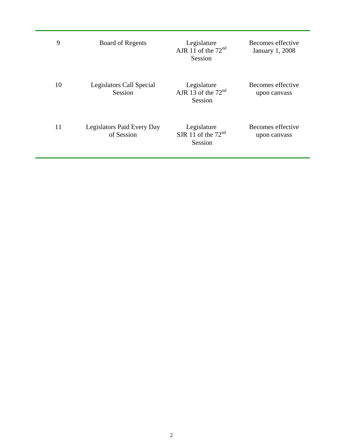| 9  | Board of Regents                         | Legislature<br>AJR 11 of the $72nd$<br>Session | Becomes effective<br><b>January 1, 2008</b> |
|----|------------------------------------------|------------------------------------------------|---------------------------------------------|
| 10 | Legislators Call Special<br>Session      | Legislature<br>AJR 13 of the $72nd$<br>Session | Becomes effective<br>upon canvass           |
| 11 | Legislators Paid Every Day<br>of Session | Legislature<br>SJR 11 of the $72nd$<br>Session | Becomes effective<br>upon canvass           |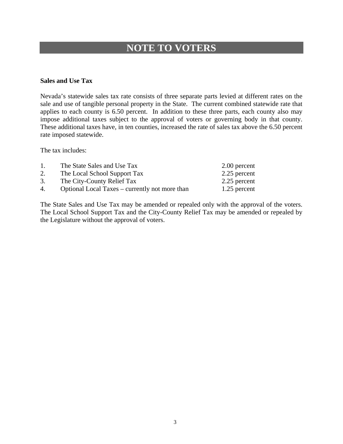# **NOTE TO VOTERS**

#### **Sales and Use Tax**

Nevada's statewide sales tax rate consists of three separate parts levied at different rates on the sale and use of tangible personal property in the State. The current combined statewide rate that applies to each county is 6.50 percent. In addition to these three parts, each county also may impose additional taxes subject to the approval of voters or governing body in that county. These additional taxes have, in ten counties, increased the rate of sales tax above the 6.50 percent rate imposed statewide.

The tax includes:

| $\mathbf{1}$ . | The State Sales and Use Tax                    | 2.00 percent |
|----------------|------------------------------------------------|--------------|
|                | The Local School Support Tax                   | 2.25 percent |
| 3.             | The City-County Relief Tax                     | 2.25 percent |
| 4.             | Optional Local Taxes – currently not more than | 1.25 percent |

The State Sales and Use Tax may be amended or repealed only with the approval of the voters. The Local School Support Tax and the City-County Relief Tax may be amended or repealed by the Legislature without the approval of voters.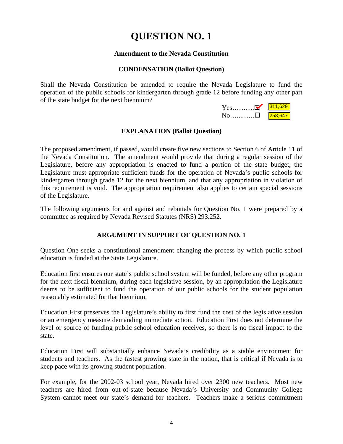# **QUESTION NO. 1**

# **Amendment to the Nevada Constitution**

# **CONDENSATION (Ballot Question)**

Shall the Nevada Constitution be amended to require the Nevada Legislature to fund the operation of the public schools for kindergarten through grade 12 before funding any other part of the state budget for the next biennium?

| $\tilde{\phantom{a}}$ | Yec  |            |
|-----------------------|------|------------|
|                       | ٠N۱. | <b>TOA</b> |

# **EXPLANATION (Ballot Question)**

The proposed amendment, if passed, would create five new sections to Section 6 of Article 11 of the Nevada Constitution. The amendment would provide that during a regular session of the Legislature, before any appropriation is enacted to fund a portion of the state budget, the Legislature must appropriate sufficient funds for the operation of Nevada's public schools for kindergarten through grade 12 for the next biennium, and that any appropriation in violation of this requirement is void. The appropriation requirement also applies to certain special sessions of the Legislature.

The following arguments for and against and rebuttals for Question No. 1 were prepared by a committee as required by Nevada Revised Statutes (NRS) 293.252.

# **ARGUMENT IN SUPPORT OF QUESTION NO. 1**

Question One seeks a constitutional amendment changing the process by which public school education is funded at the State Legislature.

Education first ensures our state's public school system will be funded, before any other program for the next fiscal biennium, during each legislative session, by an appropriation the Legislature deems to be sufficient to fund the operation of our public schools for the student population reasonably estimated for that biennium.

Education First preserves the Legislature's ability to first fund the cost of the legislative session or an emergency measure demanding immediate action. Education First does not determine the level or source of funding public school education receives, so there is no fiscal impact to the state.

Education First will substantially enhance Nevada's credibility as a stable environment for students and teachers. As the fastest growing state in the nation, that is critical if Nevada is to keep pace with its growing student population.

For example, for the 2002-03 school year, Nevada hired over 2300 new teachers. Most new teachers are hired from out-of-state because Nevada's University and Community College System cannot meet our state's demand for teachers. Teachers make a serious commitment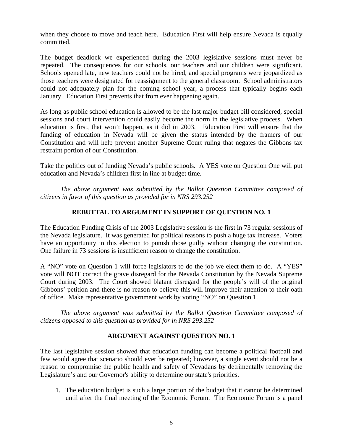when they choose to move and teach here. Education First will help ensure Nevada is equally committed.

The budget deadlock we experienced during the 2003 legislative sessions must never be repeated. The consequences for our schools, our teachers and our children were significant. Schools opened late, new teachers could not be hired, and special programs were jeopardized as those teachers were designated for reassignment to the general classroom. School administrators could not adequately plan for the coming school year, a process that typically begins each January. Education First prevents that from ever happening again.

As long as public school education is allowed to be the last major budget bill considered, special sessions and court intervention could easily become the norm in the legislative process. When education is first, that won't happen, as it did in 2003. Education First will ensure that the funding of education in Nevada will be given the status intended by the framers of our Constitution and will help prevent another Supreme Court ruling that negates the Gibbons tax restraint portion of our Constitution.

Take the politics out of funding Nevada's public schools. A YES vote on Question One will put education and Nevada's children first in line at budget time.

*The above argument was submitted by the Ballot Question Committee composed of citizens in favor of this question as provided for in NRS 293.252*

# **REBUTTAL TO ARGUMENT IN SUPPORT OF QUESTION NO. 1**

The Education Funding Crisis of the 2003 Legislative session is the first in 73 regular sessions of the Nevada legislature. It was generated for political reasons to push a huge tax increase. Voters have an opportunity in this election to punish those guilty without changing the constitution. One failure in 73 sessions is insufficient reason to change the constitution.

A "NO" vote on Question 1 will force legislators to do the job we elect them to do. A "YES" vote will NOT correct the grave disregard for the Nevada Constitution by the Nevada Supreme Court during 2003. The Court showed blatant disregard for the people's will of the original Gibbons' petition and there is no reason to believe this will improve their attention to their oath of office. Make representative government work by voting "NO" on Question 1.

*The above argument was submitted by the Ballot Question Committee composed of citizens opposed to this question as provided for in NRS 293.252* 

# **ARGUMENT AGAINST QUESTION NO. 1**

The last legislative session showed that education funding can become a political football and few would agree that scenario should ever be repeated; however, a single event should not be a reason to compromise the public health and safety of Nevadans by detrimentally removing the Legislature's and our Governor's ability to determine our state's priorities.

1. The education budget is such a large portion of the budget that it cannot be determined until after the final meeting of the Economic Forum. The Economic Forum is a panel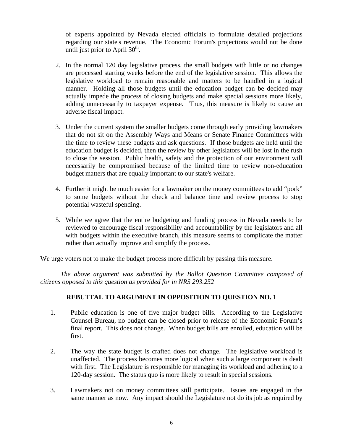of experts appointed by Nevada elected officials to formulate detailed projections regarding our state's revenue. The Economic Forum's projections would not be done until just prior to April  $30<sup>th</sup>$ .

- 2. In the normal 120 day legislative process, the small budgets with little or no changes are processed starting weeks before the end of the legislative session. This allows the legislative workload to remain reasonable and matters to be handled in a logical manner. Holding all those budgets until the education budget can be decided may actually impede the process of closing budgets and make special sessions more likely, adding unnecessarily to taxpayer expense. Thus, this measure is likely to cause an adverse fiscal impact.
- 3. Under the current system the smaller budgets come through early providing lawmakers that do not sit on the Assembly Ways and Means or Senate Finance Committees with the time to review these budgets and ask questions. If those budgets are held until the education budget is decided, then the review by other legislators will be lost in the rush to close the session. Public health, safety and the protection of our environment will necessarily be compromised because of the limited time to review non-education budget matters that are equally important to our state's welfare.
- 4. Further it might be much easier for a lawmaker on the money committees to add "pork" to some budgets without the check and balance time and review process to stop potential wasteful spending.
- 5. While we agree that the entire budgeting and funding process in Nevada needs to be reviewed to encourage fiscal responsibility and accountability by the legislators and all with budgets within the executive branch, this measure seems to complicate the matter rather than actually improve and simplify the process.

We urge voters not to make the budget process more difficult by passing this measure.

*The above argument was submitted by the Ballot Question Committee composed of citizens opposed to this question as provided for in NRS 293.252*

# **REBUTTAL TO ARGUMENT IN OPPOSITION TO QUESTION NO. 1**

- 1. Public education is one of five major budget bills. According to the Legislative Counsel Bureau, no budget can be closed prior to release of the Economic Forum's final report. This does not change. When budget bills are enrolled, education will be first.
- 2. The way the state budget is crafted does not change. The legislative workload is unaffected. The process becomes more logical when such a large component is dealt with first. The Legislature is responsible for managing its workload and adhering to a 120-day session. The status quo is more likely to result in special sessions.
- 3. Lawmakers not on money committees still participate. Issues are engaged in the same manner as now. Any impact should the Legislature not do its job as required by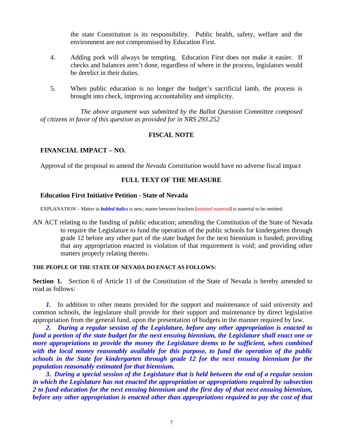the state Constitution is its responsibility. Public health, safety, welfare and the environment are not compromised by Education First.

- 4. Adding pork will always be tempting. Education First does not make it easier. If checks and balances aren't done, regardless of where in the process, legislators would be derelict in their duties.
- 5. When public education is no longer the budget's sacrificial lamb, the process is brought into check, improving accountability and simplicity.

 *The above argument was submitted by the Ballot Question Committee composed of citizens in favor of this question as provided for in NRS 293.252*

#### **FISCAL NOTE**

#### **FINANCIAL IMPACT – NO.**

Approval of the proposal to amend the *Nevada Constitution* would have no adverse fiscal impact

# **FULL TEXT OF THE MEASURE**

#### **Education First Initiative Petition - State of Nevada**

EXPLANATION – Matter in *bolded italics* is new; matter between brackets **[**omitted material**]** is material to be omitted.

AN ACT relating to the funding of public education; amending the Constitution of the State of Nevada to require the Legislature to fund the operation of the public schools for kindergarten through grade 12 before any other part of the state budget for the next biennium is funded; providing that any appropriation enacted in violation of that requirement is void; and providing other matters properly relating thereto.

#### **THE PEOPLE OF THE STATE OF NEVADA DO ENACT AS FOLLOWS:**

**Section 1.** Section 6 of Article 11 of the Constitution of the State of Nevada is hereby amended to read as follows:

*1.* In addition to other means provided for the support and maintenance of said university and common schools, the legislature shall provide for their support and maintenance by direct legislative appropriation from the general fund, upon the presentation of budgets in the manner required by law.

*2. During a regular session of the Legislature, before any other appropriation is enacted to fund a portion of the state budget for the next ensuing biennium, the Legislature shall enact one or more appropriations to provide the money the Legislature deems to be sufficient, when combined with the local money reasonably available for this purpose, to fund the operation of the public schools in the State for kindergarten through grade 12 for the next ensuing biennium for the population reasonably estimated for that biennium.* 

 *3. During a special session of the Legislature that is held between the end of a regular session in which the Legislature has not enacted the appropriation or appropriations required by subsection 2 to fund education for the next ensuing biennium and the first day of that next ensuing biennium, before any other appropriation is enacted other than appropriations required to pay the cost of that*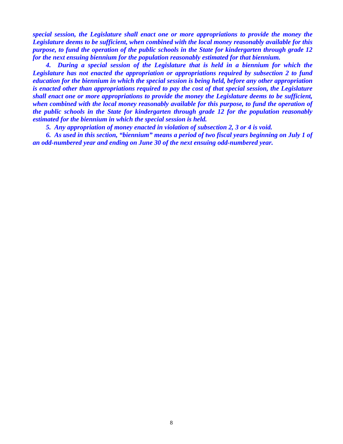*special session, the Legislature shall enact one or more appropriations to provide the money the Legislature deems to be sufficient, when combined with the local money reasonably available for this purpose, to fund the operation of the public schools in the State for kindergarten through grade 12 for the next ensuing biennium for the population reasonably estimated for that biennium.* 

 *4. During a special session of the Legislature that is held in a biennium for which the Legislature has not enacted the appropriation or appropriations required by subsection 2 to fund education for the biennium in which the special session is being held, before any other appropriation is enacted other than appropriations required to pay the cost of that special session, the Legislature shall enact one or more appropriations to provide the money the Legislature deems to be sufficient, when combined with the local money reasonably available for this purpose, to fund the operation of the public schools in the State for kindergarten through grade 12 for the population reasonably estimated for the biennium in which the special session is held.* 

 *5. Any appropriation of money enacted in violation of subsection 2, 3 or 4 is void.* 

 *6. As used in this section, "biennium" means a period of two fiscal years beginning on July 1 of an odd-numbered year and ending on June 30 of the next ensuing odd-numbered year.*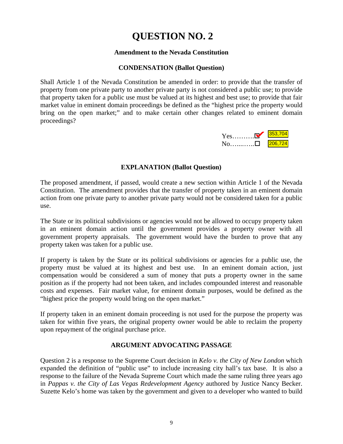# **QUESTION NO. 2**

# **Amendment to the Nevada Constitution**

# **CONDENSATION (Ballot Question)**

Shall Article 1 of the Nevada Constitution be amended in order: to provide that the transfer of property from one private party to another private party is not considered a public use; to provide that property taken for a public use must be valued at its highest and best use; to provide that fair market value in eminent domain proceedings be defined as the "highest price the property would bring on the open market;" and to make certain other changes related to eminent domain proceedings?

| $Yes$    |            |
|----------|------------|
| , ∟…………… | าค<br>⁄4 I |

### **EXPLANATION (Ballot Question)**

The proposed amendment, if passed, would create a new section within Article 1 of the Nevada Constitution. The amendment provides that the transfer of property taken in an eminent domain action from one private party to another private party would not be considered taken for a public use.

The State or its political subdivisions or agencies would not be allowed to occupy property taken in an eminent domain action until the government provides a property owner with all government property appraisals. The government would have the burden to prove that any property taken was taken for a public use.

If property is taken by the State or its political subdivisions or agencies for a public use, the property must be valued at its highest and best use. In an eminent domain action, just compensation would be considered a sum of money that puts a property owner in the same position as if the property had not been taken, and includes compounded interest and reasonable costs and expenses. Fair market value, for eminent domain purposes, would be defined as the "highest price the property would bring on the open market."

If property taken in an eminent domain proceeding is not used for the purpose the property was taken for within five years, the original property owner would be able to reclaim the property upon repayment of the original purchase price.

# **ARGUMENT ADVOCATING PASSAGE**

Question 2 is a response to the Supreme Court decision in *Kelo v. the City of New London* which expanded the definition of "public use" to include increasing city hall's tax base. It is also a response to the failure of the Nevada Supreme Court which made the same ruling three years ago in *Pappas v. the City of Las Vegas Redevelopment Agency* authored by Justice Nancy Becker. Suzette Kelo's home was taken by the government and given to a developer who wanted to build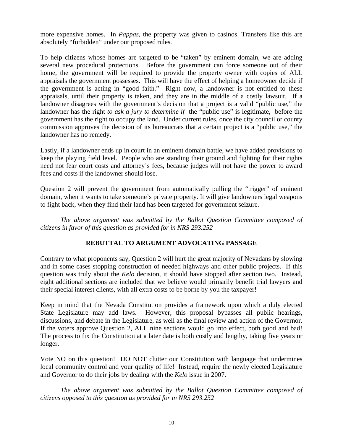more expensive homes. In *Pappas*, the property was given to casinos. Transfers like this are absolutely "forbidden" under our proposed rules.

To help citizens whose homes are targeted to be "taken" by eminent domain, we are adding several new procedural protections. Before the government can force someone out of their home, the government will be required to provide the property owner with copies of ALL appraisals the government possesses. This will have the effect of helping a homeowner decide if the government is acting in "good faith." Right now, a landowner is not entitled to these appraisals, until their property is taken, and they are in the middle of a costly lawsuit. If a landowner disagrees with the government's decision that a project is a valid "public use," the landowner has the right *to ask a jury to determine if* the "public use" is legitimate, before the government has the right to occupy the land. Under current rules, once the city council or county commission approves the decision of its bureaucrats that a certain project is a "public use," the landowner has no remedy.

Lastly, if a landowner ends up in court in an eminent domain battle, we have added provisions to keep the playing field level. People who are standing their ground and fighting for their rights need not fear court costs and attorney's fees, because judges will not have the power to award fees and costs if the landowner should lose.

Question 2 will prevent the government from automatically pulling the "trigger" of eminent domain, when it wants to take someone's private property. It will give landowners legal weapons to fight back, when they find their land has been targeted for government seizure.

*The above argument was submitted by the Ballot Question Committee composed of citizens in favor of this question as provided for in NRS 293.252* 

# **REBUTTAL TO ARGUMENT ADVOCATING PASSAGE**

Contrary to what proponents say, Question 2 will hurt the great majority of Nevadans by slowing and in some cases stopping construction of needed highways and other public projects. If this question was truly about the *Kelo* decision, it should have stopped after section two. Instead, eight additional sections are included that we believe would primarily benefit trial lawyers and their special interest clients, with all extra costs to be borne by you the taxpayer!

Keep in mind that the Nevada Constitution provides a framework upon which a duly elected State Legislature may add laws. However, this proposal bypasses all public hearings, discussions, and debate in the Legislature, as well as the final review and action of the Governor. If the voters approve Question 2, ALL nine sections would go into effect, both good and bad! The process to fix the Constitution at a later date is both costly and lengthy, taking five years or longer.

Vote NO on this question! DO NOT clutter our Constitution with language that undermines local community control and your quality of life! Instead, require the newly elected Legislature and Governor to do their jobs by dealing with the *Kelo* issue in 2007.

*The above argument was submitted by the Ballot Question Committee composed of citizens opposed to this question as provided for in NRS 293.252*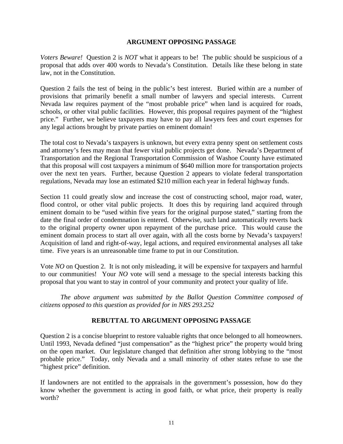### **ARGUMENT OPPOSING PASSAGE**

*Voters Beware!* Question 2 is *NOT* what it appears to be! The public should be suspicious of a proposal that adds over 400 words to Nevada's Constitution. Details like these belong in state law, not in the Constitution.

Question 2 fails the test of being in the public's best interest. Buried within are a number of provisions that primarily benefit a small number of lawyers and special interests. Current Nevada law requires payment of the "most probable price" when land is acquired for roads, schools, or other vital public facilities. However, this proposal requires payment of the "highest price." Further, we believe taxpayers may have to pay all lawyers fees and court expenses for any legal actions brought by private parties on eminent domain!

The total cost to Nevada's taxpayers is unknown, but every extra penny spent on settlement costs and attorney's fees may mean that fewer vital public projects get done. Nevada's Department of Transportation and the Regional Transportation Commission of Washoe County have estimated that this proposal will cost taxpayers a minimum of \$640 million more for transportation projects over the next ten years. Further, because Question 2 appears to violate federal transportation regulations, Nevada may lose an estimated \$210 million each year in federal highway funds.

Section 11 could greatly slow and increase the cost of constructing school, major road, water, flood control, or other vital public projects. It does this by requiring land acquired through eminent domain to be "used within five years for the original purpose stated," starting from the date the final order of condemnation is entered. Otherwise, such land automatically reverts back to the original property owner upon repayment of the purchase price. This would cause the eminent domain process to start all over again, with all the costs borne by Nevada's taxpayers! Acquisition of land and right-of-way, legal actions, and required environmental analyses all take time. Five years is an unreasonable time frame to put in our Constitution.

Vote *NO* on Question 2. It is not only misleading, it will be expensive for taxpayers and harmful to our communities! Your *NO* vote will send a message to the special interests backing this proposal that you want to stay in control of your community and protect your quality of life.

*The above argument was submitted by the Ballot Question Committee composed of citizens opposed to this question as provided for in NRS 293.252* 

### **REBUTTAL TO ARGUMENT OPPOSING PASSAGE**

Question 2 is a concise blueprint to restore valuable rights that once belonged to all homeowners. Until 1993, Nevada defined "just compensation" as the "highest price" the property would bring on the open market. Our legislature changed that definition after strong lobbying to the "most probable price." Today, only Nevada and a small minority of other states refuse to use the "highest price" definition.

If landowners are not entitled to the appraisals in the government's possession, how do they know whether the government is acting in good faith, or what price, their property is really worth?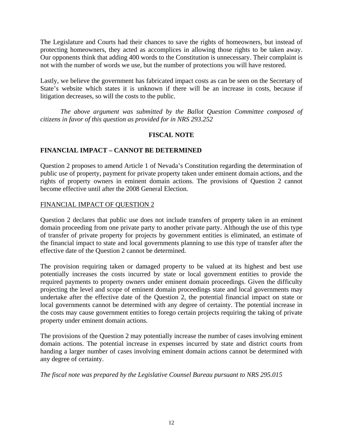The Legislature and Courts had their chances to save the rights of homeowners, but instead of protecting homeowners, they acted as accomplices in allowing those rights to be taken away. Our opponents think that adding 400 words to the Constitution is unnecessary. Their complaint is not with the number of words we use, but the number of protections you will have restored.

Lastly, we believe the government has fabricated impact costs as can be seen on the Secretary of State's website which states it is unknown if there will be an increase in costs, because if litigation decreases, so will the costs to the public.

*The above argument was submitted by the Ballot Question Committee composed of citizens in favor of this question as provided for in NRS 293.252* 

# **FISCAL NOTE**

# **FINANCIAL IMPACT – CANNOT BE DETERMINED**

Question 2 proposes to amend Article 1 of Nevada's Constitution regarding the determination of public use of property, payment for private property taken under eminent domain actions, and the rights of property owners in eminent domain actions. The provisions of Question 2 cannot become effective until after the 2008 General Election.

#### FINANCIAL IMPACT OF QUESTION 2

Question 2 declares that public use does not include transfers of property taken in an eminent domain proceeding from one private party to another private party. Although the use of this type of transfer of private property for projects by government entities is eliminated, an estimate of the financial impact to state and local governments planning to use this type of transfer after the effective date of the Question 2 cannot be determined.

The provision requiring taken or damaged property to be valued at its highest and best use potentially increases the costs incurred by state or local government entities to provide the required payments to property owners under eminent domain proceedings. Given the difficulty projecting the level and scope of eminent domain proceedings state and local governments may undertake after the effective date of the Question 2, the potential financial impact on state or local governments cannot be determined with any degree of certainty. The potential increase in the costs may cause government entities to forego certain projects requiring the taking of private property under eminent domain actions.

The provisions of the Question 2 may potentially increase the number of cases involving eminent domain actions. The potential increase in expenses incurred by state and district courts from handing a larger number of cases involving eminent domain actions cannot be determined with any degree of certainty.

*The fiscal note was prepared by the Legislative Counsel Bureau pursuant to NRS 295.015*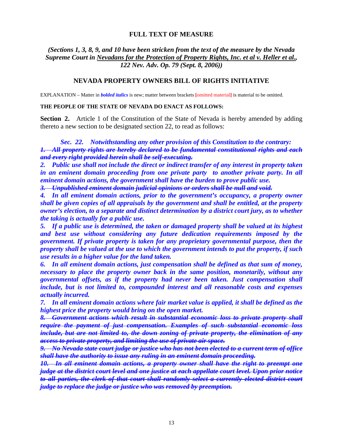#### **FULL TEXT OF MEASURE**

*(Sections 1, 3, 8, 9, and 10 have been stricken from the text of the measure by the Nevada Supreme Court in Nevadans for the Protection of Property Rights, Inc. et al v. Heller et al., 122 Nev. Adv. Op. 79 (Sept. 8, 2006))* 

## **NEVADA PROPERTY OWNERS BILL OF RIGHTS INITIATIVE**

EXPLANATION – Matter in *bolded italics* is new; matter between brackets **[**omitted material**]** is material to be omitted.

#### **THE PEOPLE OF THE STATE OF NEVADA DO ENACT AS FOLLOWS:**

**Section 2.** Article 1 of the Constitution of the State of Nevada is hereby amended by adding thereto a new section to be designated section 22, to read as follows:

 *Sec. 22. Notwithstanding any other provision of this Constitution to the contrary: 1. All property rights are hereby declared to be fundamental constitutional rights and each and every right provided herein shall be self-executing.*

*2. Public use shall not include the direct or indirect transfer of any interest in property taken in an eminent domain proceeding from one private party to another private party. In all eminent domain actions, the government shall have the burden to prove public use.* 

*3. Unpublished eminent domain judicial opinions or orders shall be null and void.*

*4. In all eminent domain actions, prior to the government's occupancy, a property owner shall be given copies of all appraisals by the government and shall be entitled, at the property owner's election, to a separate and distinct determination by a district court jury, as to whether the taking is actually for a public use.* 

*5. If a public use is determined, the taken or damaged property shall be valued at its highest and best use without considering any future dedication requirements imposed by the government. If private property is taken for any proprietary governmental purpose, then the property shall be valued at the use to which the government intends to put the property, if such use results in a higher value for the land taken.* 

*6. In all eminent domain actions, just compensation shall be defined as that sum of money, necessary to place the property owner back in the same position, monetarily, without any governmental offsets, as if the property had never been taken. Just compensation shall include, but is not limited to, compounded interest and all reasonable costs and expenses actually incurred.* 

*7. In all eminent domain actions where fair market value is applied, it shall be defined as the highest price the property would bring on the open market.* 

*8. Government actions which result in substantial economic loss to private property shall require the payment of just compensation. Examples of such substantial economic loss include, but are not limited to, the down zoning of private property, the elimination of any access to private property, and limiting the use of private air space.*

*9. No Nevada state court judge or justice who has not been elected to a current term of office shall have the authority to issue any ruling in an eminent domain proceeding.*

*10. In all eminent domain actions, a property owner shall have the right to preempt one judge at the district court level and one justice at each appellate court level. Upon prior notice to all parties, the clerk of that court shall randomly select a currently elected district court judge to replace the judge or justice who was removed by preemption.*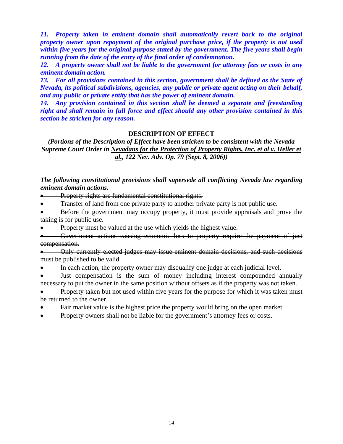*11. Property taken in eminent domain shall automatically revert back to the original property owner upon repayment of the original purchase price, if the property is not used within five years for the original purpose stated by the government. The five years shall begin running from the date of the entry of the final order of condemnation.* 

*12. A property owner shall not be liable to the government for attorney fees or costs in any eminent domain action.* 

*13. For all provisions contained in this section, government shall be defined as the State of Nevada, its political subdivisions, agencies, any public or private agent acting on their behalf, and any public or private entity that has the power of eminent domain.* 

*14. Any provision contained in this section shall be deemed a separate and freestanding right and shall remain in full force and effect should any other provision contained in this section be stricken for any reason.* 

#### **DESCRIPTION OF EFFECT**

*(Portions of the Description of Effect have been stricken to be consistent with the Nevada Supreme Court Order in Nevadans for the Protection of Property Rights, Inc. et al v. Heller et al., 122 Nev. Adv. Op. 79 (Sept. 8, 2006))* 

*The following constitutional provisions shall supersede all conflicting Nevada law regarding eminent domain actions.* 

• Property rights are fundamental constitutional rights.

- Transfer of land from one private party to another private party is not public use.
- Before the government may occupy property, it must provide appraisals and prove the taking is for public use.
- Property must be valued at the use which yields the highest value.
- Government actions causing economic loss to property require the payment of just compensation.

• Only currently elected judges may issue eminent domain decisions, and such decisions must be published to be valid.

- In each action, the property owner may disqualify one judge at each judicial level.
- Just compensation is the sum of money including interest compounded annually necessary to put the owner in the same position without offsets as if the property was not taken.
- Property taken but not used within five years for the purpose for which it was taken must be returned to the owner.
- Fair market value is the highest price the property would bring on the open market.
- Property owners shall not be liable for the government's attorney fees or costs.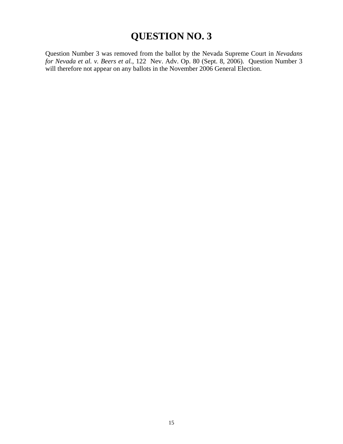# **QUESTION NO. 3**

Question Number 3 was removed from the ballot by the Nevada Supreme Court in *Nevadans for Nevada et al. v. Beers et al.*, 122 Nev. Adv. Op. 80 (Sept. 8, 2006). Question Number 3 will therefore not appear on any ballots in the November 2006 General Election.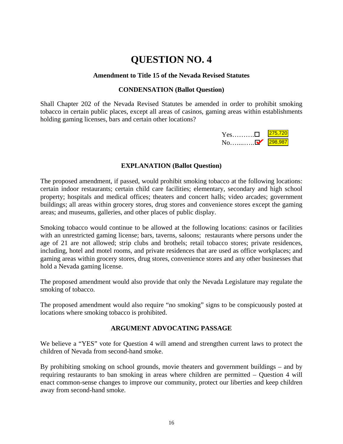# **QUESTION NO. 4**

# **Amendment to Title 15 of the Nevada Revised Statutes**

# **CONDENSATION (Ballot Question)**

Shall Chapter 202 of the Nevada Revised Statutes be amended in order to prohibit smoking tobacco in certain public places, except all areas of casinos, gaming areas within establishments holding gaming licenses, bars and certain other locations?

| Yes               |        |
|-------------------|--------|
| - 7<br>ℕ∩<br>. LE | $\sim$ |

### **EXPLANATION (Ballot Question)**

The proposed amendment, if passed, would prohibit smoking tobacco at the following locations: certain indoor restaurants; certain child care facilities; elementary, secondary and high school property; hospitals and medical offices; theaters and concert halls; video arcades; government buildings; all areas within grocery stores, drug stores and convenience stores except the gaming areas; and museums, galleries, and other places of public display.

Smoking tobacco would continue to be allowed at the following locations: casinos or facilities with an unrestricted gaming license; bars, taverns, saloons; restaurants where persons under the age of 21 are not allowed; strip clubs and brothels; retail tobacco stores; private residences, including, hotel and motel rooms, and private residences that are used as office workplaces; and gaming areas within grocery stores, drug stores, convenience stores and any other businesses that hold a Nevada gaming license.

The proposed amendment would also provide that only the Nevada Legislature may regulate the smoking of tobacco.

The proposed amendment would also require "no smoking" signs to be conspicuously posted at locations where smoking tobacco is prohibited.

# **ARGUMENT ADVOCATING PASSAGE**

We believe a "YES" vote for Question 4 will amend and strengthen current laws to protect the children of Nevada from second-hand smoke.

By prohibiting smoking on school grounds, movie theaters and government buildings – and by requiring restaurants to ban smoking in areas where children are permitted – Question 4 will enact common-sense changes to improve our community, protect our liberties and keep children away from second-hand smoke.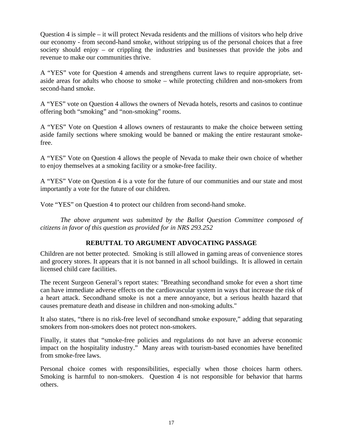Question 4 is simple – it will protect Nevada residents and the millions of visitors who help drive our economy - from second-hand smoke, without stripping us of the personal choices that a free society should enjoy – or crippling the industries and businesses that provide the jobs and revenue to make our communities thrive.

A "YES" vote for Question 4 amends and strengthens current laws to require appropriate, setaside areas for adults who choose to smoke – while protecting children and non-smokers from second-hand smoke.

A "YES" vote on Question 4 allows the owners of Nevada hotels, resorts and casinos to continue offering both "smoking" and "non-smoking" rooms.

A "YES" Vote on Question 4 allows owners of restaurants to make the choice between setting aside family sections where smoking would be banned or making the entire restaurant smokefree.

A "YES" Vote on Question 4 allows the people of Nevada to make their own choice of whether to enjoy themselves at a smoking facility or a smoke-free facility.

A "YES" Vote on Question 4 is a vote for the future of our communities and our state and most importantly a vote for the future of our children.

Vote "YES" on Question 4 to protect our children from second-hand smoke.

*The above argument was submitted by the Ballot Question Committee composed of citizens in favor of this question as provided for in NRS 293.252* 

# **REBUTTAL TO ARGUMENT ADVOCATING PASSAGE**

Children are not better protected. Smoking is still allowed in gaming areas of convenience stores and grocery stores. It appears that it is not banned in all school buildings. It is allowed in certain licensed child care facilities.

The recent Surgeon General's report states: "Breathing secondhand smoke for even a short time can have immediate adverse effects on the cardiovascular system in ways that increase the risk of a heart attack. Secondhand smoke is not a mere annoyance, but a serious health hazard that causes premature death and disease in children and non-smoking adults."

It also states, "there is no risk-free level of secondhand smoke exposure," adding that separating smokers from non-smokers does not protect non-smokers.

Finally, it states that "smoke-free policies and regulations do not have an adverse economic impact on the hospitality industry." Many areas with tourism-based economies have benefited from smoke-free laws.

Personal choice comes with responsibilities, especially when those choices harm others. Smoking is harmful to non-smokers. Question 4 is not responsible for behavior that harms others.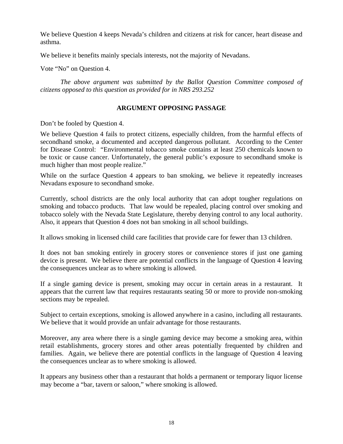We believe Question 4 keeps Nevada's children and citizens at risk for cancer, heart disease and asthma.

We believe it benefits mainly specials interests, not the majority of Nevadans.

Vote "No" on Question 4.

 *The above argument was submitted by the Ballot Question Committee composed of citizens opposed to this question as provided for in NRS 293.252* 

# **ARGUMENT OPPOSING PASSAGE**

Don't be fooled by Question 4.

We believe Question 4 fails to protect citizens, especially children, from the harmful effects of secondhand smoke, a documented and accepted dangerous pollutant. According to the Center for Disease Control: "Environmental tobacco smoke contains at least 250 chemicals known to be toxic or cause cancer. Unfortunately, the general public's exposure to secondhand smoke is much higher than most people realize."

While on the surface Question 4 appears to ban smoking, we believe it repeatedly increases Nevadans exposure to secondhand smoke.

Currently, school districts are the only local authority that can adopt tougher regulations on smoking and tobacco products. That law would be repealed, placing control over smoking and tobacco solely with the Nevada State Legislature, thereby denying control to any local authority. Also, it appears that Question 4 does not ban smoking in all school buildings.

It allows smoking in licensed child care facilities that provide care for fewer than 13 children.

It does not ban smoking entirely in grocery stores or convenience stores if just one gaming device is present. We believe there are potential conflicts in the language of Question 4 leaving the consequences unclear as to where smoking is allowed.

If a single gaming device is present, smoking may occur in certain areas in a restaurant. It appears that the current law that requires restaurants seating 50 or more to provide non-smoking sections may be repealed.

Subject to certain exceptions, smoking is allowed anywhere in a casino, including all restaurants. We believe that it would provide an unfair advantage for those restaurants.

Moreover, any area where there is a single gaming device may become a smoking area, within retail establishments, grocery stores and other areas potentially frequented by children and families. Again, we believe there are potential conflicts in the language of Question 4 leaving the consequences unclear as to where smoking is allowed.

It appears any business other than a restaurant that holds a permanent or temporary liquor license may become a "bar, tavern or saloon," where smoking is allowed.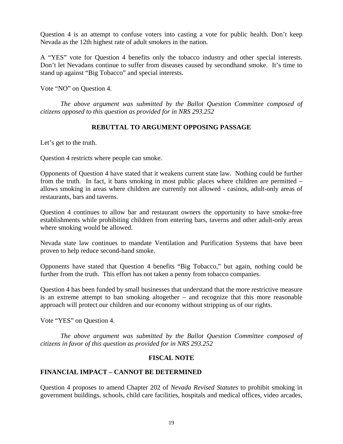Question 4 is an attempt to confuse voters into casting a vote for public health. Don't keep Nevada as the 12th highest rate of adult smokers in the nation.

A "YES" vote for Question 4 benefits only the tobacco industry and other special interests. Don't let Nevadans continue to suffer from diseases caused by secondhand smoke. It's time to stand up against "Big Tobacco" and special interests.

Vote "NO" on Question 4.

*The above argument was submitted by the Ballot Question Committee composed of citizens opposed to this question as provided for in NRS 293.252* 

# **REBUTTAL TO ARGUMENT OPPOSING PASSAGE**

Let's get to the truth.

Question 4 restricts where people can smoke.

Opponents of Question 4 have stated that it weakens current state law. Nothing could be further from the truth. In fact, it bans smoking in most public places where children are permitted – allows smoking in areas where children are currently not allowed - casinos, adult-only areas of restaurants, bars and taverns.

Question 4 continues to allow bar and restaurant owners the opportunity to have smoke-free establishments while prohibiting children from entering bars, taverns and other adult-only areas where smoking would be allowed.

Nevada state law continues to mandate Ventilation and Purification Systems that have been proven to help reduce second-hand smoke.

Opponents have stated that Question 4 benefits "Big Tobacco," but again, nothing could be further from the truth. This effort has not taken a penny from tobacco companies.

Question 4 has been funded by small businesses that understand that the more restrictive measure is an extreme attempt to ban smoking altogether – and recognize that this more reasonable approach will protect our children and our economy without stripping us of our rights.

Vote "YES" on Question 4.

*The above argument was submitted by the Ballot Question Committee composed of citizens in favor of this question as provided for in NRS 293.252* 

# **FISCAL NOTE**

# **FINANCIAL IMPACT – CANNOT BE DETERMINED**

Question 4 proposes to amend Chapter 202 of *Nevada Revised Statutes* to prohibit smoking in government buildings, schools, child care facilities, hospitals and medical offices, video arcades,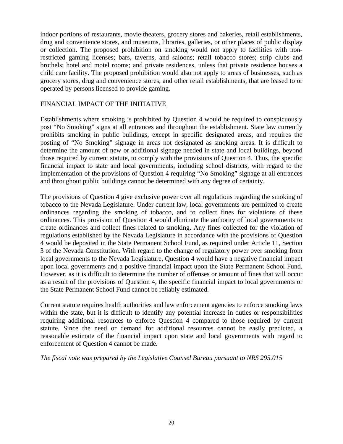indoor portions of restaurants, movie theaters, grocery stores and bakeries, retail establishments, drug and convenience stores, and museums, libraries, galleries, or other places of public display or collection. The proposed prohibition on smoking would not apply to facilities with nonrestricted gaming licenses; bars, taverns, and saloons; retail tobacco stores; strip clubs and brothels; hotel and motel rooms; and private residences, unless that private residence houses a child care facility. The proposed prohibition would also not apply to areas of businesses, such as grocery stores, drug and convenience stores, and other retail establishments, that are leased to or operated by persons licensed to provide gaming.

# FINANCIAL IMPACT OF THE INITIATIVE

Establishments where smoking is prohibited by Question 4 would be required to conspicuously post "No Smoking" signs at all entrances and throughout the establishment. State law currently prohibits smoking in public buildings, except in specific designated areas, and requires the posting of "No Smoking" signage in areas not designated as smoking areas. It is difficult to determine the amount of new or additional signage needed in state and local buildings, beyond those required by current statute, to comply with the provisions of Question 4. Thus, the specific financial impact to state and local governments, including school districts, with regard to the implementation of the provisions of Question 4 requiring "No Smoking" signage at all entrances and throughout public buildings cannot be determined with any degree of certainty.

The provisions of Question 4 give exclusive power over all regulations regarding the smoking of tobacco to the Nevada Legislature. Under current law, local governments are permitted to create ordinances regarding the smoking of tobacco, and to collect fines for violations of these ordinances. This provision of Question 4 would eliminate the authority of local governments to create ordinances and collect fines related to smoking. Any fines collected for the violation of regulations established by the Nevada Legislature in accordance with the provisions of Question 4 would be deposited in the State Permanent School Fund, as required under Article 11, Section 3 of the Nevada Constitution. With regard to the change of regulatory power over smoking from local governments to the Nevada Legislature, Question 4 would have a negative financial impact upon local governments and a positive financial impact upon the State Permanent School Fund. However, as it is difficult to determine the number of offenses or amount of fines that will occur as a result of the provisions of Question 4, the specific financial impact to local governments or the State Permanent School Fund cannot be reliably estimated.

Current statute requires health authorities and law enforcement agencies to enforce smoking laws within the state, but it is difficult to identify any potential increase in duties or responsibilities requiring additional resources to enforce Question 4 compared to those required by current statute. Since the need or demand for additional resources cannot be easily predicted, a reasonable estimate of the financial impact upon state and local governments with regard to enforcement of Question 4 cannot be made.

*The fiscal note was prepared by the Legislative Counsel Bureau pursuant to NRS 295.015*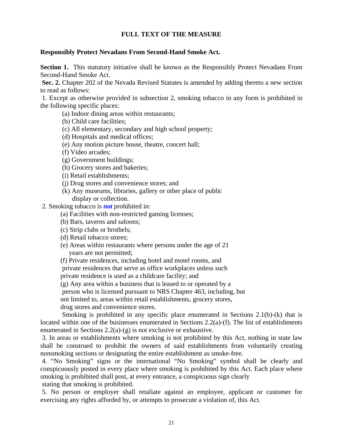# **FULL TEXT OF THE MEASURE**

#### **Responsibly Protect Nevadans From Second-Hand Smoke Act.**

**Section 1.** This statutory initiative shall be known as the Responsibly Protect Nevadans From Second-Hand Smoke Act.

**Sec. 2.** Chapter 202 of the Nevada Revised Statutes is amended by adding thereto a new section to read as follows:

 1. Except as otherwise provided in subsection 2, smoking tobacco in any form is prohibited in the following specific places:

- (a) Indoor dining areas within restaurants;
- (b) Child care facilities;
- (c) All elementary, secondary and high school property;
- (d) Hospitals and medical offices;
- (e) Any motion picture house, theatre, concert hall;
- (f) Video arcades;
- (g) Government buildings;
- (h) Grocery stores and bakeries;
- (i) Retail establishments;
- (j) Drug stores and convenience stores; and
- (k) Any museums, libraries, gallery or other place of public display or collection.
- 2. Smoking tobacco is *not* prohibited in:
	- (a) Facilities with non-restricted gaming licenses;
	- (b) Bars, taverns and saloons;
	- (c) Strip clubs or brothels;
	- (d) Retail tobacco stores;
	- (e) Areas within restaurants where persons under the age of 21 years are not permitted;

(f) Private residences, including hotel and motel rooms, and

private residences that serve as office workplaces unless such

private residence is used as a childcare facility; and

(g) Any area within a business that is leased to or operated by a

person who is licensed pursuant to NRS Chapter 463, including, but

not limited to, areas within retail establishments, grocery stores,

drug stores and convenience stores.

 Smoking is prohibited in any specific place enumerated in Sections 2.1(b)-(k) that is located within one of the businesses enumerated in Sections 2.2(a)-(f). The list of establishments enumerated in Sections  $2.2(a)-(g)$  is not exclusive or exhaustive.

 3. In areas or establishments where smoking is not prohibited by this Act, nothing in state law shall be construed to prohibit the owners of said establishments from voluntarily creating nonsmoking sections or designating the entire establishment as smoke-free.

 4. "No Smoking" signs or the international "No Smoking" symbol shall be clearly and conspicuously posted in every place where smoking is prohibited by this Act. Each place where smoking is prohibited shall post, at every entrance, a conspicuous sign clearly stating that smoking is prohibited.

 5. No person or employer shall retaliate against an employee, applicant or customer for exercising any rights afforded by, or attempts to prosecute a violation of, this Act.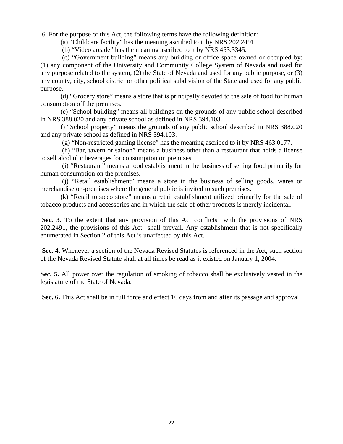6. For the purpose of this Act, the following terms have the following definition:

(a) "Childcare facility" has the meaning ascribed to it by NRS 202.2491.

(b) "Video arcade" has the meaning ascribed to it by NRS 453.3345.

 (c) "Government building" means any building or office space owned or occupied by: (1) any component of the University and Community College System of Nevada and used for any purpose related to the system, (2) the State of Nevada and used for any public purpose, or (3) any county, city, school district or other political subdivision of the State and used for any public purpose.

 (d) "Grocery store" means a store that is principally devoted to the sale of food for human consumption off the premises.

 (e) "School building" means all buildings on the grounds of any public school described in NRS 388.020 and any private school as defined in NRS 394.103.

 f) "School property" means the grounds of any public school described in NRS 388.020 and any private school as defined in NRS 394.103.

(g) "Non-restricted gaming license" has the meaning ascribed to it by NRS 463.0177.

 (h) "Bar, tavern or saloon" means a business other than a restaurant that holds a license to sell alcoholic beverages for consumption on premises.

 (i) "Restaurant" means a food establishment in the business of selling food primarily for human consumption on the premises.

 (j) "Retail establishment" means a store in the business of selling goods, wares or merchandise on-premises where the general public is invited to such premises.

 (k) "Retail tobacco store" means a retail establishment utilized primarily for the sale of tobacco products and accessories and in which the sale of other products is merely incidental.

**Sec. 3.** To the extent that any provision of this Act conflicts with the provisions of NRS 202.2491, the provisions of this Act shall prevail. Any establishment that is not specifically enumerated in Section 2 of this Act is unaffected by this Act.

**Sec. 4.** Whenever a section of the Nevada Revised Statutes is referenced in the Act, such section of the Nevada Revised Statute shall at all times be read as it existed on January 1, 2004.

**Sec. 5.** All power over the regulation of smoking of tobacco shall be exclusively vested in the legislature of the State of Nevada.

**Sec. 6.** This Act shall be in full force and effect 10 days from and after its passage and approval.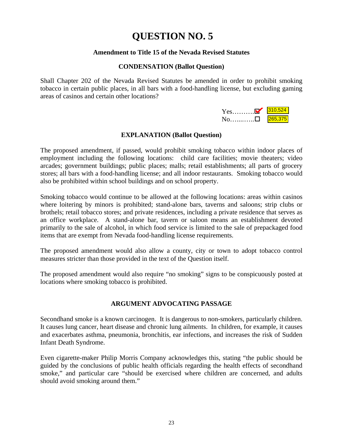# **QUESTION NO. 5**

# **Amendment to Title 15 of the Nevada Revised Statutes**

# **CONDENSATION (Ballot Question)**

Shall Chapter 202 of the Nevada Revised Statutes be amended in order to prohibit smoking tobacco in certain public places, in all bars with a food-handling license, but excluding gaming areas of casinos and certain other locations?

| $Yes$ | . . |
|-------|-----|
|       |     |

### **EXPLANATION (Ballot Question)**

The proposed amendment, if passed, would prohibit smoking tobacco within indoor places of employment including the following locations: child care facilities; movie theaters; video arcades; government buildings; public places; malls; retail establishments; all parts of grocery stores; all bars with a food-handling license; and all indoor restaurants. Smoking tobacco would also be prohibited within school buildings and on school property.

Smoking tobacco would continue to be allowed at the following locations: areas within casinos where loitering by minors is prohibited; stand-alone bars, taverns and saloons; strip clubs or brothels; retail tobacco stores; and private residences, including a private residence that serves as an office workplace. A stand-alone bar, tavern or saloon means an establishment devoted primarily to the sale of alcohol, in which food service is limited to the sale of prepackaged food items that are exempt from Nevada food-handling license requirements.

The proposed amendment would also allow a county, city or town to adopt tobacco control measures stricter than those provided in the text of the Question itself.

The proposed amendment would also require "no smoking" signs to be conspicuously posted at locations where smoking tobacco is prohibited.

# **ARGUMENT ADVOCATING PASSAGE**

Secondhand smoke is a known carcinogen. It is dangerous to non-smokers, particularly children. It causes lung cancer, heart disease and chronic lung ailments. In children, for example, it causes and exacerbates asthma, pneumonia, bronchitis, ear infections, and increases the risk of Sudden Infant Death Syndrome.

Even cigarette-maker Philip Morris Company acknowledges this, stating "the public should be guided by the conclusions of public health officials regarding the health effects of secondhand smoke," and particular care "should be exercised where children are concerned, and adults should avoid smoking around them."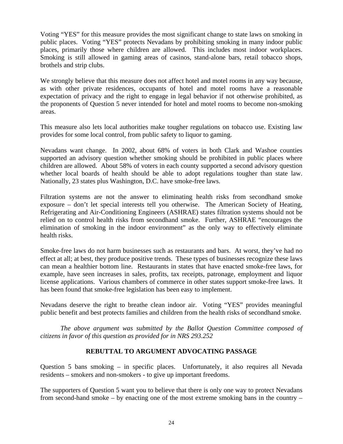Voting "YES" for this measure provides the most significant change to state laws on smoking in public places. Voting "YES" protects Nevadans by prohibiting smoking in many indoor public places, primarily those where children are allowed. This includes most indoor workplaces. Smoking is still allowed in gaming areas of casinos, stand-alone bars, retail tobacco shops, brothels and strip clubs.

We strongly believe that this measure does not affect hotel and motel rooms in any way because, as with other private residences, occupants of hotel and motel rooms have a reasonable expectation of privacy and the right to engage in legal behavior if not otherwise prohibited, as the proponents of Question 5 never intended for hotel and motel rooms to become non-smoking areas.

This measure also lets local authorities make tougher regulations on tobacco use. Existing law provides for some local control, from public safety to liquor to gaming.

Nevadans want change. In 2002, about 68% of voters in both Clark and Washoe counties supported an advisory question whether smoking should be prohibited in public places where children are allowed. About 58% of voters in each county supported a second advisory question whether local boards of health should be able to adopt regulations tougher than state law. Nationally, 23 states plus Washington, D.C. have smoke-free laws.

Filtration systems are not the answer to eliminating health risks from secondhand smoke exposure – don't let special interests tell you otherwise. The American Society of Heating, Refrigerating and Air-Conditioning Engineers (ASHRAE) states filtration systems should not be relied on to control health risks from secondhand smoke. Further, ASHRAE "encourages the elimination of smoking in the indoor environment" as the only way to effectively eliminate health risks.

Smoke-free laws do not harm businesses such as restaurants and bars. At worst, they've had no effect at all; at best, they produce positive trends. These types of businesses recognize these laws can mean a healthier bottom line. Restaurants in states that have enacted smoke-free laws, for example, have seen increases in sales, profits, tax receipts, patronage, employment and liquor license applications. Various chambers of commerce in other states support smoke-free laws. It has been found that smoke-free legislation has been easy to implement.

Nevadans deserve the right to breathe clean indoor air. Voting "YES" provides meaningful public benefit and best protects families and children from the health risks of secondhand smoke.

*The above argument was submitted by the Ballot Question Committee composed of citizens in favor of this question as provided for in NRS 293.252* 

# **REBUTTAL TO ARGUMENT ADVOCATING PASSAGE**

Question 5 bans smoking – in specific places. Unfortunately, it also requires all Nevada residents – smokers and non-smokers - to give up important freedoms.

The supporters of Question 5 want you to believe that there is only one way to protect Nevadans from second-hand smoke – by enacting one of the most extreme smoking bans in the country –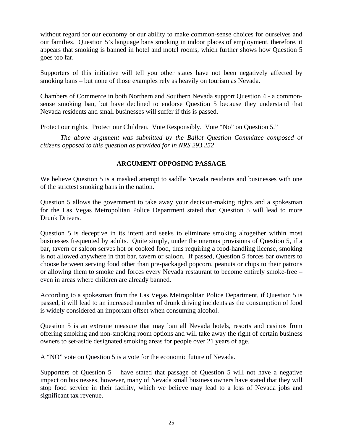without regard for our economy or our ability to make common-sense choices for ourselves and our families. Question 5's language bans smoking in indoor places of employment, therefore, it appears that smoking is banned in hotel and motel rooms, which further shows how Question 5 goes too far.

Supporters of this initiative will tell you other states have not been negatively affected by smoking bans – but none of those examples rely as heavily on tourism as Nevada.

Chambers of Commerce in both Northern and Southern Nevada support Question 4 - a commonsense smoking ban, but have declined to endorse Question 5 because they understand that Nevada residents and small businesses will suffer if this is passed.

Protect our rights. Protect our Children. Vote Responsibly. Vote "No" on Question 5."

 *The above argument was submitted by the Ballot Question Committee composed of citizens opposed to this question as provided for in NRS 293.252* 

# **ARGUMENT OPPOSING PASSAGE**

We believe Question 5 is a masked attempt to saddle Nevada residents and businesses with one of the strictest smoking bans in the nation.

Question 5 allows the government to take away your decision-making rights and a spokesman for the Las Vegas Metropolitan Police Department stated that Question 5 will lead to more Drunk Drivers.

Question 5 is deceptive in its intent and seeks to eliminate smoking altogether within most businesses frequented by adults. Quite simply, under the onerous provisions of Question 5, if a bar, tavern or saloon serves hot or cooked food, thus requiring a food-handling license, smoking is not allowed anywhere in that bar, tavern or saloon. If passed, Question 5 forces bar owners to choose between serving food other than pre-packaged popcorn, peanuts or chips to their patrons or allowing them to smoke and forces every Nevada restaurant to become entirely smoke-free – even in areas where children are already banned.

According to a spokesman from the Las Vegas Metropolitan Police Department, if Question 5 is passed, it will lead to an increased number of drunk driving incidents as the consumption of food is widely considered an important offset when consuming alcohol.

Question 5 is an extreme measure that may ban all Nevada hotels, resorts and casinos from offering smoking and non-smoking room options and will take away the right of certain business owners to set-aside designated smoking areas for people over 21 years of age.

A "NO" vote on Question 5 is a vote for the economic future of Nevada.

Supporters of Question  $5$  – have stated that passage of Question 5 will not have a negative impact on businesses, however, many of Nevada small business owners have stated that they will stop food service in their facility, which we believe may lead to a loss of Nevada jobs and significant tax revenue.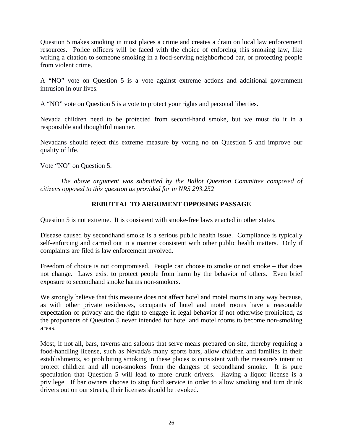Question 5 makes smoking in most places a crime and creates a drain on local law enforcement resources. Police officers will be faced with the choice of enforcing this smoking law, like writing a citation to someone smoking in a food-serving neighborhood bar, or protecting people from violent crime.

A "NO" vote on Question 5 is a vote against extreme actions and additional government intrusion in our lives.

A "NO" vote on Question 5 is a vote to protect your rights and personal liberties.

Nevada children need to be protected from second-hand smoke, but we must do it in a responsible and thoughtful manner.

Nevadans should reject this extreme measure by voting no on Question 5 and improve our quality of life.

Vote "NO" on Question 5.

*The above argument was submitted by the Ballot Question Committee composed of citizens opposed to this question as provided for in NRS 293.252* 

# **REBUTTAL TO ARGUMENT OPPOSING PASSAGE**

Question 5 is not extreme. It is consistent with smoke-free laws enacted in other states.

Disease caused by secondhand smoke is a serious public health issue. Compliance is typically self-enforcing and carried out in a manner consistent with other public health matters. Only if complaints are filed is law enforcement involved.

Freedom of choice is not compromised. People can choose to smoke or not smoke – that does not change. Laws exist to protect people from harm by the behavior of others. Even brief exposure to secondhand smoke harms non-smokers.

We strongly believe that this measure does not affect hotel and motel rooms in any way because, as with other private residences, occupants of hotel and motel rooms have a reasonable expectation of privacy and the right to engage in legal behavior if not otherwise prohibited, as the proponents of Question 5 never intended for hotel and motel rooms to become non-smoking areas.

Most, if not all, bars, taverns and saloons that serve meals prepared on site, thereby requiring a food-handling license, such as Nevada's many sports bars, allow children and families in their establishments, so prohibiting smoking in these places is consistent with the measure's intent to protect children and all non-smokers from the dangers of secondhand smoke. It is pure speculation that Question 5 will lead to more drunk drivers. Having a liquor license is a privilege. If bar owners choose to stop food service in order to allow smoking and turn drunk drivers out on our streets, their licenses should be revoked.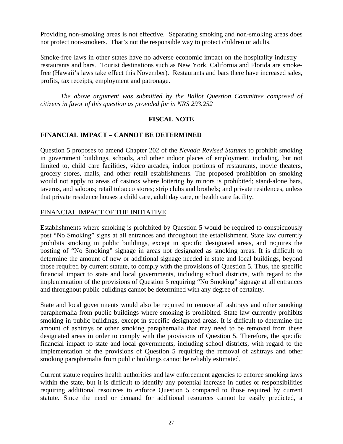Providing non-smoking areas is not effective. Separating smoking and non-smoking areas does not protect non-smokers. That's not the responsible way to protect children or adults.

Smoke-free laws in other states have no adverse economic impact on the hospitality industry – restaurants and bars. Tourist destinations such as New York, California and Florida are smokefree (Hawaii's laws take effect this November). Restaurants and bars there have increased sales, profits, tax receipts, employment and patronage.

*The above argument was submitted by the Ballot Question Committee composed of citizens in favor of this question as provided for in NRS 293.252* 

# **FISCAL NOTE**

# **FINANCIAL IMPACT – CANNOT BE DETERMINED**

Question 5 proposes to amend Chapter 202 of the *Nevada Revised Statutes* to prohibit smoking in government buildings, schools, and other indoor places of employment, including, but not limited to, child care facilities, video arcades, indoor portions of restaurants, movie theaters, grocery stores, malls, and other retail establishments. The proposed prohibition on smoking would not apply to areas of casinos where loitering by minors is prohibited; stand-alone bars, taverns, and saloons; retail tobacco stores; strip clubs and brothels; and private residences, unless that private residence houses a child care, adult day care, or health care facility.

# FINANCIAL IMPACT OF THE INITIATIVE

Establishments where smoking is prohibited by Question 5 would be required to conspicuously post "No Smoking" signs at all entrances and throughout the establishment. State law currently prohibits smoking in public buildings, except in specific designated areas, and requires the posting of "No Smoking" signage in areas not designated as smoking areas. It is difficult to determine the amount of new or additional signage needed in state and local buildings, beyond those required by current statute, to comply with the provisions of Question 5. Thus, the specific financial impact to state and local governments, including school districts, with regard to the implementation of the provisions of Question 5 requiring "No Smoking" signage at all entrances and throughout public buildings cannot be determined with any degree of certainty.

State and local governments would also be required to remove all ashtrays and other smoking paraphernalia from public buildings where smoking is prohibited. State law currently prohibits smoking in public buildings, except in specific designated areas. It is difficult to determine the amount of ashtrays or other smoking paraphernalia that may need to be removed from these designated areas in order to comply with the provisions of Question 5. Therefore, the specific financial impact to state and local governments, including school districts, with regard to the implementation of the provisions of Question 5 requiring the removal of ashtrays and other smoking paraphernalia from public buildings cannot be reliably estimated.

Current statute requires health authorities and law enforcement agencies to enforce smoking laws within the state, but it is difficult to identify any potential increase in duties or responsibilities requiring additional resources to enforce Question 5 compared to those required by current statute. Since the need or demand for additional resources cannot be easily predicted, a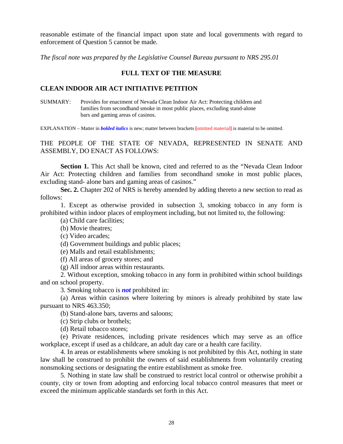reasonable estimate of the financial impact upon state and local governments with regard to enforcement of Question 5 cannot be made.

*The fiscal note was prepared by the Legislative Counsel Bureau pursuant to NRS 295.01*

#### **FULL TEXT OF THE MEASURE**

#### **CLEAN INDOOR AIR ACT INITIATIVE PETITION**

SUMMARY: Provides for enactment of Nevada Clean Indoor Air Act: Protecting children and families from secondhand smoke in most public places, excluding stand-alone bars and gaming areas of casinos.

EXPLANATION – Matter in *bolded italics* is new; matter between brackets **[**omitted material**]** is material to be omitted.

THE PEOPLE OF THE STATE OF NEVADA, REPRESENTED IN SENATE AND ASSEMBLY, DO ENACT AS FOLLOWS:

Section 1. This Act shall be known, cited and referred to as the "Nevada Clean Indoor" Air Act: Protecting children and families from secondhand smoke in most public places, excluding stand- alone bars and gaming areas of casinos."

**Sec. 2.** Chapter 202 of NRS is hereby amended by adding thereto a new section to read as follows:

1. Except as otherwise provided in subsection 3, smoking tobacco in any form is prohibited within indoor places of employment including, but not limited to, the following:

(a) Child care facilities;

(b) Movie theatres;

(c) Video arcades;

(d) Government buildings and public places;

(e) Malls and retail establishments;

(f) All areas of grocery stores; and

(g) All indoor areas within restaurants.

2. Without exception, smoking tobacco in any form in prohibited within school buildings and on school property.

3. Smoking tobacco is *not* prohibited in:

(a) Areas within casinos where loitering by minors is already prohibited by state law pursuant to NRS 463.350;

(b) Stand-alone bars, taverns and saloons;

(c) Strip clubs or brothels;

(d) Retail tobacco stores;

(e) Private residences, including private residences which may serve as an office workplace, except if used as a childcare, an adult day care or a health care facility.

4. In areas or establishments where smoking is not prohibited by this Act, nothing in state law shall be construed to prohibit the owners of said establishments from voluntarily creating nonsmoking sections or designating the entire establishment as smoke free.

5. Nothing in state law shall be construed to restrict local control or otherwise prohibit a county, city or town from adopting and enforcing local tobacco control measures that meet or exceed the minimum applicable standards set forth in this Act.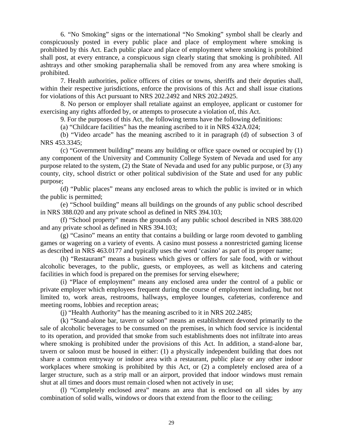6. "No Smoking" signs or the international "No Smoking" symbol shall be clearly and conspicuously posted in every public place and place of employment where smoking is prohibited by this Act. Each public place and place of employment where smoking is prohibited shall post, at every entrance, a conspicuous sign clearly stating that smoking is prohibited. All ashtrays and other smoking paraphernalia shall be removed from any area where smoking is prohibited.

7. Health authorities, police officers of cities or towns, sheriffs and their deputies shall, within their respective jurisdictions, enforce the provisions of this Act and shall issue citations for violations of this Act pursuant to NRS 202.2492 and NRS 202.24925.

8. No person or employer shall retaliate against an employee, applicant or customer for exercising any rights afforded by, or attempts to prosecute a violation of, this Act.

9. For the purposes of this Act, the following terms have the following definitions:

(a) "Childcare facilities" has the meaning ascribed to it in NRS 432A.024;

(b) "Video arcade" has the meaning ascribed to it in paragraph (d) of subsection 3 of NRS 453.3345;

(c) "Government building" means any building or office space owned or occupied by (1) any component of the University and Community College System of Nevada and used for any purpose related to the system, (2) the State of Nevada and used for any public purpose, or (3) any county, city, school district or other political subdivision of the State and used for any public purpose;

(d) "Public places" means any enclosed areas to which the public is invited or in which the public is permitted;

(e) "School building" means all buildings on the grounds of any public school described in NRS 388.020 and any private school as defined in NRS 394.103;

(f) "School property" means the grounds of any public school described in NRS 388.020 and any private school as defined in NRS 394.103;

(g) "Casino" means an entity that contains a building or large room devoted to gambling games or wagering on a variety of events. A casino must possess a nonrestricted gaming license as described in NRS 463.0177 and typically uses the word 'casino' as part of its proper name;

(h) "Restaurant" means a business which gives or offers for sale food, with or without alcoholic beverages, to the public, guests, or employees, as well as kitchens and catering facilities in which food is prepared on the premises for serving elsewhere;

(i) "Place of employment" means any enclosed area under the control of a public or private employer which employees frequent during the course of employment including, but not limited to, work areas, restrooms, hallways, employee lounges, cafeterias, conference and meeting rooms, lobbies and reception areas;

(j) "Health Authority" has the meaning ascribed to it in NRS 202.2485;

(k) "Stand-alone bar, tavern or saloon" means an establishment devoted primarily to the sale of alcoholic beverages to be consumed on the premises, in which food service is incidental to its operation, and provided that smoke from such establishments does not infiltrate into areas where smoking is prohibited under the provisions of this Act. In addition, a stand-alone bar, tavern or saloon must be housed in either: (1) a physically independent building that does not share a common entryway or indoor area with a restaurant, public place or any other indoor workplaces where smoking is prohibited by this Act, or (2) a completely enclosed area of a larger structure, such as a strip mall or an airport, provided that indoor windows must remain shut at all times and doors must remain closed when not actively in use;

(l) "Completely enclosed area" means an area that is enclosed on all sides by any combination of solid walls, windows or doors that extend from the floor to the ceiling;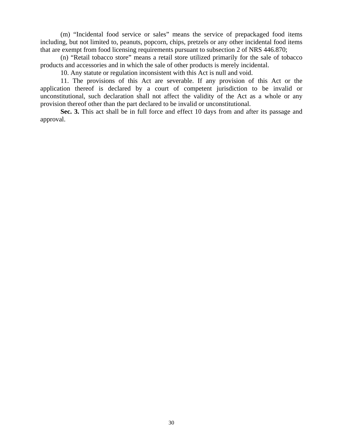(m) "Incidental food service or sales" means the service of prepackaged food items including, but not limited to, peanuts, popcorn, chips, pretzels or any other incidental food items that are exempt from food licensing requirements pursuant to subsection 2 of NRS 446.870;

(n) "Retail tobacco store" means a retail store utilized primarily for the sale of tobacco products and accessories and in which the sale of other products is merely incidental.

10. Any statute or regulation inconsistent with this Act is null and void.

11. The provisions of this Act are severable. If any provision of this Act or the application thereof is declared by a court of competent jurisdiction to be invalid or unconstitutional, such declaration shall not affect the validity of the Act as a whole or any provision thereof other than the part declared to be invalid or unconstitutional.

**Sec. 3.** This act shall be in full force and effect 10 days from and after its passage and approval.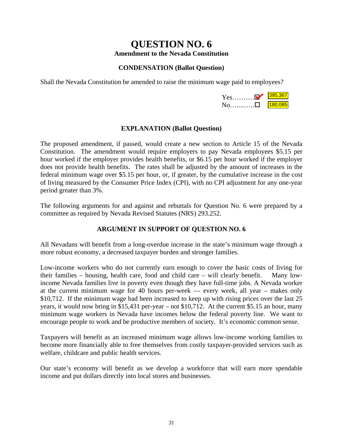# **QUESTION NO. 6**

# **Amendment to the Nevada Constitution**

# **CONDENSATION (Ballot Question)**

Shall the Nevada Constitution be amended to raise the minimum wage paid to employees?

| $Yes$        | - -<br>$\sim$ |
|--------------|---------------|
| . <b>.</b> . | R(            |

### **EXPLANATION (Ballot Question)**

The proposed amendment, if passed, would create a new section to Article 15 of the Nevada Constitution. The amendment would require employers to pay Nevada employees \$5.15 per hour worked if the employer provides health benefits, or \$6.15 per hour worked if the employer does not provide health benefits. The rates shall be adjusted by the amount of increases in the federal minimum wage over \$5.15 per hour, or, if greater, by the cumulative increase in the cost of living measured by the Consumer Price Index (CPI), with no CPI adjustment for any one-year period greater than 3%.

The following arguments for and against and rebuttals for Question No. 6 were prepared by a committee as required by Nevada Revised Statutes (NRS) 293.252.

### **ARGUMENT IN SUPPORT OF QUESTION NO. 6**

All Nevadans will benefit from a long-overdue increase in the state's minimum wage through a more robust economy, a decreased taxpayer burden and stronger families.

Low-income workers who do not currently earn enough to cover the basic costs of living for their families – housing, health care, food and child care – will clearly benefit. Many lowincome Nevada families live in poverty even though they have full-time jobs. A Nevada worker at the current minimum wage for 40 hours per-week — every week, all year – makes only \$10,712. If the minimum wage had been increased to keep up with rising prices over the last 25 years, it would now bring in \$15,431 per-year – not \$10,712. At the current \$5.15 an hour, many minimum wage workers in Nevada have incomes below the federal poverty line. We want to encourage people to work and be productive members of society. It's economic common sense.

Taxpayers will benefit as an increased minimum wage allows low-income working families to become more financially able to free themselves from costly taxpayer-provided services such as welfare, childcare and public health services.

Our state's economy will benefit as we develop a workforce that will earn more spendable income and put dollars directly into local stores and businesses.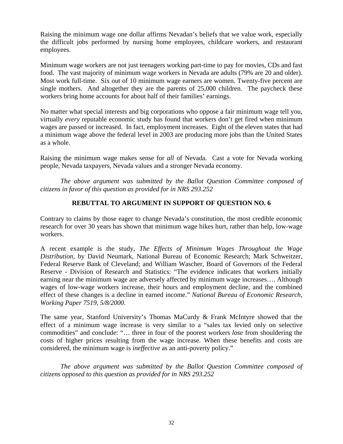Raising the minimum wage one dollar affirms Nevadan's beliefs that we value work, especially the difficult jobs performed by nursing home employees, childcare workers, and restaurant employees.

Minimum wage workers are not just teenagers working part-time to pay for movies, CDs and fast food. The vast majority of minimum wage workers in Nevada are adults (79% are 20 and older). Most work full-time. Six out of 10 minimum wage earners are women. Twenty-five percent are single mothers. And altogether they are the parents of 25,000 children. The paycheck these workers bring home accounts for about half of their families' earnings.

No matter what special interests and big corporations who oppose a fair minimum wage tell you, virtually *every* reputable economic study has found that workers don't get fired when minimum wages are passed or increased. In fact, employment increases. Eight of the eleven states that had a minimum wage above the federal level in 2003 are producing more jobs than the United States as a whole.

Raising the minimum wage makes sense for *all* of Nevada. Cast a vote for Nevada working people, Nevada taxpayers, Nevada values and a stronger Nevada economy.

*The above argument was submitted by the Ballot Question Committee composed of citizens in favor of this question as provided for in NRS 293.252* 

# **REBUTTAL TO ARGUMENT IN SUPPORT OF QUESTION NO. 6**

Contrary to claims by those eager to change Nevada's constitution, the most credible economic research for over 30 years has shown that minimum wage hikes hurt, rather than help, low-wage workers.

A recent example is the study, *The Effects of Minimum Wages Throughout the Wage Distribution*, by David Neumark, National Bureau of Economic Research; Mark Schweitzer, Federal Reserve Bank of Cleveland; and William Wascher, Board of Governors of the Federal Reserve - Division of Research and Statistics: "The evidence indicates that workers initially earning near the minimum wage are adversely affected by minimum wage increases…. Although wages of low-wage workers increase, their hours and employment decline, and the combined effect of these changes is a decline in earned income." *National Bureau of Economic Research, Working Paper 7519, 5/8/2000*.

The same year, Stanford University's Thomas MaCurdy & Frank McIntyre showed that the effect of a minimum wage increase is very similar to a "sales tax levied only on selective commodities" and conclude: "… three in four of the poorest workers *lose* from shouldering the costs of higher prices resulting from the wage increase. When these benefits and costs are considered, the minimum wage is *ineffective* as an anti-poverty policy."

 *The above argument was submitted by the Ballot Question Committee composed of citizens opposed to this question as provided for in NRS 293.252*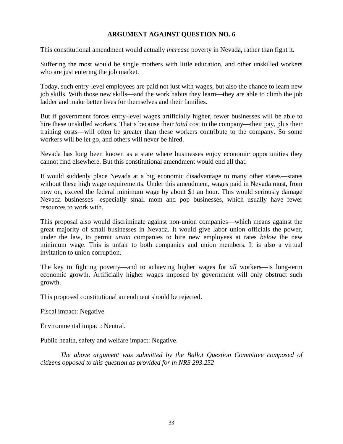# **ARGUMENT AGAINST QUESTION NO. 6**

This constitutional amendment would actually *increase* poverty in Nevada, rather than fight it.

Suffering the most would be single mothers with little education, and other unskilled workers who are just entering the job market.

Today, such entry-level employees are paid not just with wages, but also the chance to learn new job skills. With those new skills—and the work habits they learn—they are able to climb the job ladder and make better lives for themselves and their families.

But if government forces entry-level wages artificially higher, fewer businesses will be able to hire these unskilled workers. That's because their *total* cost to the company—their pay, plus their training costs—will often be greater than these workers contribute to the company. So some workers will be let go, and others will never be hired.

Nevada has long been known as a state where businesses enjoy economic opportunities they cannot find elsewhere. But this constitutional amendment would end all that.

It would suddenly place Nevada at a big economic disadvantage to many other states—states without these high wage requirements. Under this amendment, wages paid in Nevada must, from now on, exceed the federal minimum wage by about \$1 an hour. This would seriously damage Nevada businesses—especially small mom and pop businesses, which usually have fewer resources to work with.

This proposal also would discriminate against non-union companies—which means against the great majority of small businesses in Nevada. It would give labor union officials the power, under the law, to permit *union* companies to hire new employees at rates *below* the new minimum wage. This is unfair to both companies and union members. It is also a virtual invitation to union corruption.

The key to fighting poverty—and to achieving higher wages for *all* workers—is long-term economic growth. Artificially higher wages imposed by government will only obstruct such growth.

This proposed constitutional amendment should be rejected.

Fiscal impact: Negative.

Environmental impact: Neutral.

Public health, safety and welfare impact: Negative.

*The above argument was submitted by the Ballot Question Committee composed of citizens opposed to this question as provided for in NRS 293.252*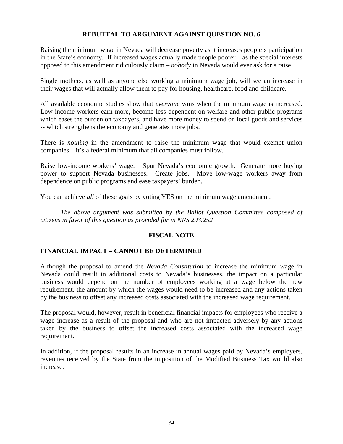# **REBUTTAL TO ARGUMENT AGAINST QUESTION NO. 6**

Raising the minimum wage in Nevada will decrease poverty as it increases people's participation in the State's economy. If increased wages actually made people poorer – as the special interests opposed to this amendment ridiculously claim – *nobody* in Nevada would ever ask for a raise.

Single mothers, as well as anyone else working a minimum wage job, will see an increase in their wages that will actually allow them to pay for housing, healthcare, food and childcare.

All available economic studies show that *everyone* wins when the minimum wage is increased. Low-income workers earn more, become less dependent on welfare and other public programs which eases the burden on taxpayers, and have more money to spend on local goods and services -- which strengthens the economy and generates more jobs.

There is *nothing* in the amendment to raise the minimum wage that would exempt union companies – it's a federal minimum that all companies must follow.

Raise low-income workers' wage. Spur Nevada's economic growth. Generate more buying power to support Nevada businesses. Create jobs. Move low-wage workers away from dependence on public programs and ease taxpayers' burden.

You can achieve *all* of these goals by voting YES on the minimum wage amendment.

*The above argument was submitted by the Ballot Question Committee composed of citizens in favor of this question as provided for in NRS 293.252* 

### **FISCAL NOTE**

### **FINANCIAL IMPACT – CANNOT BE DETERMINED**

Although the proposal to amend the *Nevada Constitution* to increase the minimum wage in Nevada could result in additional costs to Nevada's businesses, the impact on a particular business would depend on the number of employees working at a wage below the new requirement, the amount by which the wages would need to be increased and any actions taken by the business to offset any increased costs associated with the increased wage requirement.

The proposal would, however, result in beneficial financial impacts for employees who receive a wage increase as a result of the proposal and who are not impacted adversely by any actions taken by the business to offset the increased costs associated with the increased wage requirement.

In addition, if the proposal results in an increase in annual wages paid by Nevada's employers, revenues received by the State from the imposition of the Modified Business Tax would also increase.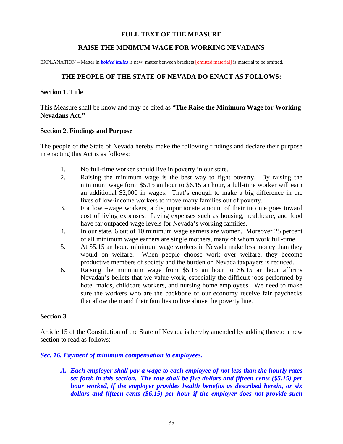## **FULL TEXT OF THE MEASURE**

## **RAISE THE MINIMUM WAGE FOR WORKING NEVADANS**

EXPLANATION – Matter in *bolded italics* is new; matter between brackets **[**omitted material**]** is material to be omitted.

# **THE PEOPLE OF THE STATE OF NEVADA DO ENACT AS FOLLOWS:**

#### **Section 1. Title**.

This Measure shall be know and may be cited as "**The Raise the Minimum Wage for Working Nevadans Act."** 

#### **Section 2. Findings and Purpose**

The people of the State of Nevada hereby make the following findings and declare their purpose in enacting this Act is as follows:

- 1. No full-time worker should live in poverty in our state.
- 2. Raising the minimum wage is the best way to fight poverty. By raising the minimum wage form \$5.15 an hour to \$6.15 an hour, a full-time worker will earn an additional \$2,000 in wages. That's enough to make a big difference in the lives of low-income workers to move many families out of poverty.
- 3. For low –wage workers, a disproportionate amount of their income goes toward cost of living expenses. Living expenses such as housing, healthcare, and food have far outpaced wage levels for Nevada's working families.
- 4. In our state, 6 out of 10 minimum wage earners are women. Moreover 25 percent of all minimum wage earners are single mothers, many of whom work full-time.
- 5. At \$5.15 an hour, minimum wage workers in Nevada make less money than they would on welfare. When people choose work over welfare, they become productive members of society and the burden on Nevada taxpayers is reduced.
- 6. Raising the minimum wage from \$5.15 an hour to \$6.15 an hour affirms Nevadan's beliefs that we value work, especially the difficult jobs performed by hotel maids, childcare workers, and nursing home employees. We need to make sure the workers who are the backbone of our economy receive fair paychecks that allow them and their families to live above the poverty line.

#### **Section 3.**

Article 15 of the Constitution of the State of Nevada is hereby amended by adding thereto a new section to read as follows:

#### *Sec. 16. Payment of minimum compensation to employees.*

*A. Each employer shall pay a wage to each employee of not less than the hourly rates set forth in this section. The rate shall be five dollars and fifteen cents (\$5.15) per hour worked, if the employer provides health benefits as described herein, or six dollars and fifteen cents (\$6.15) per hour if the employer does not provide such*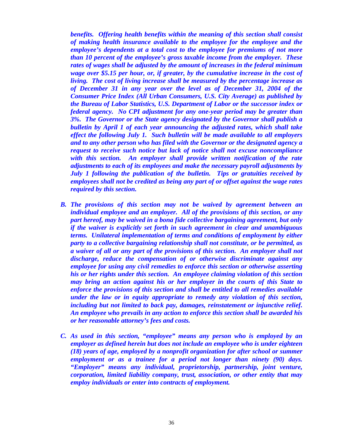*benefits. Offering health benefits within the meaning of this section shall consist of making health insurance available to the employee for the employee and the employee's dependents at a total cost to the employee for premiums of not more than 10 percent of the employee's gross taxable income from the employer. These rates of wages shall be adjusted by the amount of increases in the federal minimum wage over \$5.15 per hour, or, if greater, by the cumulative increase in the cost of living. The cost of living increase shall be measured by the percentage increase as of December 31 in any year over the level as of December 31, 2004 of the Consumer Price Index (All Urban Consumers, U.S. City Average) as published by the Bureau of Labor Statistics, U.S. Department of Labor or the successor index or federal agency. No CPI adjustment for any one-year period may be greater than 3%. The Governor or the State agency designated by the Governor shall publish a bulletin by April 1 of each year announcing the adjusted rates, which shall take effect the following July 1. Such bulletin will be made available to all employers and to any other person who has filed with the Governor or the designated agency a request to receive such notice but lack of notice shall not excuse noncompliance with this section. An employer shall provide written notification of the rate adjustments to each of its employees and make the necessary payroll adjustments by July 1 following the publication of the bulletin. Tips or gratuities received by employees shall not be credited as being any part of or offset against the wage rates required by this section.* 

- *B. The provisions of this section may not be waived by agreement between an individual employee and an employer. All of the provisions of this section, or any part hereof, may be waived in a bona fide collective bargaining agreement, but only if the waiver is explicitly set forth in such agreement in clear and unambiguous terms. Unilateral implementation of terms and conditions of employment by either party to a collective bargaining relationship shall not constitute, or be permitted, as a waiver of all or any part of the provisions of this section. An employer shall not discharge, reduce the compensation of or otherwise discriminate against any employee for using any civil remedies to enforce this section or otherwise asserting his or her rights under this section. An employee claiming violation of this section may bring an action against his or her employer in the courts of this State to enforce the provisions of this section and shall be entitled to all remedies available under the law or in equity appropriate to remedy any violation of this section, including but not limited to back pay, damages, reinstatement or injunctive relief. An employee who prevails in any action to enforce this section shall be awarded his or her reasonable attorney's fees and costs.*
- *C. As used in this section, "employee" means any person who is employed by an employer as defined herein but does not include an employee who is under eighteen (18) years of age, employed by a nonprofit organization for after school or summer employment or as a trainee for a period not longer than ninety (90) days. "Employer" means any individual, proprietorship, partnership, joint venture, corporation, limited liability company, trust, association, or other entity that may employ individuals or enter into contracts of employment.*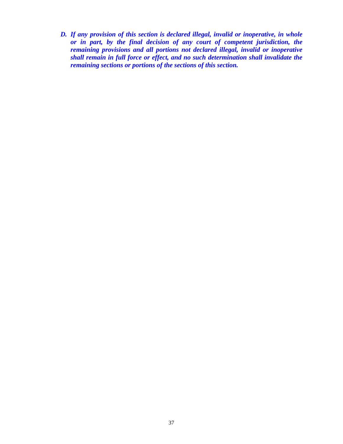*D. If any provision of this section is declared illegal, invalid or inoperative, in whole or in part, by the final decision of any court of competent jurisdiction, the remaining provisions and all portions not declared illegal, invalid or inoperative shall remain in full force or effect, and no such determination shall invalidate the remaining sections or portions of the sections of this section.*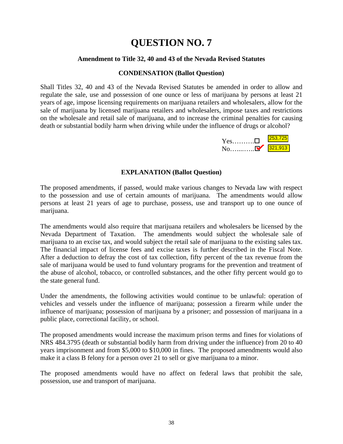# **QUESTION NO. 7**

## **Amendment to Title 32, 40 and 43 of the Nevada Revised Statutes**

#### **CONDENSATION (Ballot Question)**

Shall Titles 32, 40 and 43 of the Nevada Revised Statutes be amended in order to allow and regulate the sale, use and possession of one ounce or less of marijuana by persons at least 21 years of age, impose licensing requirements on marijuana retailers and wholesalers, allow for the sale of marijuana by licensed marijuana retailers and wholesalers, impose taxes and restrictions on the wholesale and retail sale of marijuana, and to increase the criminal penalties for causing death or substantial bodily harm when driving while under the influence of drugs or alcohol?

| $Yes$ |        |
|-------|--------|
|       | .      |
| '. Li | 1941.V |

#### **EXPLANATION (Ballot Question)**

The proposed amendments, if passed, would make various changes to Nevada law with respect to the possession and use of certain amounts of marijuana. The amendments would allow persons at least 21 years of age to purchase, possess, use and transport up to one ounce of marijuana.

The amendments would also require that marijuana retailers and wholesalers be licensed by the Nevada Department of Taxation. The amendments would subject the wholesale sale of marijuana to an excise tax, and would subject the retail sale of marijuana to the existing sales tax. The financial impact of license fees and excise taxes is further described in the Fiscal Note. After a deduction to defray the cost of tax collection, fifty percent of the tax revenue from the sale of marijuana would be used to fund voluntary programs for the prevention and treatment of the abuse of alcohol, tobacco, or controlled substances, and the other fifty percent would go to the state general fund.

Under the amendments, the following activities would continue to be unlawful: operation of vehicles and vessels under the influence of marijuana; possession a firearm while under the influence of marijuana; possession of marijuana by a prisoner; and possession of marijuana in a public place, correctional facility, or school.

The proposed amendments would increase the maximum prison terms and fines for violations of NRS 484.3795 (death or substantial bodily harm from driving under the influence) from 20 to 40 years imprisonment and from \$5,000 to \$10,000 in fines. The proposed amendments would also make it a class B felony for a person over 21 to sell or give marijuana to a minor.

The proposed amendments would have no affect on federal laws that prohibit the sale, possession, use and transport of marijuana.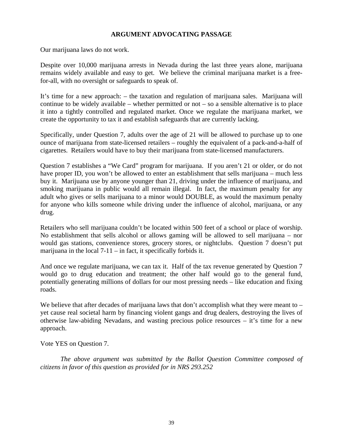## **ARGUMENT ADVOCATING PASSAGE**

Our marijuana laws do not work.

Despite over 10,000 marijuana arrests in Nevada during the last three years alone, marijuana remains widely available and easy to get. We believe the criminal marijuana market is a freefor-all, with no oversight or safeguards to speak of.

It's time for a new approach: – the taxation and regulation of marijuana sales. Marijuana will continue to be widely available – whether permitted or not – so a sensible alternative is to place it into a tightly controlled and regulated market. Once we regulate the marijuana market, we create the opportunity to tax it and establish safeguards that are currently lacking.

Specifically, under Question 7, adults over the age of 21 will be allowed to purchase up to one ounce of marijuana from state-licensed retailers – roughly the equivalent of a pack-and-a-half of cigarettes. Retailers would have to buy their marijuana from state-licensed manufacturers.

Question 7 establishes a "We Card" program for marijuana. If you aren't 21 or older, or do not have proper ID, you won't be allowed to enter an establishment that sells marijuana – much less buy it. Marijuana use by anyone younger than 21, driving under the influence of marijuana, and smoking marijuana in public would all remain illegal. In fact, the maximum penalty for any adult who gives or sells marijuana to a minor would DOUBLE, as would the maximum penalty for anyone who kills someone while driving under the influence of alcohol, marijuana, or any drug.

Retailers who sell marijuana couldn't be located within 500 feet of a school or place of worship. No establishment that sells alcohol or allows gaming will be allowed to sell marijuana – nor would gas stations, convenience stores, grocery stores, or nightclubs. Question 7 doesn't put marijuana in the local  $7-11$  – in fact, it specifically forbids it.

And once we regulate marijuana, we can tax it. Half of the tax revenue generated by Question 7 would go to drug education and treatment; the other half would go to the general fund, potentially generating millions of dollars for our most pressing needs – like education and fixing roads.

We believe that after decades of marijuana laws that don't accomplish what they were meant to – yet cause real societal harm by financing violent gangs and drug dealers, destroying the lives of otherwise law-abiding Nevadans, and wasting precious police resources – it's time for a new approach.

Vote YES on Question 7.

 *The above argument was submitted by the Ballot Question Committee composed of citizens in favor of this question as provided for in NRS 293.252*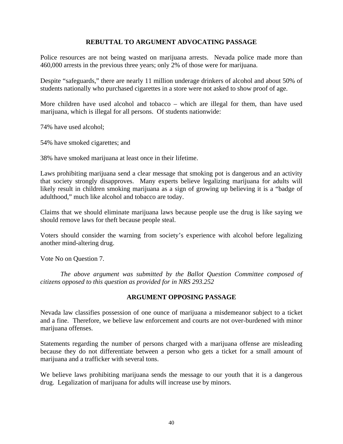## **REBUTTAL TO ARGUMENT ADVOCATING PASSAGE**

Police resources are not being wasted on marijuana arrests. Nevada police made more than 460,000 arrests in the previous three years; only 2% of those were for marijuana.

Despite "safeguards," there are nearly 11 million underage drinkers of alcohol and about 50% of students nationally who purchased cigarettes in a store were not asked to show proof of age.

More children have used alcohol and tobacco – which are illegal for them, than have used marijuana, which is illegal for all persons. Of students nationwide:

74% have used alcohol;

54% have smoked cigarettes; and

38% have smoked marijuana at least once in their lifetime.

Laws prohibiting marijuana send a clear message that smoking pot is dangerous and an activity that society strongly disapproves. Many experts believe legalizing marijuana for adults will likely result in children smoking marijuana as a sign of growing up believing it is a "badge of adulthood," much like alcohol and tobacco are today.

Claims that we should eliminate marijuana laws because people use the drug is like saying we should remove laws for theft because people steal.

Voters should consider the warning from society's experience with alcohol before legalizing another mind-altering drug.

Vote No on Question 7.

*The above argument was submitted by the Ballot Question Committee composed of citizens opposed to this question as provided for in NRS 293.252* 

#### **ARGUMENT OPPOSING PASSAGE**

Nevada law classifies possession of one ounce of marijuana a misdemeanor subject to a ticket and a fine. Therefore, we believe law enforcement and courts are not over-burdened with minor marijuana offenses.

Statements regarding the number of persons charged with a marijuana offense are misleading because they do not differentiate between a person who gets a ticket for a small amount of marijuana and a trafficker with several tons.

We believe laws prohibiting marijuana sends the message to our youth that it is a dangerous drug. Legalization of marijuana for adults will increase use by minors.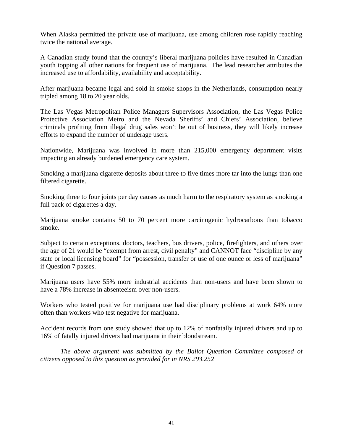When Alaska permitted the private use of marijuana, use among children rose rapidly reaching twice the national average.

A Canadian study found that the country's liberal marijuana policies have resulted in Canadian youth topping all other nations for frequent use of marijuana. The lead researcher attributes the increased use to affordability, availability and acceptability.

After marijuana became legal and sold in smoke shops in the Netherlands, consumption nearly tripled among 18 to 20 year olds.

The Las Vegas Metropolitan Police Managers Supervisors Association, the Las Vegas Police Protective Association Metro and the Nevada Sheriffs' and Chiefs' Association, believe criminals profiting from illegal drug sales won't be out of business, they will likely increase efforts to expand the number of underage users.

Nationwide, Marijuana was involved in more than 215,000 emergency department visits impacting an already burdened emergency care system.

Smoking a marijuana cigarette deposits about three to five times more tar into the lungs than one filtered cigarette.

Smoking three to four joints per day causes as much harm to the respiratory system as smoking a full pack of cigarettes a day.

Marijuana smoke contains 50 to 70 percent more carcinogenic hydrocarbons than tobacco smoke.

Subject to certain exceptions, doctors, teachers, bus drivers, police, firefighters, and others over the age of 21 would be "exempt from arrest, civil penalty" and CANNOT face "discipline by any state or local licensing board" for "possession, transfer or use of one ounce or less of marijuana" if Question 7 passes.

Marijuana users have 55% more industrial accidents than non-users and have been shown to have a 78% increase in absenteeism over non-users.

Workers who tested positive for marijuana use had disciplinary problems at work 64% more often than workers who test negative for marijuana.

Accident records from one study showed that up to 12% of nonfatally injured drivers and up to 16% of fatally injured drivers had marijuana in their bloodstream.

*The above argument was submitted by the Ballot Question Committee composed of citizens opposed to this question as provided for in NRS 293.252*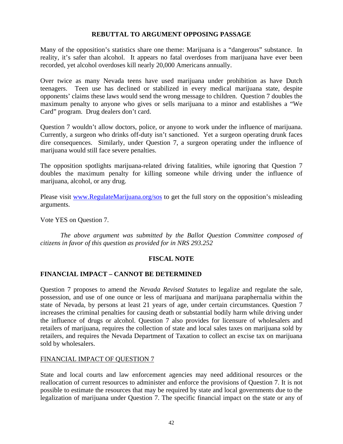## **REBUTTAL TO ARGUMENT OPPOSING PASSAGE**

Many of the opposition's statistics share one theme: Marijuana is a "dangerous" substance. In reality, it's safer than alcohol. It appears no fatal overdoses from marijuana have ever been recorded, yet alcohol overdoses kill nearly 20,000 Americans annually.

Over twice as many Nevada teens have used marijuana under prohibition as have Dutch teenagers. Teen use has declined or stabilized in every medical marijuana state, despite opponents' claims these laws would send the wrong message to children. Question 7 doubles the maximum penalty to anyone who gives or sells marijuana to a minor and establishes a "We Card" program. Drug dealers don't card.

Question 7 wouldn't allow doctors, police, or anyone to work under the influence of marijuana. Currently, a surgeon who drinks off-duty isn't sanctioned. Yet a surgeon operating drunk faces dire consequences. Similarly, under Question 7, a surgeon operating under the influence of marijuana would still face severe penalties.

The opposition spotlights marijuana-related driving fatalities, while ignoring that Question 7 doubles the maximum penalty for killing someone while driving under the influence of marijuana, alcohol, or any drug.

Please visit www.RegulateMarijuana.org/sos to get the full story on the opposition's misleading arguments.

Vote YES on Question 7.

*The above argument was submitted by the Ballot Question Committee composed of citizens in favor of this question as provided for in NRS 293.252* 

# **FISCAL NOTE**

# **FINANCIAL IMPACT – CANNOT BE DETERMINED**

Question 7 proposes to amend the *Nevada Revised Statutes* to legalize and regulate the sale, possession, and use of one ounce or less of marijuana and marijuana paraphernalia within the state of Nevada, by persons at least 21 years of age, under certain circumstances. Question 7 increases the criminal penalties for causing death or substantial bodily harm while driving under the influence of drugs or alcohol. Question 7 also provides for licensure of wholesalers and retailers of marijuana, requires the collection of state and local sales taxes on marijuana sold by retailers, and requires the Nevada Department of Taxation to collect an excise tax on marijuana sold by wholesalers.

#### FINANCIAL IMPACT OF QUESTION 7

State and local courts and law enforcement agencies may need additional resources or the reallocation of current resources to administer and enforce the provisions of Question 7. It is not possible to estimate the resources that may be required by state and local governments due to the legalization of marijuana under Question 7. The specific financial impact on the state or any of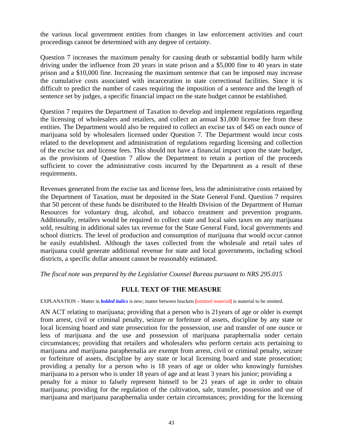the various local government entities from changes in law enforcement activities and court proceedings cannot be determined with any degree of certainty.

Question 7 increases the maximum penalty for causing death or substantial bodily harm while driving under the influence from 20 years in state prison and a \$5,000 fine to 40 years in state prison and a \$10,000 fine. Increasing the maximum sentence that can be imposed may increase the cumulative costs associated with incarceration in state correctional facilities. Since it is difficult to predict the number of cases requiring the imposition of a sentence and the length of sentence set by judges, a specific financial impact on the state budget cannot be established.

Question 7 requires the Department of Taxation to develop and implement regulations regarding the licensing of wholesalers and retailers, and collect an annual \$1,000 license fee from these entities. The Department would also be required to collect an excise tax of \$45 on each ounce of marijuana sold by wholesalers licensed under Question 7. The Department would incur costs related to the development and administration of regulations regarding licensing and collection of the excise tax and license fees. This should not have a financial impact upon the state budget, as the provisions of Question 7 allow the Department to retain a portion of the proceeds sufficient to cover the administrative costs incurred by the Department as a result of these requirements.

Revenues generated from the excise tax and license fees, less the administrative costs retained by the Department of Taxation, must be deposited in the State General Fund. Question 7 requires that 50 percent of these funds be distributed to the Health Division of the Department of Human Resources for voluntary drug, alcohol, and tobacco treatment and prevention programs. Additionally, retailers would be required to collect state and local sales taxes on any marijuana sold, resulting in additional sales tax revenue for the State General Fund, local governments and school districts. The level of production and consumption of marijuana that would occur cannot be easily established. Although the taxes collected from the wholesale and retail sales of marijuana could generate additional revenue for state and local governments, including school districts, a specific dollar amount cannot be reasonably estimated.

*The fiscal note was prepared by the Legislative Counsel Bureau pursuant to NRS 295.015* 

#### **FULL TEXT OF THE MEASURE**

EXPLANATION – Matter in *bolded italics* is new; matter between brackets **[**omitted material**]** is material to be omitted.

AN ACT relating to marijuana; providing that a person who is 21years of age or older is exempt from arrest, civil or criminal penalty, seizure or forfeiture of assets, discipline by any state or local licensing board and state prosecution for the possession, use and transfer of one ounce or less of marijuana and the use and possession of marijuana paraphernalia under certain circumstances; providing that retailers and wholesalers who perform certain acts pertaining to marijuana and marijuana paraphernalia are exempt from arrest, civil or criminal penalty, seizure or forfeiture of assets, discipline by any state or local licensing board and state prosecution; providing a penalty for a person who is 18 years of age or older who knowingly furnishes marijuana to a person who is under 18 years of age and at least 3 years his junior; providing a penalty for a minor to falsely represent himself to be 21 years of age in order to obtain marijuana; providing for the regulation of the cultivation, sale, transfer, possession and use of marijuana and marijuana paraphernalia under certain circumstances; providing for the licensing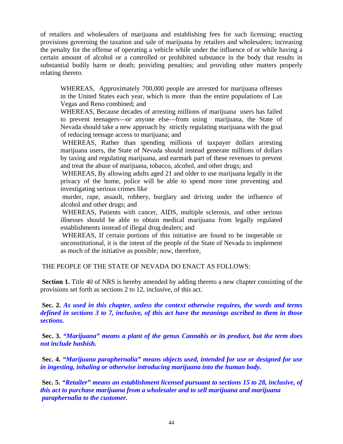of retailers and wholesalers of marijuana and establishing fees for such licensing; enacting provisions governing the taxation and sale of marijuana by retailers and wholesalers; increasing the penalty for the offense of operating a vehicle while under the influence of or while having a certain amount of alcohol or a controlled or prohibited substance in the body that results in substantial bodily harm or death; providing penalties; and providing other matters properly relating thereto.

WHEREAS, Approximately 700,000 people are arrested for marijuana offenses in the United States each year, which is more than the entire populations of Las Vegas and Reno combined; and

WHEREAS, Because decades of arresting millions of marijuana users has failed to prevent teenagers—or anyone else—from using marijuana, the State of Nevada should take a new approach by strictly regulating marijuana with the goal of reducing teenage access to marijuana; and

 WHEREAS, Rather than spending millions of taxpayer dollars arresting marijuana users, the State of Nevada should instead generate millions of dollars by taxing and regulating marijuana, and earmark part of these revenues to prevent and treat the abuse of marijuana, tobacco, alcohol, and other drugs; and

 WHEREAS, By allowing adults aged 21 and older to use marijuana legally in the privacy of the home, police will be able to spend more time preventing and investigating serious crimes like

 murder, rape, assault, robbery, burglary and driving under the influence of alcohol and other drugs; and

 WHEREAS, Patients with cancer, AIDS, multiple sclerosis, and other serious illnesses should be able to obtain medical marijuana from legally regulated establishments instead of illegal drug dealers; and

 WHEREAS, If certain portions of this initiative are found to be inoperable or unconstitutional, it is the intent of the people of the State of Nevada to implement as much of the initiative as possible; now, therefore,

THE PEOPLE OF THE STATE OF NEVADA DO ENACT AS FOLLOWS:

**Section 1.** Title 40 of NRS is hereby amended by adding thereto a new chapter consisting of the provisions set forth as sections 2 to 12, inclusive, of this act.

**Sec. 2.** *As used in this chapter, unless the context otherwise requires, the words and terms defined in sections 3 to 7, inclusive, of this act have the meanings ascribed to them in those sections.* 

**Sec. 3.** *"Marijuana" means a plant of the genus Cannabis or its product, but the term does not include hashish.* 

**Sec. 4.** *"Marijuana paraphernalia" means objects used, intended for use or designed for use in ingesting, inhaling or otherwise introducing marijuana into the human body.* 

**Sec. 5.** *"Retailer" means an establishment licensed pursuant to sections 15 to 28, inclusive, of this act to purchase marijuana from a wholesaler and to sell marijuana and marijuana paraphernalia to the customer.*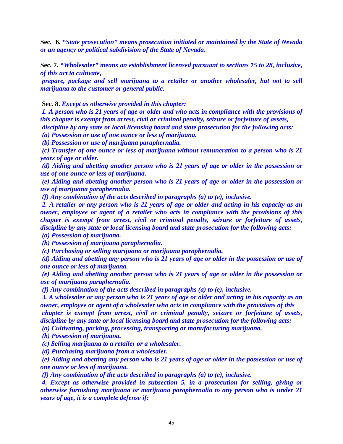**Sec. 6.** *"State prosecution" means prosecution initiated or maintained by the State of Nevada or an agency or political subdivision of the State of Nevada.* 

**Sec. 7.** *"Wholesaler" means an establishment licensed pursuant to sections 15 to 28, inclusive, of this act to cultivate,* 

*prepare, package and sell marijuana to a retailer or another wholesaler, but not to sell marijuana to the customer or general public.* 

**Sec. 8.** *Except as otherwise provided in this chapter:* 

*1. A person who is 21 years of age or older and who acts in compliance with the provisions of this chapter is exempt from arrest, civil or criminal penalty, seizure or forfeiture of assets,* 

*discipline by any state or local licensing board and state prosecution for the following acts:* 

*(a) Possession or use of one ounce or less of marijuana.* 

*(b) Possession or use of marijuana paraphernalia.* 

*(c) Transfer of one ounce or less of marijuana without remuneration to a person who is 21 years of age or older.* 

*(d) Aiding and abetting another person who is 21 years of age or older in the possession or use of one ounce or less of marijuana.* 

*(e) Aiding and abetting another person who is 21 years of age or older in the possession or use of marijuana paraphernalia.* 

*(f) Any combination of the acts described in paragraphs (a) to (e), inclusive.* 

*2. A retailer or any person who is 21 years of age or older and acting in his capacity as an owner, employee or agent of a retailer who acts in compliance with the provisions of this chapter is exempt from arrest, civil or criminal penalty, seizure or forfeiture of assets, discipline by any state or local licensing board and state prosecution for the following acts:* 

*(a) Possession of marijuana.* 

*(b) Possession of marijuana paraphernalia.* 

*(c) Purchasing or selling marijuana or marijuana paraphernalia.* 

*(d) Aiding and abetting any person who is 21 years of age or older in the possession or use of one ounce or less of marijuana.* 

*(e) Aiding and abetting another person who is 21 years of age or older in the possession or use of marijuana paraphernalia.* 

*(f) Any combination of the acts described in paragraphs (a) to (e), inclusive.* 

*3. A wholesaler or any person who is 21 years of age or older and acting in his capacity as an owner, employee or agent of a wholesaler who acts in compliance with the provisions of this chapter is exempt from arrest, civil or criminal penalty, seizure or forfeiture of assets, discipline by any state or local licensing board and state prosecution for the following acts:* 

*(a) Cultivating, packing, processing, transporting or manufacturing marijuana.* 

*(b) Possession of marijuana.* 

*(c) Selling marijuana to a retailer or a wholesaler.* 

*(d) Purchasing marijuana from a wholesaler.* 

*(e) Aiding and abetting any person who is 21 years of age or older in the possession or use of one ounce or less of marijuana.* 

*(f) Any combination of the acts described in paragraphs (a) to (e), inclusive.* 

*4. Except as otherwise provided in subsection 5, in a prosecution for selling, giving or otherwise furnishing marijuana or marijuana paraphernalia to any person who is under 21 years of age, it is a complete defense if:*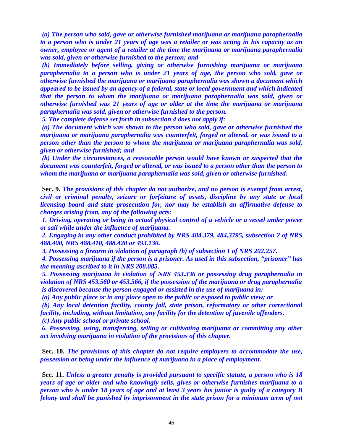*(a) The person who sold, gave or otherwise furnished marijuana or marijuana paraphernalia to a person who is under 21 years of age was a retailer or was acting in his capacity as an owner, employee or agent of a retailer at the time the marijuana or marijuana paraphernalia was sold, given or otherwise furnished to the person; and* 

*(b) Immediately before selling, giving or otherwise furnishing marijuana or marijuana paraphernalia to a person who is under 21 years of age, the person who sold, gave or otherwise furnished the marijuana or marijuana paraphernalia was shown a document which appeared to be issued by an agency of a federal, state or local government and which indicated that the person to whom the marijuana or marijuana paraphernalia was sold, given or otherwise furnished was 21 years of age or older at the time the marijuana or marijuana paraphernalia was sold, given or otherwise furnished to the person.* 

*5. The complete defense set forth in subsection 4 does not apply if:* 

*(a) The document which was shown to the person who sold, gave or otherwise furnished the marijuana or marijuana paraphernalia was counterfeit, forged or altered, or was issued to a person other than the person to whom the marijuana or marijuana paraphernalia was sold, given or otherwise furnished; and* 

*(b) Under the circumstances, a reasonable person would have known or suspected that the document was counterfeit, forged or altered, or was issued to a person other than the person to whom the marijuana or marijuana paraphernalia was sold, given or otherwise furnished.* 

**Sec. 9.** *The provisions of this chapter do not authorize, and no person is exempt from arrest, civil or criminal penalty, seizure or forfeiture of assets, discipline by any state or local licensing board and state prosecution for, nor may he establish an affirmative defense to charges arising from, any of the following acts:* 

*1. Driving, operating or being in actual physical control of a vehicle or a vessel under power or sail while under the influence of marijuana.* 

*2. Engaging in any other conduct prohibited by NRS 484.379, 484.3795, subsection 2 of NRS 488.400, NRS 488.410, 488.420 or 493.130.* 

*3. Possessing a firearm in violation of paragraph (b) of subsection 1 of NRS 202.257.* 

*4. Possessing marijuana if the person is a prisoner. As used in this subsection, "prisoner" has the meaning ascribed to it in NRS 208.085.* 

*5. Possessing marijuana in violation of NRS 453.336 or possessing drug paraphernalia in violation of NRS 453.560 or 453.566, if the possession of the marijuana or drug paraphernalia is discovered because the person engaged or assisted in the use of marijuana in:* 

*(a) Any public place or in any place open to the public or exposed to public view; or* 

*(b) Any local detention facility, county jail, state prison, reformatory or other correctional facility, including, without limitation, any facility for the detention of juvenile offenders. (c) Any public school or private school.* 

*6. Possessing, using, transferring, selling or cultivating marijuana or committing any other act involving marijuana in violation of the provisions of this chapter.* 

**Sec. 10.** *The provisions of this chapter do not require employers to accommodate the use, possession or being under the influence of marijuana in a place of employment.* 

**Sec. 11.** *Unless a greater penalty is provided pursuant to specific statute, a person who is 18 years of age or older and who knowingly sells, gives or otherwise furnishes marijuana to a person who is under 18 years of age and at least 3 years his junior is guilty of a category B felony and shall be punished by imprisonment in the state prison for a minimum term of not*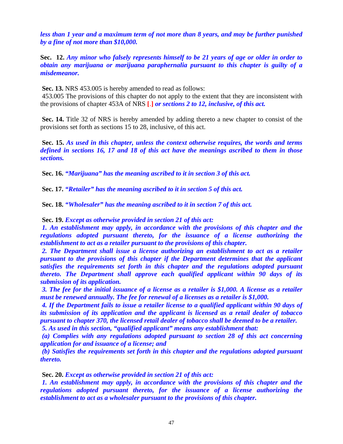*less than 1 year and a maximum term of not more than 8 years, and may be further punished by a fine of not more than \$10,000.* 

**Sec. 12.** *Any minor who falsely represents himself to be 21 years of age or older in order to obtain any marijuana or marijuana paraphernalia pursuant to this chapter is guilty of a misdemeanor.* 

**Sec. 13.** NRS 453.005 is hereby amended to read as follows:

 453.005 The provisions of this chapter do not apply to the extent that they are inconsistent with the provisions of chapter 453A of NRS **[**.**]** *or sections 2 to 12, inclusive, of this act.* 

**Sec. 14.** Title 32 of NRS is hereby amended by adding thereto a new chapter to consist of the provisions set forth as sections 15 to 28, inclusive, of this act.

**Sec. 15.** *As used in this chapter, unless the context otherwise requires, the words and terms defined in sections 16, 17 and 18 of this act have the meanings ascribed to them in those sections.* 

**Sec. 16.** *"Marijuana" has the meaning ascribed to it in section 3 of this act.* 

**Sec. 17.** *"Retailer" has the meaning ascribed to it in section 5 of this act.* 

**Sec. 18.** *"Wholesaler" has the meaning ascribed to it in section 7 of this act.* 

**Sec. 19.** *Except as otherwise provided in section 21 of this act:* 

*1. An establishment may apply, in accordance with the provisions of this chapter and the regulations adopted pursuant thereto, for the issuance of a license authorizing the establishment to act as a retailer pursuant to the provisions of this chapter.* 

*2. The Department shall issue a license authorizing an establishment to act as a retailer pursuant to the provisions of this chapter if the Department determines that the applicant satisfies the requirements set forth in this chapter and the regulations adopted pursuant thereto. The Department shall approve each qualified applicant within 90 days of its submission of its application.* 

*3. The fee for the initial issuance of a license as a retailer is \$1,000. A license as a retailer must be renewed annually. The fee for renewal of a licenses as a retailer is \$1,000.* 

*4. If the Department fails to issue a retailer license to a qualified applicant within 90 days of its submission of its application and the applicant is licensed as a retail dealer of tobacco pursuant to chapter 370, the licensed retail dealer of tobacco shall be deemed to be a retailer.* 

*5. As used in this section, "qualified applicant" means any establishment that:* 

 *(a) Complies with any regulations adopted pursuant to section 28 of this act concerning application for and issuance of a license; and* 

*(b) Satisfies the requirements set forth in this chapter and the regulations adopted pursuant thereto.* 

**Sec. 20.** *Except as otherwise provided in section 21 of this act:* 

*1. An establishment may apply, in accordance with the provisions of this chapter and the regulations adopted pursuant thereto, for the issuance of a license authorizing the establishment to act as a wholesaler pursuant to the provisions of this chapter.*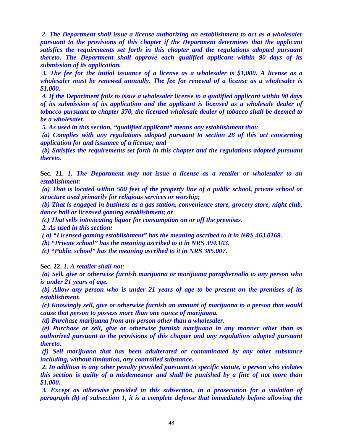*2. The Department shall issue a license authorizing an establishment to act as a wholesaler pursuant to the provisions of this chapter if the Department determines that the applicant satisfies the requirements set forth in this chapter and the regulations adopted pursuant thereto. The Department shall approve each qualified applicant within 90 days of its submission of its application.* 

*3. The fee for the initial issuance of a license as a wholesaler is \$1,000. A license as a wholesaler must be renewed annually. The fee for renewal of a license as a wholesaler is \$1,000.* 

*4. If the Department fails to issue a wholesaler license to a qualified applicant within 90 days of its submission of its application and the applicant is licensed as a wholesale dealer of tobacco pursuant to chapter 370, the licensed wholesale dealer of tobacco shall be deemed to be a wholesaler.* 

*5. As used in this section, "qualified applicant" means any establishment that:* 

*(a) Complies with any regulations adopted pursuant to section 28 of this act concerning application for and issuance of a license; and* 

*(b) Satisfies the requirements set forth in this chapter and the regulations adopted pursuant thereto.* 

**Sec. 21.** *1. The Department may not issue a license as a retailer or wholesaler to an establishment:* 

*(a) That is located within 500 feet of the property line of a public school, private school or structure used primarily for religious services or worship;* 

*(b) That is engaged in business as a gas station, convenience store, grocery store, night club, dance hall or licensed gaming establishment; or* 

*(c) That sells intoxicating liquor for consumption on or off the premises.* 

*2. As used in this section:* 

 *( a) "Licensed gaming establishment" has the meaning ascribed to it in NRS 463.0169.* 

*(b) "Private school" has the meaning ascribed to it in NRS 394.103.* 

*(c) "Public school" has the meaning ascribed to it in NRS 385.007.* 

**Sec. 22.** *1. A retailer shall not:* 

*(a) Sell, give or otherwise furnish marijuana or marijuana paraphernalia to any person who is under 21 years of age.* 

*(b) Allow any person who is under 21 years of age to be present on the premises of its establishment.* 

*(c) Knowingly sell, give or otherwise furnish an amount of marijuana to a person that would cause that person to possess more than one ounce of marijuana.* 

*(d) Purchase marijuana from any person other than a wholesaler.* 

*(e) Purchase or sell, give or otherwise furnish marijuana in any manner other than as authorized pursuant to the provisions of this chapter and any regulations adopted pursuant thereto.* 

*(f) Sell marijuana that has been adulterated or contaminated by any other substance including, without limitation, any controlled substance.* 

*2. In addition to any other penalty provided pursuant to specific statute, a person who violates this section is guilty of a misdemeanor and shall be punished by a fine of not more than \$1,000.* 

*3. Except as otherwise provided in this subsection, in a prosecution for a violation of paragraph (b) of subsection 1, it is a complete defense that immediately before allowing the*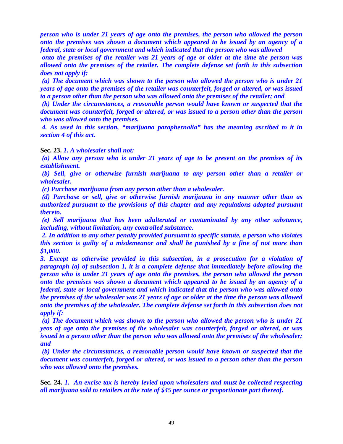*person who is under 21 years of age onto the premises, the person who allowed the person onto the premises was shown a document which appeared to be issued by an agency of a federal, state or local government and which indicated that the person who was allowed* 

*onto the premises of the retailer was 21 years of age or older at the time the person was allowed onto the premises of the retailer. The complete defense set forth in this subsection does not apply if:* 

*(a) The document which was shown to the person who allowed the person who is under 21 years of age onto the premises of the retailer was counterfeit, forged or altered, or was issued to a person other than the person who was allowed onto the premises of the retailer; and* 

*(b) Under the circumstances, a reasonable person would have known or suspected that the document was counterfeit, forged or altered, or was issued to a person other than the person who was allowed onto the premises.* 

*4. As used in this section, "marijuana paraphernalia" has the meaning ascribed to it in section 4 of this act.* 

**Sec. 23.** *1. A wholesaler shall not:* 

*(a) Allow any person who is under 21 years of age to be present on the premises of its establishment.* 

*(b) Sell, give or otherwise furnish marijuana to any person other than a retailer or wholesaler.* 

*(c) Purchase marijuana from any person other than a wholesaler.* 

*(d) Purchase or sell, give or otherwise furnish marijuana in any manner other than as authorized pursuant to the provisions of this chapter and any regulations adopted pursuant thereto.* 

*(e) Sell marijuana that has been adulterated or contaminated by any other substance, including, without limitation, any controlled substance.* 

*2. In addition to any other penalty provided pursuant to specific statute, a person who violates this section is guilty of a misdemeanor and shall be punished by a fine of not more than \$1,000.* 

*3. Except as otherwise provided in this subsection, in a prosecution for a violation of paragraph (a) of subsection 1, it is a complete defense that immediately before allowing the person who is under 21 years of age onto the premises, the person who allowed the person onto the premises was shown a document which appeared to be issued by an agency of a federal, state or local government and which indicated that the person who was allowed onto the premises of the wholesaler was 21 years of age or older at the time the person was allowed onto the premises of the wholesaler. The complete defense set forth in this subsection does not apply if:* 

*(a) The document which was shown to the person who allowed the person who is under 21 yeas of age onto the premises of the wholesaler was counterfeit, forged or altered, or was issued to a person other than the person who was allowed onto the premises of the wholesaler; and* 

*(b) Under the circumstances, a reasonable person would have known or suspected that the document was counterfeit, forged or altered, or was issued to a person other than the person who was allowed onto the premises.* 

**Sec. 24.** *1. An excise tax is hereby levied upon wholesalers and must be collected respecting all marijuana sold to retailers at the rate of \$45 per ounce or proportionate part thereof.*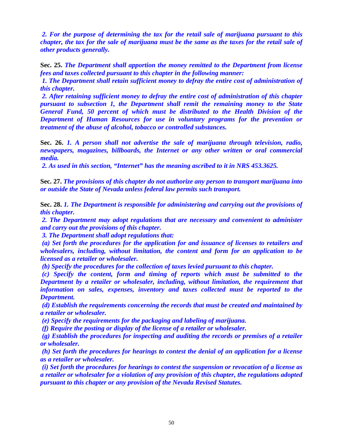*2. For the purpose of determining the tax for the retail sale of marijuana pursuant to this chapter, the tax for the sale of marijuana must be the same as the taxes for the retail sale of other products generally.* 

**Sec. 25.** *The Department shall apportion the money remitted to the Department from license fees and taxes collected pursuant to this chapter in the following manner:* 

*1. The Department shall retain sufficient money to defray the entire cost of administration of this chapter.* 

*2. After retaining sufficient money to defray the entire cost of administration of this chapter pursuant to subsection 1, the Department shall remit the remaining money to the State General Fund, 50 percent of which must be distributed to the Health Division of the Department of Human Resources for use in voluntary programs for the prevention or treatment of the abuse of alcohol, tobacco or controlled substances.* 

**Sec. 26.** *1. A person shall not advertise the sale of marijuana through television, radio, newspapers, magazines, billboards, the Internet or any other written or oral commercial media.* 

*2. As used in this section, "Internet" has the meaning ascribed to it in NRS 453.3625.* 

**Sec. 27.** *The provisions of this chapter do not authorize any person to transport marijuana into or outside the State of Nevada unless federal law permits such transport.* 

**Sec. 28.** *1. The Department is responsible for administering and carrying out the provisions of this chapter.* 

*2. The Department may adopt regulations that are necessary and convenient to administer and carry out the provisions of this chapter.* 

*3. The Department shall adopt regulations that:* 

*(a) Set forth the procedures for the application for and issuance of licenses to retailers and wholesalers, including, without limitation, the content and form for an application to be licensed as a retailer or wholesaler.* 

*(b) Specify the procedures for the collection of taxes levied pursuant to this chapter.* 

*(c) Specify the content, form and timing of reports which must be submitted to the Department by a retailer or wholesaler, including, without limitation, the requirement that information on sales, expenses, inventory and taxes collected must be reported to the Department.* 

*(d) Establish the requirements concerning the records that must be created and maintained by a retailer or wholesaler.* 

*(e) Specify the requirements for the packaging and labeling of marijuana.* 

*(f) Require the posting or display of the license of a retailer or wholesaler.* 

*(g) Establish the procedures for inspecting and auditing the records or premises of a retailer or wholesaler.* 

*(h) Set forth the procedures for hearings to contest the denial of an application for a license as a retailer or wholesaler.* 

*(i) Set forth the procedures for hearings to contest the suspension or revocation of a license as a retailer or wholesaler for a violation of any provision of this chapter, the regulations adopted pursuant to this chapter or any provision of the Nevada Revised Statutes.*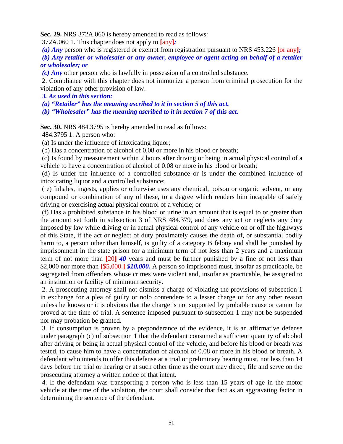**Sec. 29.** NRS 372A.060 is hereby amended to read as follows:

372A.060 1. This chapter does not apply to **[**any**]***:* 

*(a) Any* person who is registered or exempt from registration pursuant to NRS 453.226 **[**or any**]***; (b) Any retailer or wholesaler or any owner, employee or agent acting on behalf of a retailer or wholesaler; or* 

*(c) Any* other person who is lawfully in possession of a controlled substance.

 2. Compliance with this chapter does not immunize a person from criminal prosecution for the violation of any other provision of law.

*3. As used in this section:* 

*(a) "Retailer" has the meaning ascribed to it in section 5 of this act. (b) "Wholesaler" has the meaning ascribed to it in section 7 of this act.* 

**Sec. 30.** NRS 484.3795 is hereby amended to read as follows:

484.3795 1. A person who:

(a) Is under the influence of intoxicating liquor;

(b) Has a concentration of alcohol of 0.08 or more in his blood or breath;

 (c) Is found by measurement within 2 hours after driving or being in actual physical control of a vehicle to have a concentration of alcohol of 0.08 or more in his blood or breath;

 (d) Is under the influence of a controlled substance or is under the combined influence of intoxicating liquor and a controlled substance;

 ( e) Inhales, ingests, applies or otherwise uses any chemical, poison or organic solvent, or any compound or combination of any of these, to a degree which renders him incapable of safely driving or exercising actual physical control of a vehicle; or

 (f) Has a prohibited substance in his blood or urine in an amount that is equal to or greater than the amount set forth in subsection 3 of NRS 484.379, and does any act or neglects any duty imposed by law while driving or in actual physical control of any vehicle on or off the highways of this State, if the act or neglect of duty proximately causes the death of, or substantial bodily harm to, a person other than himself, is guilty of a category B felony and shall be punished by imprisonment in the state prison for a minimum term of not less than 2 years and a maximum term of not more than **[**20**]** *40* years and must be further punished by a fine of not less than \$2,000 nor more than **[**\$5,000.**]** *\$10,000.* A person so imprisoned must, insofar as practicable, be segregated from offenders whose crimes were violent and, insofar as practicable, be assigned to an institution or facility of minimum security.

 2. A prosecuting attorney shall not dismiss a charge of violating the provisions of subsection 1 in exchange for a plea of guilty or nolo contendere to a lesser charge or for any other reason unless he knows or it is obvious that the charge is not supported by probable cause or cannot be proved at the time of trial. A sentence imposed pursuant to subsection 1 may not be suspended nor may probation be granted.

 3. If consumption is proven by a preponderance of the evidence, it is an affirmative defense under paragraph (c) of subsection 1 that the defendant consumed a sufficient quantity of alcohol after driving or being in actual physical control of the vehicle, and before his blood or breath was tested, to cause him to have a concentration of alcohol of 0.08 or more in his blood or breath. A defendant who intends to offer this defense at a trial or preliminary hearing must, not less than 14 days before the trial or hearing or at such other time as the court may direct, file and serve on the prosecuting attorney a written notice of that intent.

 4. If the defendant was transporting a person who is less than 15 years of age in the motor vehicle at the time of the violation, the court shall consider that fact as an aggravating factor in determining the sentence of the defendant.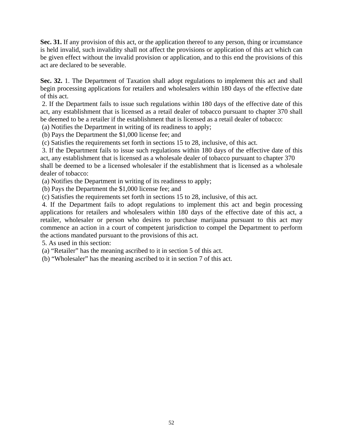**Sec. 31.** If any provision of this act, or the application thereof to any person, thing or ircumstance is held invalid, such invalidity shall not affect the provisions or application of this act which can be given effect without the invalid provision or application, and to this end the provisions of this act are declared to be severable.

**Sec. 32.** 1. The Department of Taxation shall adopt regulations to implement this act and shall begin processing applications for retailers and wholesalers within 180 days of the effective date of this act.

 2. If the Department fails to issue such regulations within 180 days of the effective date of this act, any establishment that is licensed as a retail dealer of tobacco pursuant to chapter 370 shall be deemed to be a retailer if the establishment that is licensed as a retail dealer of tobacco:

(a) Notifies the Department in writing of its readiness to apply;

(b) Pays the Department the \$1,000 license fee; and

(c) Satisfies the requirements set forth in sections 15 to 28, inclusive, of this act.

 3. If the Department fails to issue such regulations within 180 days of the effective date of this act, any establishment that is licensed as a wholesale dealer of tobacco pursuant to chapter 370 shall be deemed to be a licensed wholesaler if the establishment that is licensed as a wholesale dealer of tobacco:

(a) Notifies the Department in writing of its readiness to apply;

(b) Pays the Department the \$1,000 license fee; and

(c) Satisfies the requirements set forth in sections 15 to 28, inclusive, of this act.

 4. If the Department fails to adopt regulations to implement this act and begin processing applications for retailers and wholesalers within 180 days of the effective date of this act, a retailer, wholesaler or person who desires to purchase marijuana pursuant to this act may commence an action in a court of competent jurisdiction to compel the Department to perform the actions mandated pursuant to the provisions of this act.

5. As used in this section:

(a) "Retailer" has the meaning ascribed to it in section 5 of this act.

(b) "Wholesaler" has the meaning ascribed to it in section 7 of this act.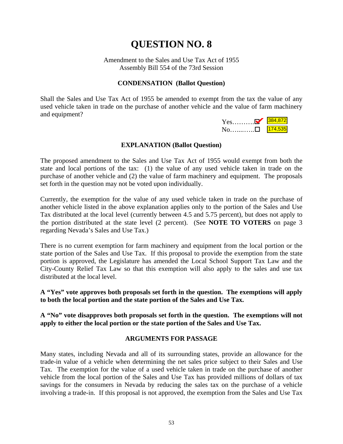# **QUESTION NO. 8**

#### Amendment to the Sales and Use Tax Act of 1955 Assembly Bill 554 of the 73rd Session

## **CONDENSATION (Ballot Question)**

Shall the Sales and Use Tax Act of 1955 be amended to exempt from the tax the value of any used vehicle taken in trade on the purchase of another vehicle and the value of farm machinery and equipment?

| -<br>. . | — 1<br>$\mathbf{v}_{\text{es}}$ |  |
|----------|---------------------------------|--|
|          | ∪. ⊔                            |  |

#### **EXPLANATION (Ballot Question)**

The proposed amendment to the Sales and Use Tax Act of 1955 would exempt from both the state and local portions of the tax: (1) the value of any used vehicle taken in trade on the purchase of another vehicle and (2) the value of farm machinery and equipment. The proposals set forth in the question may not be voted upon individually.

Currently, the exemption for the value of any used vehicle taken in trade on the purchase of another vehicle listed in the above explanation applies only to the portion of the Sales and Use Tax distributed at the local level (currently between 4.5 and 5.75 percent), but does not apply to the portion distributed at the state level (2 percent). (See **NOTE TO VOTERS** on page 3 regarding Nevada's Sales and Use Tax.)

There is no current exemption for farm machinery and equipment from the local portion or the state portion of the Sales and Use Tax. If this proposal to provide the exemption from the state portion is approved, the Legislature has amended the Local School Support Tax Law and the City-County Relief Tax Law so that this exemption will also apply to the sales and use tax distributed at the local level.

**A "Yes" vote approves both proposals set forth in the question. The exemptions will apply to both the local portion and the state portion of the Sales and Use Tax.** 

**A "No" vote disapproves both proposals set forth in the question. The exemptions will not apply to either the local portion or the state portion of the Sales and Use Tax.**

#### **ARGUMENTS FOR PASSAGE**

Many states, including Nevada and all of its surrounding states, provide an allowance for the trade-in value of a vehicle when determining the net sales price subject to their Sales and Use Tax. The exemption for the value of a used vehicle taken in trade on the purchase of another vehicle from the local portion of the Sales and Use Tax has provided millions of dollars of tax savings for the consumers in Nevada by reducing the sales tax on the purchase of a vehicle involving a trade-in. If this proposal is not approved, the exemption from the Sales and Use Tax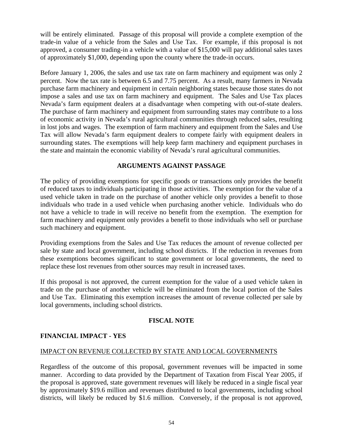will be entirely eliminated. Passage of this proposal will provide a complete exemption of the trade-in value of a vehicle from the Sales and Use Tax. For example, if this proposal is not approved, a consumer trading-in a vehicle with a value of \$15,000 will pay additional sales taxes of approximately \$1,000, depending upon the county where the trade-in occurs.

Before January 1, 2006, the sales and use tax rate on farm machinery and equipment was only 2 percent. Now the tax rate is between 6.5 and 7.75 percent. As a result, many farmers in Nevada purchase farm machinery and equipment in certain neighboring states because those states do not impose a sales and use tax on farm machinery and equipment. The Sales and Use Tax places Nevada's farm equipment dealers at a disadvantage when competing with out-of-state dealers. The purchase of farm machinery and equipment from surrounding states may contribute to a loss of economic activity in Nevada's rural agricultural communities through reduced sales, resulting in lost jobs and wages. The exemption of farm machinery and equipment from the Sales and Use Tax will allow Nevada's farm equipment dealers to compete fairly with equipment dealers in surrounding states. The exemptions will help keep farm machinery and equipment purchases in the state and maintain the economic viability of Nevada's rural agricultural communities.

## **ARGUMENTS AGAINST PASSAGE**

The policy of providing exemptions for specific goods or transactions only provides the benefit of reduced taxes to individuals participating in those activities. The exemption for the value of a used vehicle taken in trade on the purchase of another vehicle only provides a benefit to those individuals who trade in a used vehicle when purchasing another vehicle. Individuals who do not have a vehicle to trade in will receive no benefit from the exemption. The exemption for farm machinery and equipment only provides a benefit to those individuals who sell or purchase such machinery and equipment.

Providing exemptions from the Sales and Use Tax reduces the amount of revenue collected per sale by state and local government, including school districts. If the reduction in revenues from these exemptions becomes significant to state government or local governments, the need to replace these lost revenues from other sources may result in increased taxes.

If this proposal is not approved, the current exemption for the value of a used vehicle taken in trade on the purchase of another vehicle will be eliminated from the local portion of the Sales and Use Tax. Eliminating this exemption increases the amount of revenue collected per sale by local governments, including school districts.

# **FISCAL NOTE**

# **FINANCIAL IMPACT - YES**

#### IMPACT ON REVENUE COLLECTED BY STATE AND LOCAL GOVERNMENTS

Regardless of the outcome of this proposal, government revenues will be impacted in some manner. According to data provided by the Department of Taxation from Fiscal Year 2005, if the proposal is approved, state government revenues will likely be reduced in a single fiscal year by approximately \$19.6 million and revenues distributed to local governments, including school districts, will likely be reduced by \$1.6 million. Conversely, if the proposal is not approved,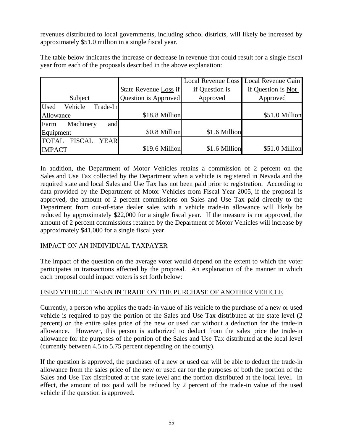revenues distributed to local governments, including school districts, will likely be increased by approximately \$51.0 million in a single fiscal year.

The table below indicates the increase or decrease in revenue that could result for a single fiscal year from each of the proposals described in the above explanation:

|                                              |                       |                | Local Revenue Loss   Local Revenue Gain |
|----------------------------------------------|-----------------------|----------------|-----------------------------------------|
|                                              | State Revenue Loss if | if Question is | if Question is Not                      |
| Subject                                      | Question is Approved  | Approved       | Approved                                |
| Vehicle<br>Trade-In<br>Used                  |                       |                |                                         |
| Allowance                                    | \$18.8 Million        |                | \$51.0 Million                          |
| Machinery<br>Farm<br>and                     |                       |                |                                         |
| Equipment                                    | \$0.8 Million         | \$1.6 Million  |                                         |
| <b>TOTAL</b><br><b>YEAR</b><br><b>FISCAL</b> |                       |                |                                         |
| <b>IMPACT</b>                                | \$19.6 Million        | \$1.6 Million  | \$51.0 Million                          |

In addition, the Department of Motor Vehicles retains a commission of 2 percent on the Sales and Use Tax collected by the Department when a vehicle is registered in Nevada and the required state and local Sales and Use Tax has not been paid prior to registration. According to data provided by the Department of Motor Vehicles from Fiscal Year 2005, if the proposal is approved, the amount of 2 percent commissions on Sales and Use Tax paid directly to the Department from out-of-state dealer sales with a vehicle trade-in allowance will likely be reduced by approximately \$22,000 for a single fiscal year. If the measure is not approved, the amount of 2 percent commissions retained by the Department of Motor Vehicles will increase by approximately \$41,000 for a single fiscal year.

# IMPACT ON AN INDIVIDUAL TAXPAYER

The impact of the question on the average voter would depend on the extent to which the voter participates in transactions affected by the proposal. An explanation of the manner in which each proposal could impact voters is set forth below:

# USED VEHICLE TAKEN IN TRADE ON THE PURCHASE OF ANOTHER VEHICLE

Currently, a person who applies the trade-in value of his vehicle to the purchase of a new or used vehicle is required to pay the portion of the Sales and Use Tax distributed at the state level (2 percent) on the entire sales price of the new or used car without a deduction for the trade-in allowance. However, this person is authorized to deduct from the sales price the trade-in allowance for the purposes of the portion of the Sales and Use Tax distributed at the local level (currently between 4.5 to 5.75 percent depending on the county).

If the question is approved, the purchaser of a new or used car will be able to deduct the trade-in allowance from the sales price of the new or used car for the purposes of both the portion of the Sales and Use Tax distributed at the state level and the portion distributed at the local level. In effect, the amount of tax paid will be reduced by 2 percent of the trade-in value of the used vehicle if the question is approved.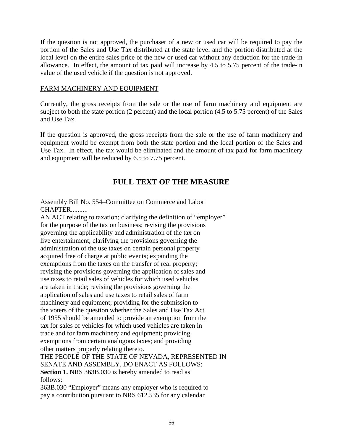If the question is not approved, the purchaser of a new or used car will be required to pay the portion of the Sales and Use Tax distributed at the state level and the portion distributed at the local level on the entire sales price of the new or used car without any deduction for the trade-in allowance. In effect, the amount of tax paid will increase by 4.5 to 5.75 percent of the trade-in value of the used vehicle if the question is not approved.

## FARM MACHINERY AND EQUIPMENT

Currently, the gross receipts from the sale or the use of farm machinery and equipment are subject to both the state portion (2 percent) and the local portion (4.5 to 5.75 percent) of the Sales and Use Tax.

If the question is approved, the gross receipts from the sale or the use of farm machinery and equipment would be exempt from both the state portion and the local portion of the Sales and Use Tax. In effect, the tax would be eliminated and the amount of tax paid for farm machinery and equipment will be reduced by 6.5 to 7.75 percent.

# **FULL TEXT OF THE MEASURE**

Assembly Bill No. 554–Committee on Commerce and Labor CHAPTER..........

AN ACT relating to taxation; clarifying the definition of "employer" for the purpose of the tax on business; revising the provisions governing the applicability and administration of the tax on live entertainment; clarifying the provisions governing the administration of the use taxes on certain personal property acquired free of charge at public events; expanding the exemptions from the taxes on the transfer of real property; revising the provisions governing the application of sales and use taxes to retail sales of vehicles for which used vehicles are taken in trade; revising the provisions governing the application of sales and use taxes to retail sales of farm machinery and equipment; providing for the submission to the voters of the question whether the Sales and Use Tax Act of 1955 should be amended to provide an exemption from the tax for sales of vehicles for which used vehicles are taken in trade and for farm machinery and equipment; providing exemptions from certain analogous taxes; and providing other matters properly relating thereto.

THE PEOPLE OF THE STATE OF NEVADA, REPRESENTED IN SENATE AND ASSEMBLY, DO ENACT AS FOLLOWS: **Section 1.** NRS 363B.030 is hereby amended to read as follows:

363B.030 "Employer" means any employer who is required to pay a contribution pursuant to NRS 612.535 for any calendar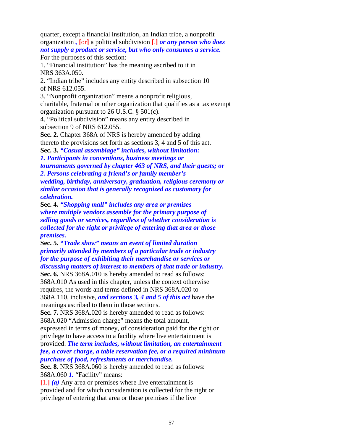quarter, except a financial institution, an Indian tribe, a nonprofit organization *,* **[**or**]** a political subdivision **[**.**]** *or any person who does not supply a product or service, but who only consumes a service.* 

For the purposes of this section:

1. "Financial institution" has the meaning ascribed to it in NRS 363A.050.

2. "Indian tribe" includes any entity described in subsection 10 of NRS 612.055.

3. "Nonprofit organization" means a nonprofit religious, charitable, fraternal or other organization that qualifies as a tax exempt

organization pursuant to 26 U.S.C. § 501(c).

4. "Political subdivision" means any entity described in subsection 9 of NRS 612.055.

Sec. 2. Chapter 368A of NRS is hereby amended by adding thereto the provisions set forth as sections 3, 4 and 5 of this act.

**Sec. 3.** *"Casual assemblage" includes, without limitation: 1. Participants in conventions, business meetings or tournaments governed by chapter 463 of NRS, and their guests; or 2. Persons celebrating a friend's or family member's wedding, birthday, anniversary, graduation, religious ceremony or similar occasion that is generally recognized as customary for celebration.* 

**Sec. 4.** *"Shopping mall" includes any area or premises where multiple vendors assemble for the primary purpose of selling goods or services, regardless of whether consideration is collected for the right or privilege of entering that area or those premises.* 

**Sec. 5.** *"Trade show" means an event of limited duration primarily attended by members of a particular trade or industry for the purpose of exhibiting their merchandise or services or discussing matters of interest to members of that trade or industry.* 

**Sec. 6.** NRS 368A.010 is hereby amended to read as follows: 368A.010 As used in this chapter, unless the context otherwise requires, the words and terms defined in NRS 368A.020 to 368A.110, inclusive, *and sections 3, 4 and 5 of this act* have the meanings ascribed to them in those sections.

**Sec. 7.** NRS 368A.020 is hereby amended to read as follows: 368A.020 "Admission charge" means the total amount, expressed in terms of money, of consideration paid for the right or

privilege to have access to a facility where live entertainment is provided. *The term includes, without limitation, an entertainment* 

*fee, a cover charge, a table reservation fee, or a required minimum purchase of food, refreshments or merchandise.* 

**Sec. 8.** NRS 368A.060 is hereby amended to read as follows: 368A.060 *1.* "Facility" means:

**[**1.**]** *(a)* Any area or premises where live entertainment is provided and for which consideration is collected for the right or privilege of entering that area or those premises if the live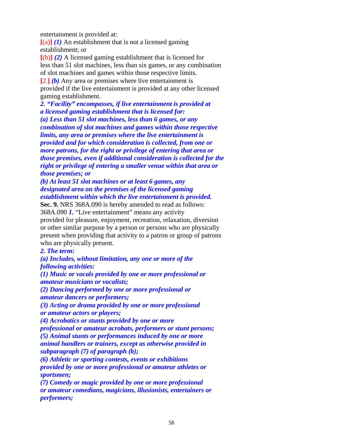entertainment is provided at:

 $[(a)] (1)$  An establishment that is not a licensed gaming establishment; or

**[**(b)**]** *(2)* A licensed gaming establishment that is licensed for less than 51 slot machines, less than six games, or any combination of slot machines and games within those respective limits. **[**2.**]** *(b)* Any area or premises where live entertainment is provided if the live entertainment is provided at any other licensed gaming establishment.

*2. "Facility" encompasses, if live entertainment is provided at a licensed gaming establishment that is licensed for: (a) Less than 51 slot machines, less than 6 games, or any combination of slot machines and games within those respective limits, any area or premises where the live entertainment is provided and for which consideration is collected, from one or more patrons, for the right or privilege of entering that area or those premises, even if additional consideration is collected for the right or privilege of entering a smaller venue within that area or those premises; or* 

*(b) At least 51 slot machines or at least 6 games, any designated area on the premises of the licensed gaming establishment within which the live entertainment is provided.* 

**Sec. 9.** NRS 368A.090 is hereby amended to read as follows: 368A.090 *1.* "Live entertainment" means any activity provided for pleasure, enjoyment, recreation, relaxation, diversion or other similar purpose by a person or persons who are physically present when providing that activity to a patron or group of patrons who are physically present.

*2. The term:* 

*(a) Includes, without limitation, any one or more of the following activities:* 

*(1) Music or vocals provided by one or more professional or amateur musicians or vocalists;* 

*(2) Dancing performed by one or more professional or amateur dancers or performers;* 

*(3) Acting or drama provided by one or more professional or amateur actors or players;* 

*(4) Acrobatics or stunts provided by one or more professional or amateur acrobats, performers or stunt persons; (5) Animal stunts or performances induced by one or more animal handlers or trainers, except as otherwise provided in subparagraph (7) of paragraph (b);* 

*(6) Athletic or sporting contests, events or exhibitions provided by one or more professional or amateur athletes or sportsmen;* 

*(7) Comedy or magic provided by one or more professional or amateur comedians, magicians, illusionists, entertainers or performers;*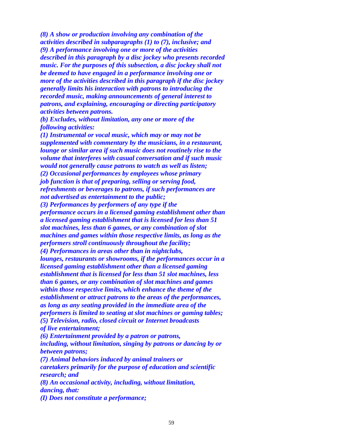*(8) A show or production involving any combination of the activities described in subparagraphs (1) to (7), inclusive; and (9) A performance involving one or more of the activities described in this paragraph by a disc jockey who presents recorded music. For the purposes of this subsection, a disc jockey shall not be deemed to have engaged in a performance involving one or more of the activities described in this paragraph if the disc jockey generally limits his interaction with patrons to introducing the recorded music, making announcements of general interest to patrons, and explaining, encouraging or directing participatory activities between patrons.* 

*(b) Excludes, without limitation, any one or more of the following activities:* 

*(1) Instrumental or vocal music, which may or may not be supplemented with commentary by the musicians, in a restaurant, lounge or similar area if such music does not routinely rise to the volume that interferes with casual conversation and if such music would not generally cause patrons to watch as well as listen; (2) Occasional performances by employees whose primary job function is that of preparing, selling or serving food, refreshments or beverages to patrons, if such performances are not advertised as entertainment to the public;* 

*(3) Performances by performers of any type if the performance occurs in a licensed gaming establishment other than a licensed gaming establishment that is licensed for less than 51 slot machines, less than 6 games, or any combination of slot machines and games within those respective limits, as long as the performers stroll continuously throughout the facility; (4) Performances in areas other than in nightclubs, lounges, restaurants or showrooms, if the performances occur in a licensed gaming establishment other than a licensed gaming establishment that is licensed for less than 51 slot machines, less than 6 games, or any combination of slot machines and games within those respective limits, which enhance the theme of the establishment or attract patrons to the areas of the performances, as long as any seating provided in the immediate area of the performers is limited to seating at slot machines or gaming tables; (5) Television, radio, closed circuit or Internet broadcasts of live entertainment;* 

*(6) Entertainment provided by a patron or patrons, including, without limitation, singing by patrons or dancing by or between patrons;* 

*(7) Animal behaviors induced by animal trainers or caretakers primarily for the purpose of education and scientific research; and* 

*(8) An occasional activity, including, without limitation, dancing, that:* 

*(I) Does not constitute a performance;*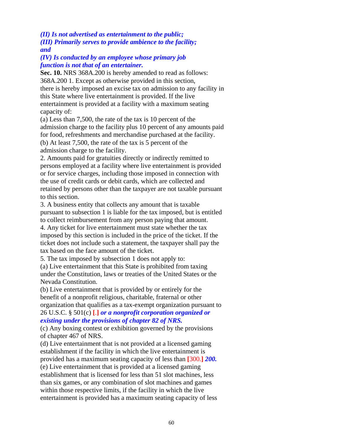*(II) Is not advertised as entertainment to the public; (III) Primarily serves to provide ambience to the facility; and* 

# *(IV) Is conducted by an employee whose primary job function is not that of an entertainer.*

**Sec. 10.** NRS 368A.200 is hereby amended to read as follows: 368A.200 1. Except as otherwise provided in this section, there is hereby imposed an excise tax on admission to any facility in this State where live entertainment is provided. If the live entertainment is provided at a facility with a maximum seating capacity of:

(a) Less than 7,500, the rate of the tax is 10 percent of the admission charge to the facility plus 10 percent of any amounts paid for food, refreshments and merchandise purchased at the facility.

(b) At least 7,500, the rate of the tax is 5 percent of the admission charge to the facility.

2. Amounts paid for gratuities directly or indirectly remitted to persons employed at a facility where live entertainment is provided or for service charges, including those imposed in connection with the use of credit cards or debit cards, which are collected and retained by persons other than the taxpayer are not taxable pursuant to this section.

3. A business entity that collects any amount that is taxable pursuant to subsection 1 is liable for the tax imposed, but is entitled to collect reimbursement from any person paying that amount.

4. Any ticket for live entertainment must state whether the tax imposed by this section is included in the price of the ticket. If the ticket does not include such a statement, the taxpayer shall pay the tax based on the face amount of the ticket.

5. The tax imposed by subsection 1 does not apply to:

(a) Live entertainment that this State is prohibited from taxing under the Constitution, laws or treaties of the United States or the Nevada Constitution.

(b) Live entertainment that is provided by or entirely for the benefit of a nonprofit religious, charitable, fraternal or other organization that qualifies as a tax-exempt organization pursuant to 26 U.S.C. § 501(c) **[**.**]** *or a nonprofit corporation organized or existing under the provisions of chapter 82 of NRS.* 

(c) Any boxing contest or exhibition governed by the provisions of chapter 467 of NRS.

(d) Live entertainment that is not provided at a licensed gaming establishment if the facility in which the live entertainment is provided has a maximum seating capacity of less than **[**300.**]** *200.*  (e) Live entertainment that is provided at a licensed gaming establishment that is licensed for less than 51 slot machines, less than six games, or any combination of slot machines and games within those respective limits, if the facility in which the live entertainment is provided has a maximum seating capacity of less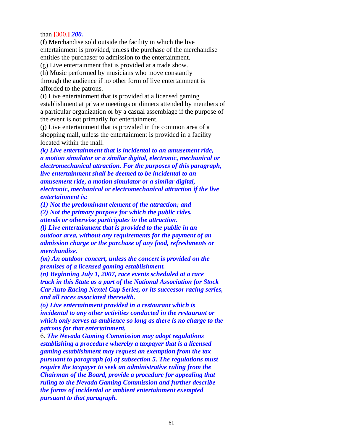than **[**300.**]** *200.* 

(f) Merchandise sold outside the facility in which the live entertainment is provided, unless the purchase of the merchandise entitles the purchaser to admission to the entertainment.

(g) Live entertainment that is provided at a trade show.

(h) Music performed by musicians who move constantly

through the audience if no other form of live entertainment is afforded to the patrons.

(i) Live entertainment that is provided at a licensed gaming establishment at private meetings or dinners attended by members of a particular organization or by a casual assemblage if the purpose of the event is not primarily for entertainment.

(j) Live entertainment that is provided in the common area of a shopping mall, unless the entertainment is provided in a facility located within the mall.

*(k) Live entertainment that is incidental to an amusement ride, a motion simulator or a similar digital, electronic, mechanical or electromechanical attraction. For the purposes of this paragraph, live entertainment shall be deemed to be incidental to an amusement ride, a motion simulator or a similar digital, electronic, mechanical or electromechanical attraction if the live entertainment is:* 

*(1) Not the predominant element of the attraction; and (2) Not the primary purpose for which the public rides, attends or otherwise participates in the attraction.* 

*(l) Live entertainment that is provided to the public in an outdoor area, without any requirements for the payment of an admission charge or the purchase of any food, refreshments or merchandise.* 

*(m) An outdoor concert, unless the concert is provided on the premises of a licensed gaming establishment.* 

*(n) Beginning July 1, 2007, race events scheduled at a race track in this State as a part of the National Association for Stock Car Auto Racing Nextel Cup Series, or its successor racing series, and all races associated therewith.* 

*(o) Live entertainment provided in a restaurant which is incidental to any other activities conducted in the restaurant or which only serves as ambience so long as there is no charge to the patrons for that entertainment.* 

6. *The Nevada Gaming Commission may adopt regulations establishing a procedure whereby a taxpayer that is a licensed gaming establishment may request an exemption from the tax pursuant to paragraph (o) of subsection 5. The regulations must require the taxpayer to seek an administrative ruling from the Chairman of the Board, provide a procedure for appealing that ruling to the Nevada Gaming Commission and further describe the forms of incidental or ambient entertainment exempted pursuant to that paragraph.*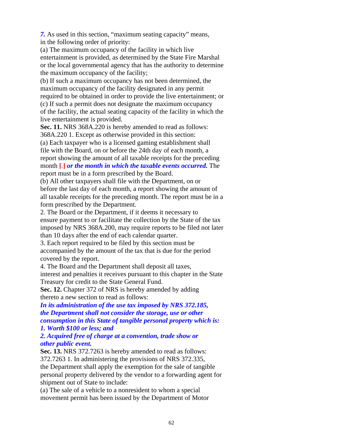*7.* As used in this section, "maximum seating capacity" means, in the following order of priority:

(a) The maximum occupancy of the facility in which live entertainment is provided, as determined by the State Fire Marshal or the local governmental agency that has the authority to determine the maximum occupancy of the facility;

(b) If such a maximum occupancy has not been determined, the maximum occupancy of the facility designated in any permit required to be obtained in order to provide the live entertainment; or (c) If such a permit does not designate the maximum occupancy of the facility, the actual seating capacity of the facility in which the

live entertainment is provided. **Sec. 11.** NRS 368A.220 is hereby amended to read as follows:

368A.220 1. Except as otherwise provided in this section:

(a) Each taxpayer who is a licensed gaming establishment shall file with the Board, on or before the 24th day of each month, a report showing the amount of all taxable receipts for the preceding month **[**.**]** *or the month in which the taxable events occurred.* The report must be in a form prescribed by the Board.

(b) All other taxpayers shall file with the Department, on or before the last day of each month, a report showing the amount of all taxable receipts for the preceding month. The report must be in a form prescribed by the Department.

2. The Board or the Department, if it deems it necessary to ensure payment to or facilitate the collection by the State of the tax imposed by NRS 368A.200, may require reports to be filed not later than 10 days after the end of each calendar quarter.

3. Each report required to be filed by this section must be accompanied by the amount of the tax that is due for the period covered by the report.

4. The Board and the Department shall deposit all taxes,

interest and penalties it receives pursuant to this chapter in the State Treasury for credit to the State General Fund.

**Sec. 12.** Chapter 372 of NRS is hereby amended by adding thereto a new section to read as follows:

*In its administration of the use tax imposed by NRS 372.185, the Department shall not consider the storage, use or other consumption in this State of tangible personal property which is:* 

#### *1. Worth \$100 or less; and*

## *2. Acquired free of charge at a convention, trade show or other public event.*

**Sec. 13.** NRS 372.7263 is hereby amended to read as follows: 372.7263 1. In administering the provisions of NRS 372.335, the Department shall apply the exemption for the sale of tangible personal property delivered by the vendor to a forwarding agent for shipment out of State to include:

(a) The sale of a vehicle to a nonresident to whom a special movement permit has been issued by the Department of Motor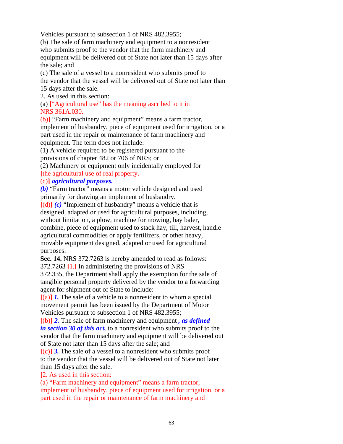Vehicles pursuant to subsection 1 of NRS 482.3955;

(b) The sale of farm machinery and equipment to a nonresident who submits proof to the vendor that the farm machinery and equipment will be delivered out of State not later than 15 days after the sale; and

(c) The sale of a vessel to a nonresident who submits proof to

the vendor that the vessel will be delivered out of State not later than 15 days after the sale.

2. As used in this section:

(a) **[**"Agricultural use" has the meaning ascribed to it in NRS 361A.030.

(b)**]** "Farm machinery and equipment" means a farm tractor,

implement of husbandry, piece of equipment used for irrigation, or a part used in the repair or maintenance of farm machinery and equipment. The term does not include:

(1) A vehicle required to be registered pursuant to the

provisions of chapter 482 or 706 of NRS; or

(2) Machinery or equipment only incidentally employed for

**[**the agricultural use of real property.

(c)**]** *agricultural purposes.* 

*(b)* "Farm tractor" means a motor vehicle designed and used primarily for drawing an implement of husbandry.

**[**(d)**]** *(c)* "Implement of husbandry" means a vehicle that is designed, adapted or used for agricultural purposes, including, without limitation, a plow, machine for mowing, hay baler, combine, piece of equipment used to stack hay, till, harvest, handle agricultural commodities or apply fertilizers, or other heavy, movable equipment designed, adapted or used for agricultural purposes.

**Sec. 14.** NRS 372.7263 is hereby amended to read as follows: 372.7263 **[**1.**]** In administering the provisions of NRS

372.335, the Department shall apply the exemption for the sale of tangible personal property delivered by the vendor to a forwarding agent for shipment out of State to include:

**[**(a)**]** *1.* The sale of a vehicle to a nonresident to whom a special movement permit has been issued by the Department of Motor Vehicles pursuant to subsection 1 of NRS 482.3955;

**[**(b)**]** *2.* The sale of farm machinery and equipment *, as defined in section 30 of this act,* to a nonresident who submits proof to the vendor that the farm machinery and equipment will be delivered out of State not later than 15 days after the sale; and

**[**(c)**]** *3.* The sale of a vessel to a nonresident who submits proof to the vendor that the vessel will be delivered out of State not later than 15 days after the sale.

**[**2. As used in this section:

(a) "Farm machinery and equipment" means a farm tractor, implement of husbandry, piece of equipment used for irrigation, or a part used in the repair or maintenance of farm machinery and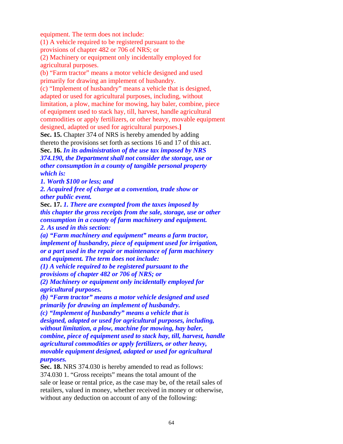equipment. The term does not include:

(1) A vehicle required to be registered pursuant to the provisions of chapter 482 or 706 of NRS; or

(2) Machinery or equipment only incidentally employed for agricultural purposes.

(b) "Farm tractor" means a motor vehicle designed and used primarily for drawing an implement of husbandry.

(c) "Implement of husbandry" means a vehicle that is designed, adapted or used for agricultural purposes, including, without limitation, a plow, machine for mowing, hay baler, combine, piece of equipment used to stack hay, till, harvest, handle agricultural commodities or apply fertilizers, or other heavy, movable equipment designed, adapted or used for agricultural purposes.**]** 

**Sec. 15.** Chapter 374 of NRS is hereby amended by adding thereto the provisions set forth as sections 16 and 17 of this act.

**Sec. 16.** *In its administration of the use tax imposed by NRS 374.190, the Department shall not consider the storage, use or other consumption in a county of tangible personal property which is:* 

*1. Worth \$100 or less; and* 

*2. Acquired free of charge at a convention, trade show or other public event.* 

**Sec. 17.** *1. There are exempted from the taxes imposed by this chapter the gross receipts from the sale, storage, use or other consumption in a county of farm machinery and equipment.* 

*2. As used in this section:* 

*(a) "Farm machinery and equipment" means a farm tractor, implement of husbandry, piece of equipment used for irrigation, or a part used in the repair or maintenance of farm machinery and equipment. The term does not include:* 

*(1) A vehicle required to be registered pursuant to the provisions of chapter 482 or 706 of NRS; or* 

*(2) Machinery or equipment only incidentally employed for agricultural purposes.* 

*(b) "Farm tractor" means a motor vehicle designed and used primarily for drawing an implement of husbandry. (c) "Implement of husbandry" means a vehicle that is* 

*designed, adapted or used for agricultural purposes, including, without limitation, a plow, machine for mowing, hay baler, combine, piece of equipment used to stack hay, till, harvest, handle agricultural commodities or apply fertilizers, or other heavy, movable equipment designed, adapted or used for agricultural purposes.* 

**Sec. 18.** NRS 374.030 is hereby amended to read as follows: 374.030 1. "Gross receipts" means the total amount of the sale or lease or rental price, as the case may be, of the retail sales of retailers, valued in money, whether received in money or otherwise, without any deduction on account of any of the following: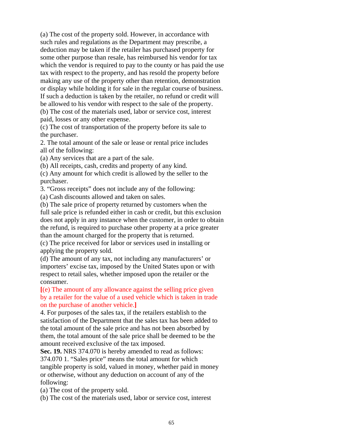(a) The cost of the property sold. However, in accordance with such rules and regulations as the Department may prescribe, a deduction may be taken if the retailer has purchased property for some other purpose than resale, has reimbursed his vendor for tax which the vendor is required to pay to the county or has paid the use tax with respect to the property, and has resold the property before making any use of the property other than retention, demonstration or display while holding it for sale in the regular course of business. If such a deduction is taken by the retailer, no refund or credit will be allowed to his vendor with respect to the sale of the property. (b) The cost of the materials used, labor or service cost, interest paid, losses or any other expense.

(c) The cost of transportation of the property before its sale to the purchaser.

2. The total amount of the sale or lease or rental price includes all of the following:

(a) Any services that are a part of the sale.

(b) All receipts, cash, credits and property of any kind.

(c) Any amount for which credit is allowed by the seller to the purchaser.

3. "Gross receipts" does not include any of the following:

(a) Cash discounts allowed and taken on sales.

(b) The sale price of property returned by customers when the full sale price is refunded either in cash or credit, but this exclusion does not apply in any instance when the customer, in order to obtain the refund, is required to purchase other property at a price greater than the amount charged for the property that is returned.

(c) The price received for labor or services used in installing or applying the property sold.

(d) The amount of any tax, not including any manufacturers' or importers' excise tax, imposed by the United States upon or with respect to retail sales, whether imposed upon the retailer or the consumer.

**[**(e) The amount of any allowance against the selling price given by a retailer for the value of a used vehicle which is taken in trade on the purchase of another vehicle.**]** 

4. For purposes of the sales tax, if the retailers establish to the satisfaction of the Department that the sales tax has been added to the total amount of the sale price and has not been absorbed by them, the total amount of the sale price shall be deemed to be the amount received exclusive of the tax imposed.

**Sec. 19.** NRS 374.070 is hereby amended to read as follows: 374.070 1. "Sales price" means the total amount for which tangible property is sold, valued in money, whether paid in money or otherwise, without any deduction on account of any of the following:

(a) The cost of the property sold.

(b) The cost of the materials used, labor or service cost, interest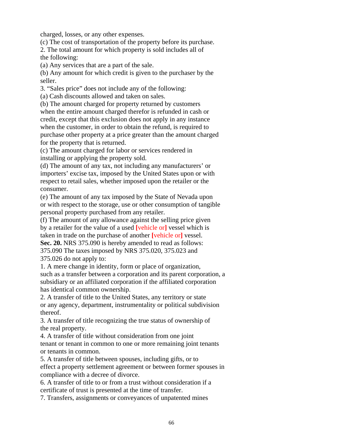charged, losses, or any other expenses.

(c) The cost of transportation of the property before its purchase.

2. The total amount for which property is sold includes all of the following:

(a) Any services that are a part of the sale.

(b) Any amount for which credit is given to the purchaser by the seller.

3. "Sales price" does not include any of the following:

(a) Cash discounts allowed and taken on sales.

(b) The amount charged for property returned by customers when the entire amount charged therefor is refunded in cash or credit, except that this exclusion does not apply in any instance when the customer, in order to obtain the refund, is required to purchase other property at a price greater than the amount charged for the property that is returned.

(c) The amount charged for labor or services rendered in installing or applying the property sold.

(d) The amount of any tax, not including any manufacturers' or importers' excise tax, imposed by the United States upon or with respect to retail sales, whether imposed upon the retailer or the consumer.

(e) The amount of any tax imposed by the State of Nevada upon or with respect to the storage, use or other consumption of tangible personal property purchased from any retailer.

(f) The amount of any allowance against the selling price given by a retailer for the value of a used **[**vehicle or**]** vessel which is taken in trade on the purchase of another **[**vehicle or**]** vessel. **Sec. 20.** NRS 375.090 is hereby amended to read as follows:

375.090 The taxes imposed by NRS 375.020, 375.023 and 375.026 do not apply to:

1. A mere change in identity, form or place of organization, such as a transfer between a corporation and its parent corporation, a subsidiary or an affiliated corporation if the affiliated corporation has identical common ownership.

2. A transfer of title to the United States, any territory or state or any agency, department, instrumentality or political subdivision thereof.

3. A transfer of title recognizing the true status of ownership of the real property.

4. A transfer of title without consideration from one joint tenant or tenant in common to one or more remaining joint tenants or tenants in common.

5. A transfer of title between spouses, including gifts, or to effect a property settlement agreement or between former spouses in compliance with a decree of divorce.

6. A transfer of title to or from a trust without consideration if a certificate of trust is presented at the time of transfer.

7. Transfers, assignments or conveyances of unpatented mines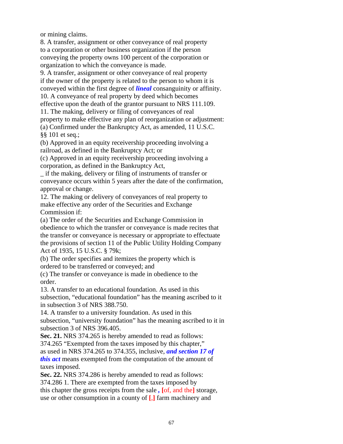or mining claims.

8. A transfer, assignment or other conveyance of real property to a corporation or other business organization if the person conveying the property owns 100 percent of the corporation or organization to which the conveyance is made.

9. A transfer, assignment or other conveyance of real property if the owner of the property is related to the person to whom it is conveyed within the first degree of *lineal* consanguinity or affinity. 10. A conveyance of real property by deed which becomes

effective upon the death of the grantor pursuant to NRS 111.109.

11. The making, delivery or filing of conveyances of real

property to make effective any plan of reorganization or adjustment:

(a) Confirmed under the Bankruptcy Act, as amended, 11 U.S.C. §§ 101 et seq.;

(b) Approved in an equity receivership proceeding involving a railroad, as defined in the Bankruptcy Act; or

(c) Approved in an equity receivership proceeding involving a corporation, as defined in the Bankruptcy Act,

*\_* if the making, delivery or filing of instruments of transfer or conveyance occurs within 5 years after the date of the confirmation, approval or change.

12. The making or delivery of conveyances of real property to make effective any order of the Securities and Exchange Commission if:

(a) The order of the Securities and Exchange Commission in obedience to which the transfer or conveyance is made recites that the transfer or conveyance is necessary or appropriate to effectuate the provisions of section 11 of the Public Utility Holding Company Act of 1935, 15 U.S.C. § 79k;

(b) The order specifies and itemizes the property which is ordered to be transferred or conveyed; and

(c) The transfer or conveyance is made in obedience to the order.

13. A transfer to an educational foundation. As used in this subsection, "educational foundation" has the meaning ascribed to it in subsection 3 of NRS 388.750.

14. A transfer to a university foundation. As used in this subsection, "university foundation" has the meaning ascribed to it in subsection 3 of NRS 396.405.

**Sec. 21.** NRS 374.265 is hereby amended to read as follows: 374.265 "Exempted from the taxes imposed by this chapter,"

as used in NRS 374.265 to 374.355, inclusive, *and section 17 of this act* means exempted from the computation of the amount of taxes imposed.

**Sec. 22.** NRS 374.286 is hereby amended to read as follows:

374.286 1. There are exempted from the taxes imposed by this chapter the gross receipts from the sale *,* **[**of, and the**]** storage, use or other consumption in a county of **[**,**]** farm machinery and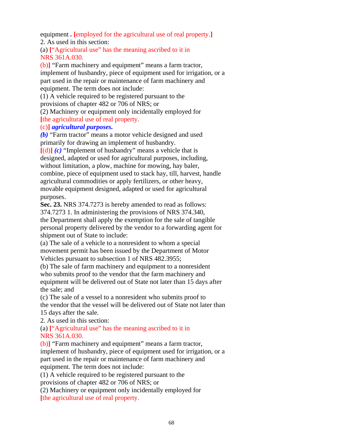equipment *.* **[**employed for the agricultural use of real property.**]**  2. As used in this section:

(a) **[**"Agricultural use" has the meaning ascribed to it in NRS 361A.030.

(b)**]** "Farm machinery and equipment" means a farm tractor, implement of husbandry, piece of equipment used for irrigation, or a part used in the repair or maintenance of farm machinery and equipment. The term does not include:

(1) A vehicle required to be registered pursuant to the provisions of chapter 482 or 706 of NRS; or

(2) Machinery or equipment only incidentally employed for

**[**the agricultural use of real property.

# (c)**]** *agricultural purposes.*

*(b)* "Farm tractor" means a motor vehicle designed and used primarily for drawing an implement of husbandry.

**[**(d)**]** *(c)* "Implement of husbandry" means a vehicle that is designed, adapted or used for agricultural purposes, including, without limitation, a plow, machine for mowing, hay baler, combine, piece of equipment used to stack hay, till, harvest, handle agricultural commodities or apply fertilizers, or other heavy, movable equipment designed, adapted or used for agricultural purposes.

**Sec. 23.** NRS 374.7273 is hereby amended to read as follows: 374.7273 1. In administering the provisions of NRS 374.340, the Department shall apply the exemption for the sale of tangible personal property delivered by the vendor to a forwarding agent for

shipment out of State to include:

(a) The sale of a vehicle to a nonresident to whom a special movement permit has been issued by the Department of Motor Vehicles pursuant to subsection 1 of NRS 482.3955;

(b) The sale of farm machinery and equipment to a nonresident who submits proof to the vendor that the farm machinery and equipment will be delivered out of State not later than 15 days after the sale; and

(c) The sale of a vessel to a nonresident who submits proof to the vendor that the vessel will be delivered out of State not later than 15 days after the sale.

2. As used in this section:

## (a) **[**"Agricultural use" has the meaning ascribed to it in NRS 361A.030.

(b)**]** "Farm machinery and equipment" means a farm tractor, implement of husbandry, piece of equipment used for irrigation, or a part used in the repair or maintenance of farm machinery and equipment. The term does not include:

(1) A vehicle required to be registered pursuant to the

provisions of chapter 482 or 706 of NRS; or

(2) Machinery or equipment only incidentally employed for

**[**the agricultural use of real property.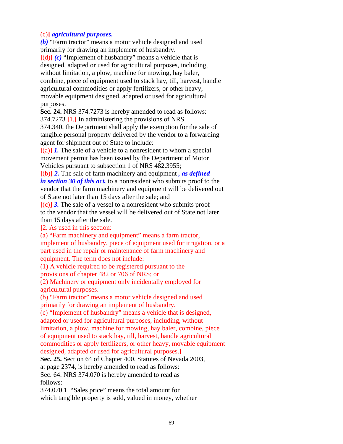# (c)**]** *agricultural purposes.*

*(b)* "Farm tractor" means a motor vehicle designed and used primarily for drawing an implement of husbandry. **[**(d)**]** *(c)* "Implement of husbandry" means a vehicle that is designed, adapted or used for agricultural purposes, including, without limitation, a plow, machine for mowing, hay baler, combine, piece of equipment used to stack hay, till, harvest, handle agricultural commodities or apply fertilizers, or other heavy, movable equipment designed, adapted or used for agricultural purposes.

**Sec. 24.** NRS 374.7273 is hereby amended to read as follows: 374.7273 **[**1.**]** In administering the provisions of NRS

374.340, the Department shall apply the exemption for the sale of tangible personal property delivered by the vendor to a forwarding agent for shipment out of State to include:

**[**(a)**]** *1.* The sale of a vehicle to a nonresident to whom a special movement permit has been issued by the Department of Motor Vehicles pursuant to subsection 1 of NRS 482.3955;

**[**(b)**]** *2.* The sale of farm machinery and equipment *, as defined in section 30 of this act,* to a nonresident who submits proof to the vendor that the farm machinery and equipment will be delivered out of State not later than 15 days after the sale; and

**[**(c)**]** *3.* The sale of a vessel to a nonresident who submits proof to the vendor that the vessel will be delivered out of State not later than 15 days after the sale.

**[**2. As used in this section:

(a) "Farm machinery and equipment" means a farm tractor, implement of husbandry, piece of equipment used for irrigation, or a part used in the repair or maintenance of farm machinery and equipment. The term does not include:

(1) A vehicle required to be registered pursuant to the provisions of chapter 482 or 706 of NRS; or

(2) Machinery or equipment only incidentally employed for agricultural purposes.

(b) "Farm tractor" means a motor vehicle designed and used primarily for drawing an implement of husbandry.

(c) "Implement of husbandry" means a vehicle that is designed, adapted or used for agricultural purposes, including, without limitation, a plow, machine for mowing, hay baler, combine, piece of equipment used to stack hay, till, harvest, handle agricultural commodities or apply fertilizers, or other heavy, movable equipment designed, adapted or used for agricultural purposes.**]** 

**Sec. 25.** Section 64 of Chapter 400, Statutes of Nevada 2003,

at page 2374, is hereby amended to read as follows:

Sec. 64. NRS 374.070 is hereby amended to read as follows:

374.070 1. "Sales price" means the total amount for which tangible property is sold, valued in money, whether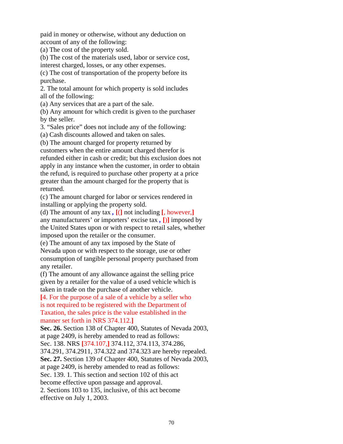paid in money or otherwise, without any deduction on account of any of the following:

(a) The cost of the property sold.

(b) The cost of the materials used, labor or service cost, interest charged, losses, or any other expenses.

(c) The cost of transportation of the property before its purchase.

2. The total amount for which property is sold includes all of the following:

(a) Any services that are a part of the sale.

(b) Any amount for which credit is given to the purchaser by the seller.

3. "Sales price" does not include any of the following:

(a) Cash discounts allowed and taken on sales.

(b) The amount charged for property returned by customers when the entire amount charged therefor is refunded either in cash or credit; but this exclusion does not apply in any instance when the customer, in order to obtain the refund, is required to purchase other property at a price greater than the amount charged for the property that is returned.

(c) The amount charged for labor or services rendered in installing or applying the property sold.

(d) The amount of any tax *,* **[**(**]** not including **[**, however,**]**  any manufacturers' or importers' excise tax *,* **[**)**]** imposed by the United States upon or with respect to retail sales, whether imposed upon the retailer or the consumer.

(e) The amount of any tax imposed by the State of Nevada upon or with respect to the storage, use or other consumption of tangible personal property purchased from any retailer.

(f) The amount of any allowance against the selling price given by a retailer for the value of a used vehicle which is taken in trade on the purchase of another vehicle.

**[**4. For the purpose of a sale of a vehicle by a seller who is not required to be registered with the Department of Taxation, the sales price is the value established in the manner set forth in NRS 374.112.**]** 

**Sec. 26.** Section 138 of Chapter 400, Statutes of Nevada 2003, at page 2409, is hereby amended to read as follows:

Sec. 138. NRS **[**374.107,**]** 374.112, 374.113, 374.286,

374.291, 374.2911, 374.322 and 374.323 are hereby repealed.

**Sec. 27.** Section 139 of Chapter 400, Statutes of Nevada 2003,

at page 2409, is hereby amended to read as follows:

Sec. 139. 1. This section and section 102 of this act

become effective upon passage and approval.

2. Sections 103 to 135, inclusive, of this act become effective on July 1, 2003.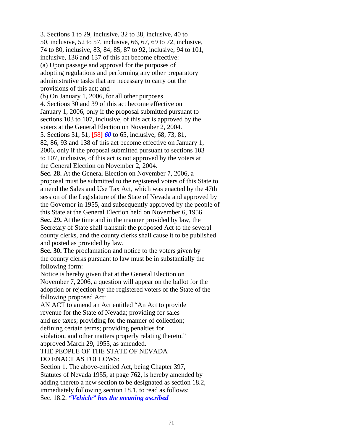3. Sections 1 to 29, inclusive, 32 to 38, inclusive, 40 to 50, inclusive, 52 to 57, inclusive, 66, 67, 69 to 72, inclusive, 74 to 80, inclusive, 83, 84, 85, 87 to 92, inclusive, 94 to 101, inclusive, 136 and 137 of this act become effective: (a) Upon passage and approval for the purposes of adopting regulations and performing any other preparatory administrative tasks that are necessary to carry out the provisions of this act; and (b) On January 1, 2006, for all other purposes. 4. Sections 30 and 39 of this act become effective on January 1, 2006, only if the proposal submitted pursuant to sections 103 to 107, inclusive, of this act is approved by the voters at the General Election on November 2, 2004. 5. Sections 31, 51, **[**58**]** *60* to 65, inclusive, 68, 73, 81, 82, 86, 93 and 138 of this act become effective on January 1, 2006, only if the proposal submitted pursuant to sections 103 to 107, inclusive, of this act is not approved by the voters at the General Election on November 2, 2004. **Sec. 28.** At the General Election on November 7, 2006, a proposal must be submitted to the registered voters of this State to amend the Sales and Use Tax Act, which was enacted by the 47th session of the Legislature of the State of Nevada and approved by the Governor in 1955, and subsequently approved by the people of this State at the General Election held on November 6, 1956. **Sec. 29.** At the time and in the manner provided by law, the Secretary of State shall transmit the proposed Act to the several county clerks, and the county clerks shall cause it to be published and posted as provided by law. **Sec. 30.** The proclamation and notice to the voters given by the county clerks pursuant to law must be in substantially the following form: Notice is hereby given that at the General Election on November 7, 2006, a question will appear on the ballot for the adoption or rejection by the registered voters of the State of the following proposed Act: AN ACT to amend an Act entitled "An Act to provide revenue for the State of Nevada; providing for sales and use taxes; providing for the manner of collection; defining certain terms; providing penalties for violation, and other matters properly relating thereto." approved March 29, 1955, as amended. THE PEOPLE OF THE STATE OF NEVADA DO ENACT AS FOLLOWS: Section 1. The above-entitled Act, being Chapter 397, Statutes of Nevada 1955, at page 762, is hereby amended by

adding thereto a new section to be designated as section 18.2, immediately following section 18.1, to read as follows: Sec. 18.2. *"Vehicle" has the meaning ascribed*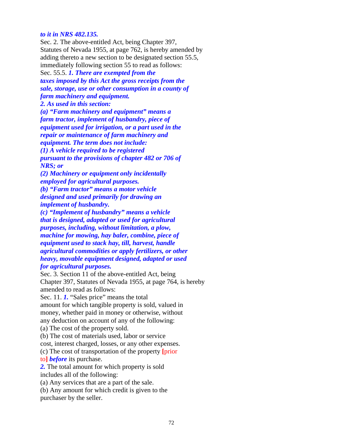#### *to it in NRS 482.135.*

Sec. 2. The above-entitled Act, being Chapter 397, Statutes of Nevada 1955, at page 762, is hereby amended by adding thereto a new section to be designated section 55.5, immediately following section 55 to read as follows: Sec. 55.5. *1. There are exempted from the taxes imposed by this Act the gross receipts from the sale, storage, use or other consumption in a county of farm machinery and equipment. 2. As used in this section: (a) "Farm machinery and equipment" means a farm tractor, implement of husbandry, piece of equipment used for irrigation, or a part used in the repair or maintenance of farm machinery and equipment. The term does not include: (1) A vehicle required to be registered pursuant to the provisions of chapter 482 or 706 of NRS; or (2) Machinery or equipment only incidentally* 

*employed for agricultural purposes. (b) "Farm tractor" means a motor vehicle designed and used primarily for drawing an implement of husbandry.* 

*(c) "Implement of husbandry" means a vehicle that is designed, adapted or used for agricultural purposes, including, without limitation, a plow, machine for mowing, hay baler, combine, piece of equipment used to stack hay, till, harvest, handle agricultural commodities or apply fertilizers, or other heavy, movable equipment designed, adapted or used for agricultural purposes.* 

Sec. 3. Section 11 of the above-entitled Act, being Chapter 397, Statutes of Nevada 1955, at page 764, is hereby amended to read as follows:

Sec. 11. **1.** "Sales price" means the total amount for which tangible property is sold, valued in money, whether paid in money or otherwise, without any deduction on account of any of the following:

(a) The cost of the property sold.

(b) The cost of materials used, labor or service

cost, interest charged, losses, or any other expenses.

(c) The cost of transportation of the property **[**prior to**]** *before* its purchase.

*2.* The total amount for which property is sold includes all of the following:

(a) Any services that are a part of the sale.

(b) Any amount for which credit is given to the purchaser by the seller.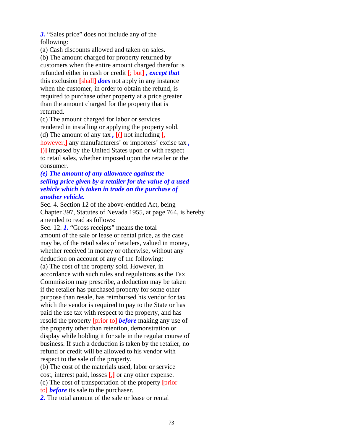*3.* "Sales price" does not include any of the following:

(a) Cash discounts allowed and taken on sales. (b) The amount charged for property returned by customers when the entire amount charged therefor is refunded either in cash or credit **[**; but**]** *, except that*  this exclusion **[**shall**]** *does* not apply in any instance when the customer, in order to obtain the refund, is required to purchase other property at a price greater than the amount charged for the property that is returned.

(c) The amount charged for labor or services rendered in installing or applying the property sold. (d) The amount of any tax *,* **[**(**]** not including **[**, however,**]** any manufacturers' or importers' excise tax *,*  **[**)**]** imposed by the United States upon or with respect to retail sales, whether imposed upon the retailer or the consumer.

# *(e) The amount of any allowance against the selling price given by a retailer for the value of a used vehicle which is taken in trade on the purchase of another vehicle.*

Sec. 4. Section 12 of the above-entitled Act, being Chapter 397, Statutes of Nevada 1955, at page 764, is hereby amended to read as follows:

Sec. 12. **1.** "Gross receipts" means the total amount of the sale or lease or rental price, as the case may be, of the retail sales of retailers, valued in money, whether received in money or otherwise, without any deduction on account of any of the following: (a) The cost of the property sold. However, in accordance with such rules and regulations as the Tax Commission may prescribe, a deduction may be taken if the retailer has purchased property for some other purpose than resale, has reimbursed his vendor for tax which the vendor is required to pay to the State or has paid the use tax with respect to the property, and has resold the property **[**prior to**]** *before* making any use of the property other than retention, demonstration or display while holding it for sale in the regular course of business. If such a deduction is taken by the retailer, no refund or credit will be allowed to his vendor with respect to the sale of the property.

(b) The cost of the materials used, labor or service cost, interest paid, losses **[**,**]** or any other expense. (c) The cost of transportation of the property **[**prior to**]** *before* its sale to the purchaser.

*2.* The total amount of the sale or lease or rental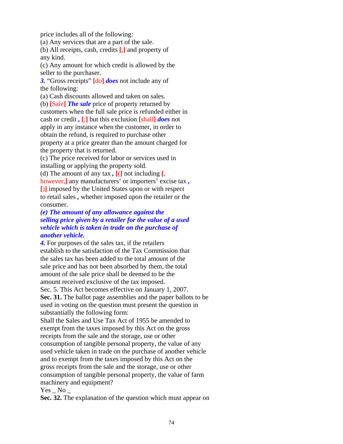price includes all of the following:

(a) Any services that are a part of the sale.

(b) All receipts, cash, credits **[**,**]** and property of any kind.

(c) Any amount for which credit is allowed by the seller to the purchaser.

*3.* "Gross receipts" **[**do**]** *does* not include any of the following:

(a) Cash discounts allowed and taken on sales.

(b) **[**Sale**]** *The sale* price of property returned by customers when the full sale price is refunded either in cash or credit *,* **[**;**]** but this exclusion **[**shall**]** *does* not apply in any instance when the customer, in order to obtain the refund, is required to purchase other property at a price greater than the amount charged for the property that is returned.

(c) The price received for labor or services used in installing or applying the property sold.

(d) The amount of any tax *,* **[**(**]** not including **[**, however,**]** any manufacturers' or importers' excise tax *,*  **[**)**]** imposed by the United States upon or with respect to retail sales *,* whether imposed upon the retailer or the consumer.

# *(e) The amount of any allowance against the selling price given by a retailer for the value of a used vehicle which is taken in trade on the purchase of another vehicle.*

*4.* For purposes of the sales tax, if the retailers establish to the satisfaction of the Tax Commission that the sales tax has been added to the total amount of the sale price and has not been absorbed by them, the total amount of the sale price shall be deemed to be the amount received exclusive of the tax imposed. Sec. 5. This Act becomes effective on January 1, 2007. **Sec. 31.** The ballot page assemblies and the paper ballots to be

used in voting on the question must present the question in substantially the following form:

Shall the Sales and Use Tax Act of 1955 be amended to exempt from the taxes imposed by this Act on the gross receipts from the sale and the storage, use or other consumption of tangible personal property, the value of any used vehicle taken in trade on the purchase of another vehicle and to exempt from the taxes imposed by this Act on the gross receipts from the sale and the storage, use or other consumption of tangible personal property, the value of farm machinery and equipment?

Yes No

**Sec. 32.** The explanation of the question which must appear on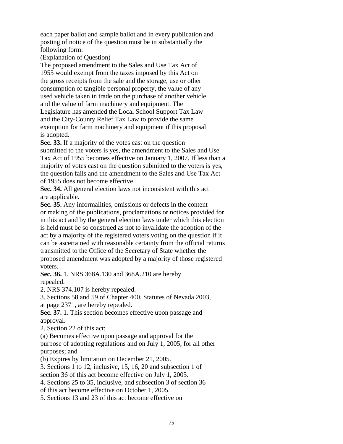each paper ballot and sample ballot and in every publication and posting of notice of the question must be in substantially the following form:

(Explanation of Question)

The proposed amendment to the Sales and Use Tax Act of 1955 would exempt from the taxes imposed by this Act on the gross receipts from the sale and the storage, use or other consumption of tangible personal property, the value of any used vehicle taken in trade on the purchase of another vehicle and the value of farm machinery and equipment. The Legislature has amended the Local School Support Tax Law and the City-County Relief Tax Law to provide the same exemption for farm machinery and equipment if this proposal is adopted.

**Sec. 33.** If a majority of the votes cast on the question submitted to the voters is yes, the amendment to the Sales and Use Tax Act of 1955 becomes effective on January 1, 2007. If less than a majority of votes cast on the question submitted to the voters is yes, the question fails and the amendment to the Sales and Use Tax Act of 1955 does not become effective.

**Sec. 34.** All general election laws not inconsistent with this act are applicable.

**Sec. 35.** Any informalities, omissions or defects in the content or making of the publications, proclamations or notices provided for in this act and by the general election laws under which this election is held must be so construed as not to invalidate the adoption of the act by a majority of the registered voters voting on the question if it can be ascertained with reasonable certainty from the official returns transmitted to the Office of the Secretary of State whether the proposed amendment was adopted by a majority of those registered voters.

**Sec. 36.** 1. NRS 368A.130 and 368A.210 are hereby repealed.

2. NRS 374.107 is hereby repealed.

3. Sections 58 and 59 of Chapter 400, Statutes of Nevada 2003,

at page 2371, are hereby repealed.

**Sec. 37.** 1. This section becomes effective upon passage and approval.

2. Section 22 of this act:

(a) Becomes effective upon passage and approval for the

purpose of adopting regulations and on July 1, 2005, for all other purposes; and

(b) Expires by limitation on December 21, 2005.

3. Sections 1 to 12, inclusive, 15, 16, 20 and subsection 1 of section 36 of this act become effective on July 1, 2005.

4. Sections 25 to 35, inclusive, and subsection 3 of section 36

of this act become effective on October 1, 2005.

5. Sections 13 and 23 of this act become effective on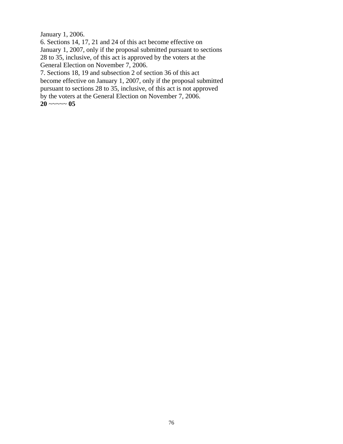January 1, 2006.

6. Sections 14, 17, 21 and 24 of this act become effective on January 1, 2007, only if the proposal submitted pursuant to sections 28 to 35, inclusive, of this act is approved by the voters at the General Election on November 7, 2006.

7. Sections 18, 19 and subsection 2 of section 36 of this act become effective on January 1, 2007, only if the proposal submitted pursuant to sections 28 to 35, inclusive, of this act is not approved by the voters at the General Election on November 7, 2006.  $20 \sim 0.05$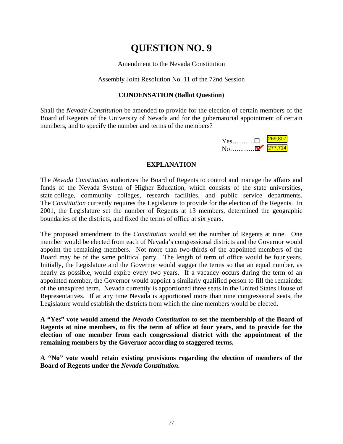# **QUESTION NO. 9**

Amendment to the Nevada Constitution

Assembly Joint Resolution No. 11 of the 72nd Session

# **CONDENSATION (Ballot Question)**

Shall the *Nevada Constitution* be amended to provide for the election of certain members of the Board of Regents of the University of Nevada and for the gubernatorial appointment of certain members, and to specify the number and terms of the members?



#### **EXPLANATION**

The *Nevada Constitution* authorizes the Board of Regents to control and manage the affairs and funds of the Nevada System of Higher Education, which consists of the state universities, state college, community colleges, research facilities, and public service departments. The *Constitution* currently requires the Legislature to provide for the election of the Regents. In 2001, the Legislature set the number of Regents at 13 members, determined the geographic boundaries of the districts, and fixed the terms of office at six years.

The proposed amendment to the *Constitution* would set the number of Regents at nine. One member would be elected from each of Nevada's congressional districts and the Governor would appoint the remaining members. Not more than two-thirds of the appointed members of the Board may be of the same political party. The length of term of office would be four years. Initially, the Legislature and the Governor would stagger the terms so that an equal number, as nearly as possible, would expire every two years. If a vacancy occurs during the term of an appointed member, the Governor would appoint a similarly qualified person to fill the remainder of the unexpired term. Nevada currently is apportioned three seats in the United States House of Representatives. If at any time Nevada is apportioned more than nine congressional seats, the Legislature would establish the districts from which the nine members would be elected.

**A "Yes" vote would amend the** *Nevada Constitution* **to set the membership of the Board of Regents at nine members, to fix the term of office at four years, and to provide for the election of one member from each congressional district with the appointment of the remaining members by the Governor according to staggered terms.** 

**A "No" vote would retain existing provisions regarding the election of members of the Board of Regents under the** *Nevada Constitution***.**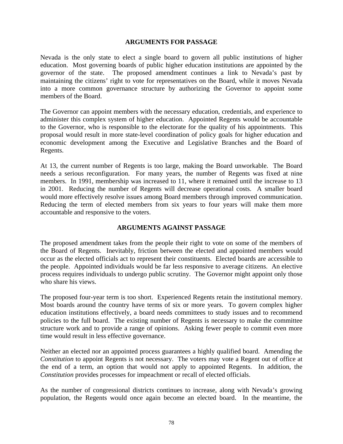# **ARGUMENTS FOR PASSAGE**

Nevada is the only state to elect a single board to govern all public institutions of higher education. Most governing boards of public higher education institutions are appointed by the governor of the state. The proposed amendment continues a link to Nevada's past by maintaining the citizens' right to vote for representatives on the Board, while it moves Nevada into a more common governance structure by authorizing the Governor to appoint some members of the Board.

The Governor can appoint members with the necessary education, credentials, and experience to administer this complex system of higher education. Appointed Regents would be accountable to the Governor, who is responsible to the electorate for the quality of his appointments. This proposal would result in more state-level coordination of policy goals for higher education and economic development among the Executive and Legislative Branches and the Board of Regents.

At 13, the current number of Regents is too large, making the Board unworkable. The Board needs a serious reconfiguration. For many years, the number of Regents was fixed at nine members. In 1991, membership was increased to 11, where it remained until the increase to 13 in 2001. Reducing the number of Regents will decrease operational costs. A smaller board would more effectively resolve issues among Board members through improved communication. Reducing the term of elected members from six years to four years will make them more accountable and responsive to the voters.

# **ARGUMENTS AGAINST PASSAGE**

The proposed amendment takes from the people their right to vote on some of the members of the Board of Regents. Inevitably, friction between the elected and appointed members would occur as the elected officials act to represent their constituents. Elected boards are accessible to the people. Appointed individuals would be far less responsive to average citizens. An elective process requires individuals to undergo public scrutiny. The Governor might appoint only those who share his views.

The proposed four-year term is too short. Experienced Regents retain the institutional memory. Most boards around the country have terms of six or more years. To govern complex higher education institutions effectively, a board needs committees to study issues and to recommend policies to the full board. The existing number of Regents is necessary to make the committee structure work and to provide a range of opinions. Asking fewer people to commit even more time would result in less effective governance.

Neither an elected nor an appointed process guarantees a highly qualified board. Amending the *Constitution* to appoint Regents is not necessary. The voters may vote a Regent out of office at the end of a term, an option that would not apply to appointed Regents. In addition, the *Constitution* provides processes for impeachment or recall of elected officials.

As the number of congressional districts continues to increase, along with Nevada's growing population, the Regents would once again become an elected board. In the meantime, the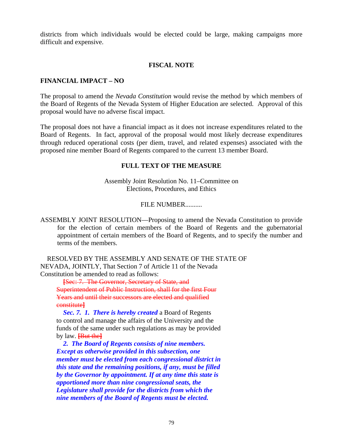districts from which individuals would be elected could be large, making campaigns more difficult and expensive.

### **FISCAL NOTE**

### **FINANCIAL IMPACT – NO**

The proposal to amend the *Nevada Constitution* would revise the method by which members of the Board of Regents of the Nevada System of Higher Education are selected. Approval of this proposal would have no adverse fiscal impact.

The proposal does not have a financial impact as it does not increase expenditures related to the Board of Regents. In fact, approval of the proposal would most likely decrease expenditures through reduced operational costs (per diem, travel, and related expenses) associated with the proposed nine member Board of Regents compared to the current 13 member Board.

#### **FULL TEXT OF THE MEASURE**

Assembly Joint Resolution No. 11–Committee on Elections, Procedures, and Ethics

#### FILE NUMBER..........

ASSEMBLY JOINT RESOLUTION—Proposing to amend the Nevada Constitution to provide for the election of certain members of the Board of Regents and the gubernatorial appointment of certain members of the Board of Regents, and to specify the number and terms of the members.

 RESOLVED BY THE ASSEMBLY AND SENATE OF THE STATE OF NEVADA, JOINTLY, That Section 7 of Article 11 of the Nevada Constitution be amended to read as follows:

**[Sec: 7. The Governor, Secretary of State, and** Superintendent of Public Instruction, shall for the first Four Years and until their successors are elected and qualified constitute**]**

 *Sec. 7. 1. There is hereby created* a Board of Regents to control and manage the affairs of the University and the funds of the same under such regulations as may be provided by law. **[**But the**]**

 *2. The Board of Regents consists of nine members. Except as otherwise provided in this subsection, one member must be elected from each congressional district in this state and the remaining positions, if any, must be filled by the Governor by appointment. If at any time this state is apportioned more than nine congressional seats, the Legislature shall provide for the districts from which the nine members of the Board of Regents must be elected.*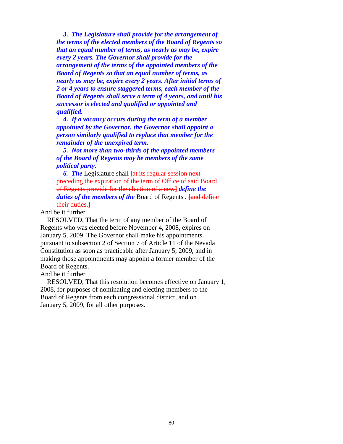*3. The Legislature shall provide for the arrangement of the terms of the elected members of the Board of Regents so that an equal number of terms, as nearly as may be, expire every 2 years. The Governor shall provide for the arrangement of the terms of the appointed members of the Board of Regents so that an equal number of terms, as nearly as may be, expire every 2 years. After initial terms of 2 or 4 years to ensure staggered terms, each member of the Board of Regents shall serve a term of 4 years, and until his successor is elected and qualified or appointed and qualified.*

 *4. If a vacancy occurs during the term of a member appointed by the Governor, the Governor shall appoint a person similarly qualified to replace that member for the remainder of the unexpired term.*

 *5. Not more than two-thirds of the appointed members of the Board of Regents may be members of the same political party.* 

 *6. The* Legislature shall **[**at its regular session next preceding the expiration of the term of Office of said Board of Regents provide for the election of a new**]** *define the duties of the members of the* Board of Regents *.* **[**and define their duties.**]**

And be it further

 RESOLVED, That the term of any member of the Board of Regents who was elected before November 4, 2008, expires on January 5, 2009. The Governor shall make his appointments pursuant to subsection 2 of Section 7 of Article 11 of the Nevada Constitution as soon as practicable after January 5, 2009, and in making those appointments may appoint a former member of the Board of Regents.

And be it further

 RESOLVED, That this resolution becomes effective on January 1, 2008, for purposes of nominating and electing members to the Board of Regents from each congressional district, and on January 5, 2009, for all other purposes.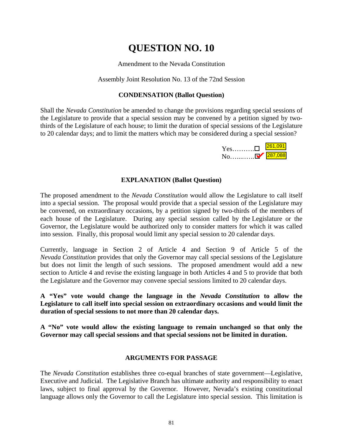# **QUESTION NO. 10**

Amendment to the Nevada Constitution

Assembly Joint Resolution No. 13 of the 72nd Session

# **CONDENSATION (Ballot Question)**

Shall the *Nevada Constitution* be amended to change the provisions regarding special sessions of the Legislature to provide that a special session may be convened by a petition signed by twothirds of the Legislature of each house; to limit the duration of special sessions of the Legislature to 20 calendar days; and to limit the matters which may be considered during a special session?



# **EXPLANATION (Ballot Question)**

The proposed amendment to the *Nevada Constitution* would allow the Legislature to call itself into a special session. The proposal would provide that a special session of the Legislature may be convened, on extraordinary occasions, by a petition signed by two-thirds of the members of each house of the Legislature. During any special session called by the Legislature or the Governor, the Legislature would be authorized only to consider matters for which it was called into session. Finally, this proposal would limit any special session to 20 calendar days.

Currently, language in Section 2 of Article 4 and Section 9 of Article 5 of the *Nevada Constitution* provides that only the Governor may call special sessions of the Legislature but does not limit the length of such sessions. The proposed amendment would add a new section to Article 4 and revise the existing language in both Articles 4 and 5 to provide that both the Legislature and the Governor may convene special sessions limited to 20 calendar days.

**A "Yes" vote would change the language in the** *Nevada Constitution* **to allow the Legislature to call itself into special session on extraordinary occasions and would limit the duration of special sessions to not more than 20 calendar days.** 

**A "No" vote would allow the existing language to remain unchanged so that only the Governor may call special sessions and that special sessions not be limited in duration.** 

# **ARGUMENTS FOR PASSAGE**

The *Nevada Constitution* establishes three co-equal branches of state government—Legislative, Executive and Judicial. The Legislative Branch has ultimate authority and responsibility to enact laws, subject to final approval by the Governor. However, Nevada's existing constitutional language allows only the Governor to call the Legislature into special session. This limitation is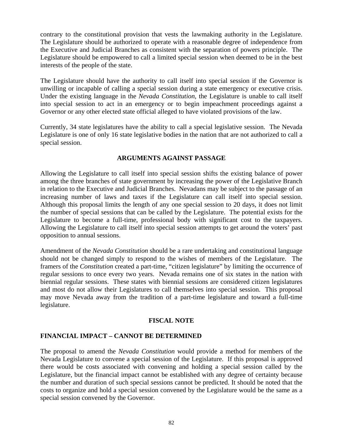contrary to the constitutional provision that vests the lawmaking authority in the Legislature. The Legislature should be authorized to operate with a reasonable degree of independence from the Executive and Judicial Branches as consistent with the separation of powers principle. The Legislature should be empowered to call a limited special session when deemed to be in the best interests of the people of the state.

The Legislature should have the authority to call itself into special session if the Governor is unwilling or incapable of calling a special session during a state emergency or executive crisis. Under the existing language in the *Nevada Constitution*, the Legislature is unable to call itself into special session to act in an emergency or to begin impeachment proceedings against a Governor or any other elected state official alleged to have violated provisions of the law.

Currently, 34 state legislatures have the ability to call a special legislative session. The Nevada Legislature is one of only 16 state legislative bodies in the nation that are not authorized to call a special session.

# **ARGUMENTS AGAINST PASSAGE**

Allowing the Legislature to call itself into special session shifts the existing balance of power among the three branches of state government by increasing the power of the Legislative Branch in relation to the Executive and Judicial Branches. Nevadans may be subject to the passage of an increasing number of laws and taxes if the Legislature can call itself into special session. Although this proposal limits the length of any one special session to 20 days, it does not limit the number of special sessions that can be called by the Legislature. The potential exists for the Legislature to become a full-time, professional body with significant cost to the taxpayers. Allowing the Legislature to call itself into special session attempts to get around the voters' past opposition to annual sessions.

Amendment of the *Nevada Constitution* should be a rare undertaking and constitutional language should not be changed simply to respond to the wishes of members of the Legislature. The framers of the *Constitution* created a part-time, "citizen legislature" by limiting the occurrence of regular sessions to once every two years. Nevada remains one of six states in the nation with biennial regular sessions. These states with biennial sessions are considered citizen legislatures and most do not allow their Legislatures to call themselves into special session. This proposal may move Nevada away from the tradition of a part-time legislature and toward a full-time legislature.

# **FISCAL NOTE**

# **FINANCIAL IMPACT – CANNOT BE DETERMINED**

The proposal to amend the *Nevada Constitution* would provide a method for members of the Nevada Legislature to convene a special session of the Legislature. If this proposal is approved there would be costs associated with convening and holding a special session called by the Legislature, but the financial impact cannot be established with any degree of certainty because the number and duration of such special sessions cannot be predicted. It should be noted that the costs to organize and hold a special session convened by the Legislature would be the same as a special session convened by the Governor.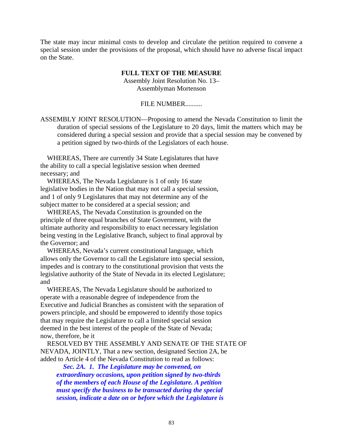The state may incur minimal costs to develop and circulate the petition required to convene a special session under the provisions of the proposal, which should have no adverse fiscal impact on the State.

#### **FULL TEXT OF THE MEASURE**

Assembly Joint Resolution No. 13– Assemblyman Mortenson

#### FILE NUMBER..........

ASSEMBLY JOINT RESOLUTION—Proposing to amend the Nevada Constitution to limit the duration of special sessions of the Legislature to 20 days, limit the matters which may be considered during a special session and provide that a special session may be convened by a petition signed by two-thirds of the Legislators of each house.

 WHEREAS, There are currently 34 State Legislatures that have the ability to call a special legislative session when deemed necessary; and

 WHEREAS, The Nevada Legislature is 1 of only 16 state legislative bodies in the Nation that may not call a special session, and 1 of only 9 Legislatures that may not determine any of the subject matter to be considered at a special session; and

 WHEREAS, The Nevada Constitution is grounded on the principle of three equal branches of State Government, with the ultimate authority and responsibility to enact necessary legislation being vesting in the Legislative Branch, subject to final approval by the Governor; and

 WHEREAS, Nevada's current constitutional language, which allows only the Governor to call the Legislature into special session, impedes and is contrary to the constitutional provision that vests the legislative authority of the State of Nevada in its elected Legislature; and

 WHEREAS, The Nevada Legislature should be authorized to operate with a reasonable degree of independence from the Executive and Judicial Branches as consistent with the separation of powers principle, and should be empowered to identify those topics that may require the Legislature to call a limited special session deemed in the best interest of the people of the State of Nevada; now, therefore, be it

 RESOLVED BY THE ASSEMBLY AND SENATE OF THE STATE OF NEVADA, JOINTLY, That a new section, designated Section 2A, be added to Article 4 of the Nevada Constitution to read as follows:

 *Sec. 2A. 1. The Legislature may be convened, on extraordinary occasions, upon petition signed by two-thirds of the members of each House of the Legislature. A petition must specify the business to be transacted during the special session, indicate a date on or before which the Legislature is*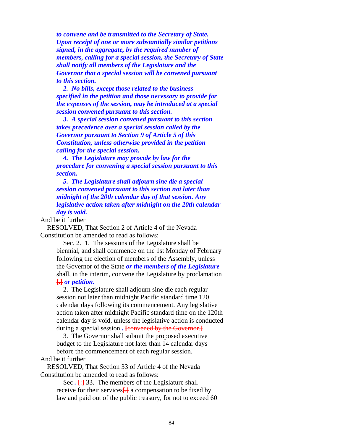*to convene and be transmitted to the Secretary of State. Upon receipt of one or more substantially similar petitions signed, in the aggregate, by the required number of members, calling for a special session, the Secretary of State shall notify all members of the Legislature and the Governor that a special session will be convened pursuant to this section.*

 *2. No bills, except those related to the business specified in the petition and those necessary to provide for the expenses of the session, may be introduced at a special session convened pursuant to this section.*

 *3. A special session convened pursuant to this section takes precedence over a special session called by the Governor pursuant to Section 9 of Article 5 of this Constitution, unless otherwise provided in the petition calling for the special session.*

 *4. The Legislature may provide by law for the procedure for convening a special session pursuant to this section.*

 *5. The Legislature shall adjourn sine die a special session convened pursuant to this section not later than midnight of the 20th calendar day of that session. Any legislative action taken after midnight on the 20th calendar day is void.*

And be it further

 RESOLVED, That Section 2 of Article 4 of the Nevada Constitution be amended to read as follows:

> Sec. 2. 1. The sessions of the Legislature shall be biennial, and shall commence on the 1st Monday of February following the election of members of the Assembly, unless the Governor of the State *or the members of the Legislature*  shall, in the interim, convene the Legislature by proclamation **[**.**]** *or petition.*

 2. The Legislature shall adjourn sine die each regular session not later than midnight Pacific standard time 120 calendar days following its commencement. Any legislative action taken after midnight Pacific standard time on the 120th calendar day is void, unless the legislative action is conducted during a special session *.* **[**convened by the Governor.**]**

 3. The Governor shall submit the proposed executive budget to the Legislature not later than 14 calendar days before the commencement of each regular session.

#### And be it further

 RESOLVED, That Section 33 of Article 4 of the Nevada Constitution be amended to read as follows:

Sec.  $\left[\frac{1}{i}\right]$  33. The members of the Legislature shall receive for their services**[**,**]** a compensation to be fixed by law and paid out of the public treasury, for not to exceed 60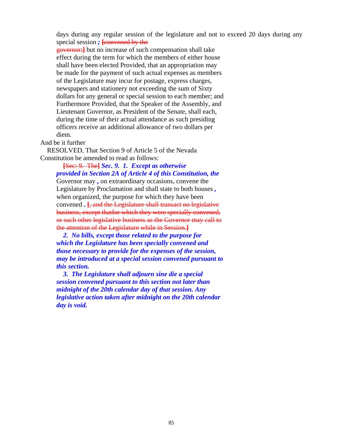days during any regular session of the legislature and not to exceed 20 days during any special session *;* **[**convened by the

governor;**]** but no increase of such compensation shall take effect during the term for which the members of either house shall have been elected Provided, that an appropriation may be made for the payment of such actual expenses as members of the Legislature may incur for postage, express charges, newspapers and stationery not exceeding the sum of Sixty dollars for any general or special session to each member; and Furthermore Provided, that the Speaker of the Assembly, and Lieutenant Governor, as President of the Senate, shall each, during the time of their actual attendance as such presiding officers receive an additional allowance of two dollars per diem.

And be it further

 RESOLVED, That Section 9 of Article 5 of the Nevada Constitution be amended to read as follows:

 **[**Sec: 9. The**]** *Sec. 9. 1. Except as otherwise provided in Section 2A of Article 4 of this Constitution, the*  Governor may *,* on extraordinary occasions, convene the Legislature by Proclamation and shall state to both houses *,*  when organized, the purpose for which they have been convened *.* **[**, and the Legislature shall transact no legislative business, except thatfor which they were specially convened, or such other legislative business as the Governor may call to the attention of the Legislature while in Session.**]**

 *2. No bills, except those related to the purpose for which the Legislature has been specially convened and those necessary to provide for the expenses of the session, may be introduced at a special session convened pursuant to this section.*

 *3. The Legislature shall adjourn sine die a special session convened pursuant to this section not later than midnight of the 20th calendar day of that session. Any legislative action taken after midnight on the 20th calendar day is void.*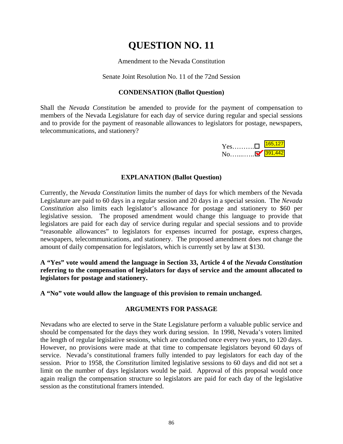# **QUESTION NO. 11**

Amendment to the Nevada Constitution

Senate Joint Resolution No. 11 of the 72nd Session

# **CONDENSATION (Ballot Question)**

Shall the *Nevada Constitution* be amended to provide for the payment of compensation to members of the Nevada Legislature for each day of service during regular and special sessions and to provide for the payment of reasonable allowances to legislators for postage, newspapers, telecommunications, and stationery?

| $\sim$<br>w<br>$Yes$                                |
|-----------------------------------------------------|
| <b>144</b><br>$\mathbf{u}$ . $\mathbf{u}$<br>$\sim$ |

# **EXPLANATION (Ballot Question)**

Currently, the *Nevada Constitution* limits the number of days for which members of the Nevada Legislature are paid to 60 days in a regular session and 20 days in a special session. The *Nevada Constitution* also limits each legislator's allowance for postage and stationery to \$60 per legislative session. The proposed amendment would change this language to provide that legislators are paid for each day of service during regular and special sessions and to provide "reasonable allowances" to legislators for expenses incurred for postage, express charges, newspapers, telecommunications, and stationery. The proposed amendment does not change the amount of daily compensation for legislators, which is currently set by law at \$130.

**A "Yes" vote would amend the language in Section 33, Article 4 of the** *Nevada Constitution* **referring to the compensation of legislators for days of service and the amount allocated to legislators for postage and stationery.** 

**A "No" vote would allow the language of this provision to remain unchanged.** 

# **ARGUMENTS FOR PASSAGE**

Nevadans who are elected to serve in the State Legislature perform a valuable public service and should be compensated for the days they work during session. In 1998, Nevada's voters limited the length of regular legislative sessions, which are conducted once every two years, to 120 days. However, no provisions were made at that time to compensate legislators beyond 60 days of service. Nevada's constitutional framers fully intended to pay legislators for each day of the session. Prior to 1958, the *Constitution* limited legislative sessions to 60 days and did not set a limit on the number of days legislators would be paid. Approval of this proposal would once again realign the compensation structure so legislators are paid for each day of the legislative session as the constitutional framers intended.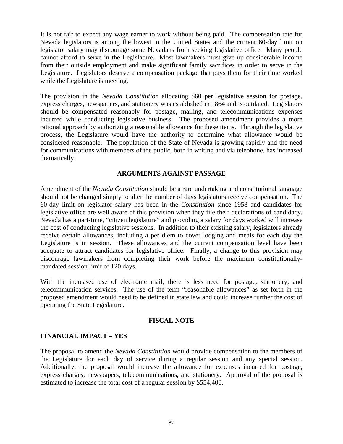It is not fair to expect any wage earner to work without being paid. The compensation rate for Nevada legislators is among the lowest in the United States and the current 60-day limit on legislator salary may discourage some Nevadans from seeking legislative office. Many people cannot afford to serve in the Legislature. Most lawmakers must give up considerable income from their outside employment and make significant family sacrifices in order to serve in the Legislature. Legislators deserve a compensation package that pays them for their time worked while the Legislature is meeting.

The provision in the *Nevada Constitution* allocating \$60 per legislative session for postage, express charges, newspapers, and stationery was established in 1864 and is outdated. Legislators should be compensated reasonably for postage, mailing, and telecommunications expenses incurred while conducting legislative business. The proposed amendment provides a more rational approach by authorizing a reasonable allowance for these items. Through the legislative process, the Legislature would have the authority to determine what allowance would be considered reasonable. The population of the State of Nevada is growing rapidly and the need for communications with members of the public, both in writing and via telephone, has increased dramatically.

# **ARGUMENTS AGAINST PASSAGE**

Amendment of the *Nevada Constitution* should be a rare undertaking and constitutional language should not be changed simply to alter the number of days legislators receive compensation. The 60-day limit on legislator salary has been in the *Constitution* since 1958 and candidates for legislative office are well aware of this provision when they file their declarations of candidacy. Nevada has a part-time, "citizen legislature" and providing a salary for days worked will increase the cost of conducting legislative sessions. In addition to their existing salary, legislators already receive certain allowances, including a per diem to cover lodging and meals for each day the Legislature is in session. These allowances and the current compensation level have been adequate to attract candidates for legislative office. Finally, a change to this provision may discourage lawmakers from completing their work before the maximum constitutionallymandated session limit of 120 days.

With the increased use of electronic mail, there is less need for postage, stationery, and telecommunication services. The use of the term "reasonable allowances" as set forth in the proposed amendment would need to be defined in state law and could increase further the cost of operating the State Legislature.

# **FISCAL NOTE**

# **FINANCIAL IMPACT – YES**

The proposal to amend the *Nevada Constitution* would provide compensation to the members of the Legislature for each day of service during a regular session and any special session. Additionally, the proposal would increase the allowance for expenses incurred for postage, express charges, newspapers, telecommunications, and stationery. Approval of the proposal is estimated to increase the total cost of a regular session by \$554,400.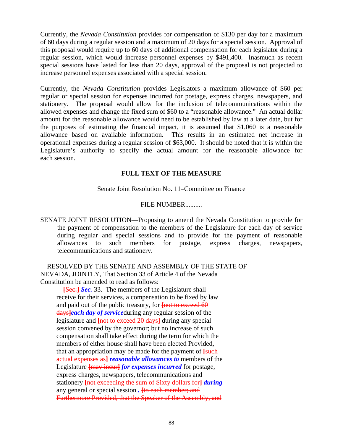Currently, the *Nevada Constitution* provides for compensation of \$130 per day for a maximum of 60 days during a regular session and a maximum of 20 days for a special session. Approval of this proposal would require up to 60 days of additional compensation for each legislator during a regular session, which would increase personnel expenses by \$491,400. Inasmuch as recent special sessions have lasted for less than 20 days, approval of the proposal is not projected to increase personnel expenses associated with a special session.

Currently, the *Nevada Constitution* provides Legislators a maximum allowance of \$60 per regular or special session for expenses incurred for postage, express charges, newspapers, and stationery. The proposal would allow for the inclusion of telecommunications within the allowed expenses and change the fixed sum of \$60 to a "reasonable allowance." An actual dollar amount for the reasonable allowance would need to be established by law at a later date, but for the purposes of estimating the financial impact, it is assumed that \$1,060 is a reasonable allowance based on available information. This results in an estimated net increase in operational expenses during a regular session of \$63,000. It should be noted that it is within the Legislature's authority to specify the actual amount for the reasonable allowance for each session.

#### **FULL TEXT OF THE MEASURE**

#### Senate Joint Resolution No. 11–Committee on Finance

#### FILE NUMBER..........

SENATE JOINT RESOLUTION—Proposing to amend the Nevada Constitution to provide for the payment of compensation to the members of the Legislature for each day of service during regular and special sessions and to provide for the payment of reasonable allowances to such members for postage, express charges, newspapers, telecommunications and stationery.

 RESOLVED BY THE SENATE AND ASSEMBLY OF THE STATE OF NEVADA, JOINTLY, That Section 33 of Article 4 of the Nevada Constitution be amended to read as follows:

**[Sec:]** Sec. 33. The members of the Legislature shall receive for their services, a compensation to be fixed by law and paid out of the public treasury, for **[**not to exceed 60 days**]***each day of service*during any regular session of the legislature and **[**not to exceed 20 days**]** during any special session convened by the governor; but no increase of such compensation shall take effect during the term for which the members of either house shall have been elected Provided, that an appropriation may be made for the payment of **[**such actual expenses as**]** *reasonable allowances to* members of the Legislature **[**may incur**]** *for expenses incurred* for postage, express charges, newspapers, telecommunications and stationery **[**not exceeding the sum of Sixty dollars for**]** *during* any general or special session *.* **[**to each member; and Furthermore Provided, that the Speaker of the Assembly, and